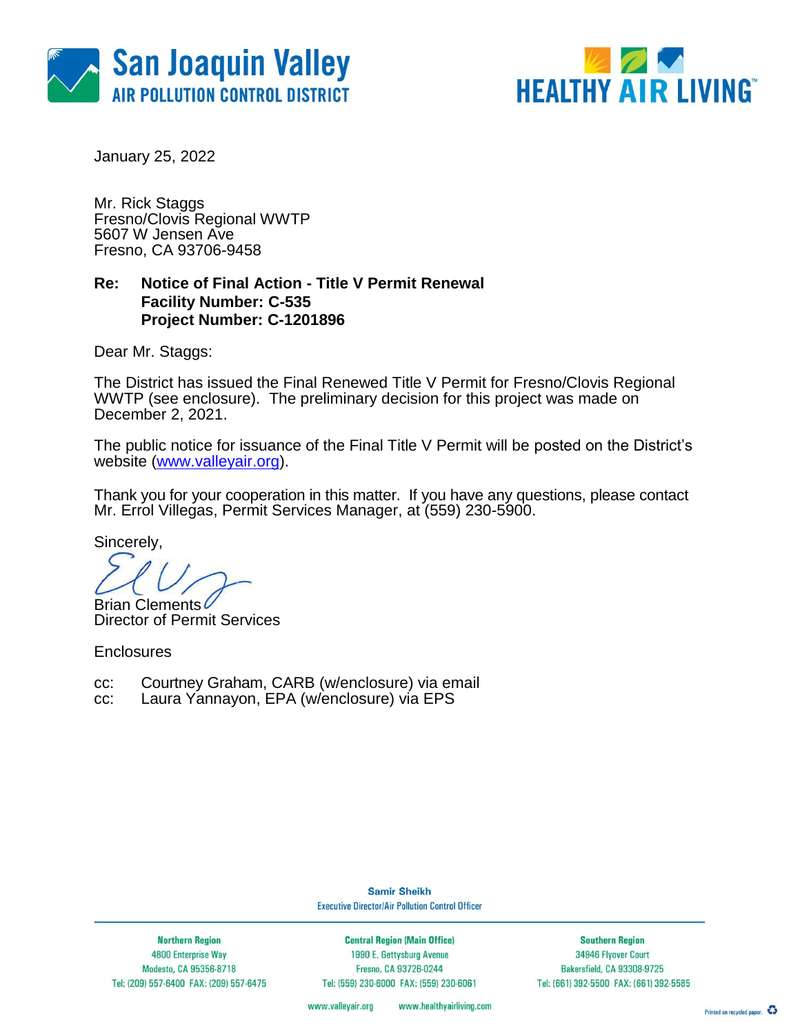



January 25, 2022

Mr. Rick Staggs Fresno/Clovis Regional WWTP 5607 W Jensen Ave Fresno, CA 93706-9458

### **Re: Notice of Final Action - Title V Permit Renewal Facility Number: C-535 Project Number: C-1201896**

Dear Mr. Staggs:

The District has issued the Final Renewed Title V Permit for Fresno/Clovis Regional WWTP (see enclosure). The preliminary decision for this project was made on December 2, 2021.

The public notice for issuance of the Final Title V Permit will be posted on the District's website [\(www.valleyair.org\)](http://www.valleyair.org/).

Thank you for your cooperation in this matter. If you have any questions, please contact Mr. Errol Villegas, Permit Services Manager, at (559) 230-5900.

Sincerely,

**Brian Clements** 

Director of Permit Services

**Enclosures** 

cc: Courtney Graham, CARB (w/enclosure) via email cc: Laura Yannavon. EPA (w/enclosure) via EPS

Laura Yannayon, EPA (w/enclosure) via EPS

**Samir Sheikh Executive Director/Air Pollution Control Officer** 

**Northern Region** 4800 Enterprise Way Modesto, CA 95356-8718 Tel: (209) 557-6400 FAX: (209) 557-6475

**Central Region (Main Office)** 1990 E. Gettysburg Avenue Fresno, CA 93726-0244 Tel: (559) 230-6000 FAX: (559) 230-6061

**Southern Region** 34946 Flyover Court Bakersfield, CA 93308-9725 Tel: (661) 392-5500 FAX: (661) 392-5585

www.valleyair.org www.healthyairliving.com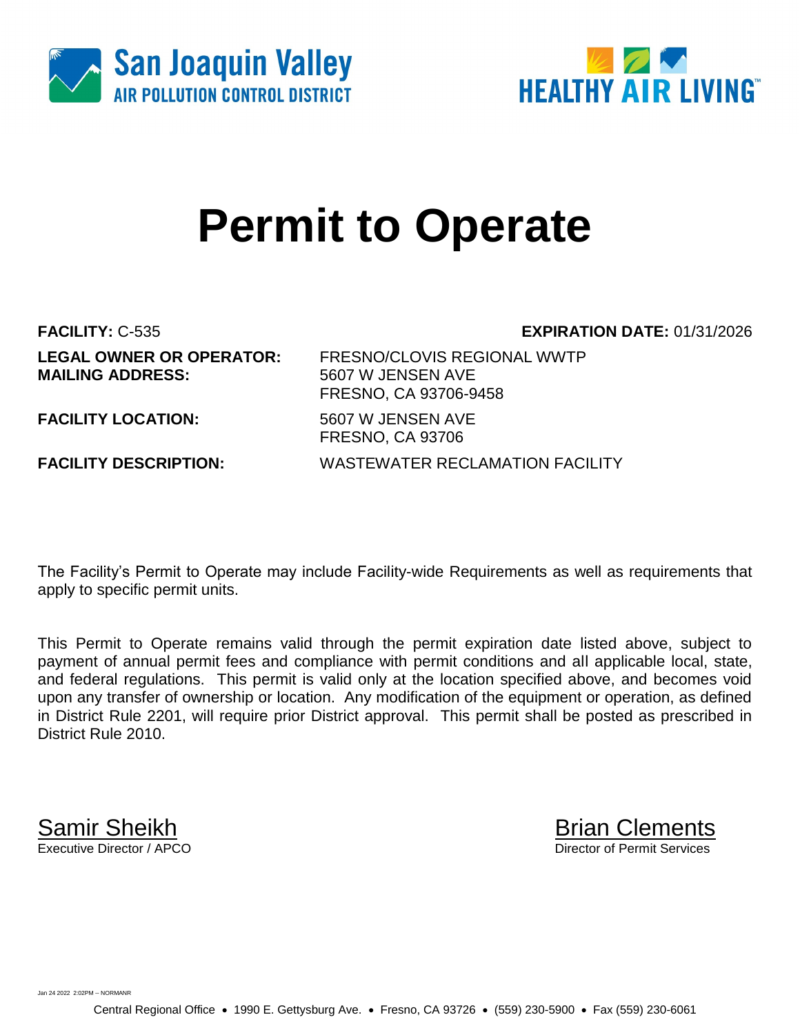



# **Permit to Operate**

**MAILING ADDRESS:** 5607 W JENSEN AVE

**FACILITY:** C-535 **EXPIRATION DATE:** 01/31/2026

**LEGAL OWNER OR OPERATOR:** FRESNO/CLOVIS REGIONAL WWTP FRESNO, CA 93706-9458

**FACILITY LOCATION:** 5607 W JENSEN AVE

**FACILITY DESCRIPTION:** WASTEWATER RECLAMATION FACILITY

The Facility's Permit to Operate may include Facility-wide Requirements as well as requirements that apply to specific permit units.

FRESNO, CA 93706

This Permit to Operate remains valid through the permit expiration date listed above, subject to payment of annual permit fees and compliance with permit conditions and all applicable local, state, and federal regulations. This permit is valid only at the location specified above, and becomes void upon any transfer of ownership or location. Any modification of the equipment or operation, as defined in District Rule 2201, will require prior District approval. This permit shall be posted as prescribed in District Rule 2010.

**Samir Sheikh**<br>Executive Director / APCO

Director of Permit Services

Jan 24 2022 2:02PM -- NORMANR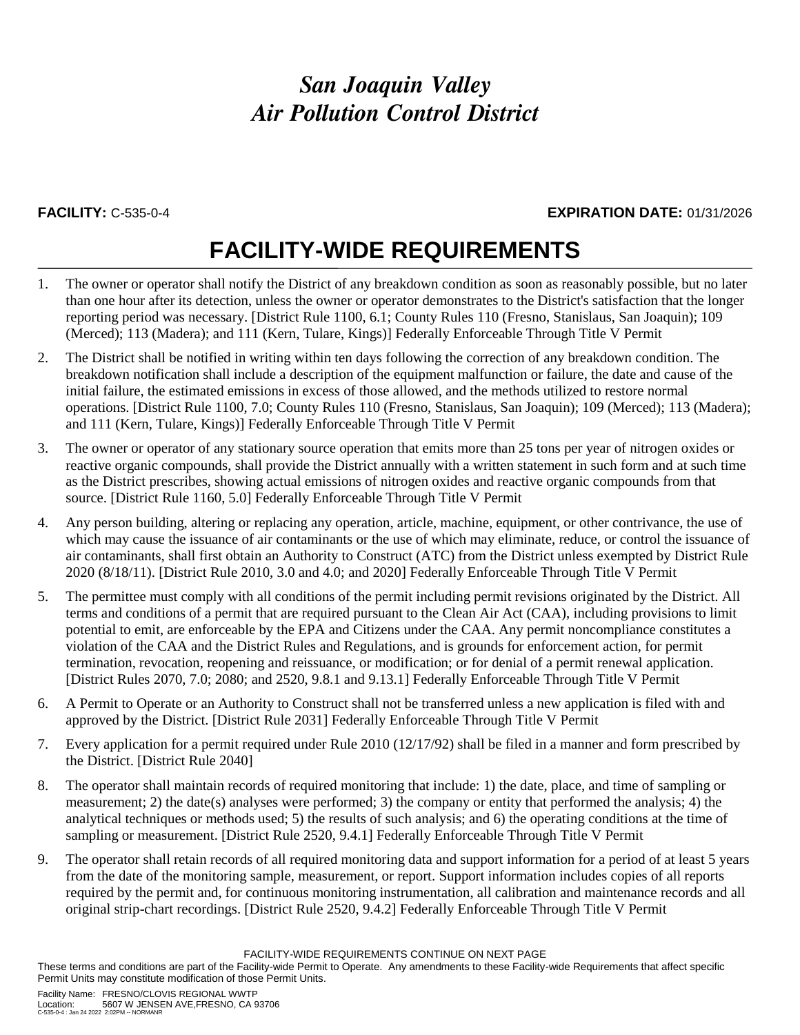### **FACILITY:** C-535-0-4 **EXPIRATION DATE:** 01/31/2026

## **FACILITY-WIDE REQUIREMENTS**

- 1. The owner or operator shall notify the District of any breakdown condition as soon as reasonably possible, but no later than one hour after its detection, unless the owner or operator demonstrates to the District's satisfaction that the longer reporting period was necessary. [District Rule 1100, 6.1; County Rules 110 (Fresno, Stanislaus, San Joaquin); 109 (Merced); 113 (Madera); and 111 (Kern, Tulare, Kings)] Federally Enforceable Through Title V Permit
- 2. The District shall be notified in writing within ten days following the correction of any breakdown condition. The breakdown notification shall include a description of the equipment malfunction or failure, the date and cause of the initial failure, the estimated emissions in excess of those allowed, and the methods utilized to restore normal operations. [District Rule 1100, 7.0; County Rules 110 (Fresno, Stanislaus, San Joaquin); 109 (Merced); 113 (Madera); and 111 (Kern, Tulare, Kings)] Federally Enforceable Through Title V Permit
- 3. The owner or operator of any stationary source operation that emits more than 25 tons per year of nitrogen oxides or reactive organic compounds, shall provide the District annually with a written statement in such form and at such time as the District prescribes, showing actual emissions of nitrogen oxides and reactive organic compounds from that source. [District Rule 1160, 5.0] Federally Enforceable Through Title V Permit
- 4. Any person building, altering or replacing any operation, article, machine, equipment, or other contrivance, the use of which may cause the issuance of air contaminants or the use of which may eliminate, reduce, or control the issuance of air contaminants, shall first obtain an Authority to Construct (ATC) from the District unless exempted by District Rule 2020 (8/18/11). [District Rule 2010, 3.0 and 4.0; and 2020] Federally Enforceable Through Title V Permit
- 5. The permittee must comply with all conditions of the permit including permit revisions originated by the District. All terms and conditions of a permit that are required pursuant to the Clean Air Act (CAA), including provisions to limit potential to emit, are enforceable by the EPA and Citizens under the CAA. Any permit noncompliance constitutes a violation of the CAA and the District Rules and Regulations, and is grounds for enforcement action, for permit termination, revocation, reopening and reissuance, or modification; or for denial of a permit renewal application. [District Rules 2070, 7.0; 2080; and 2520, 9.8.1 and 9.13.1] Federally Enforceable Through Title V Permit
- 6. A Permit to Operate or an Authority to Construct shall not be transferred unless a new application is filed with and approved by the District. [District Rule 2031] Federally Enforceable Through Title V Permit
- 7. Every application for a permit required under Rule 2010 (12/17/92) shall be filed in a manner and form prescribed by the District. [District Rule 2040]
- 8. The operator shall maintain records of required monitoring that include: 1) the date, place, and time of sampling or measurement; 2) the date(s) analyses were performed; 3) the company or entity that performed the analysis; 4) the analytical techniques or methods used; 5) the results of such analysis; and 6) the operating conditions at the time of sampling or measurement. [District Rule 2520, 9.4.1] Federally Enforceable Through Title V Permit
- 9. The operator shall retain records of all required monitoring data and support information for a period of at least 5 years from the date of the monitoring sample, measurement, or report. Support information includes copies of all reports required by the permit and, for continuous monitoring instrumentation, all calibration and maintenance records and all original strip-chart recordings. [District Rule 2520, 9.4.2] Federally Enforceable Through Title V Permit

FACILITY-WIDE REQUIREMENTS CONTINUE ON NEXT PAGE

These terms and conditions are part of the Facility-wide Permit to Operate. Any amendments to these Facility-wide Requirements that affect specific Permit Units may constitute modification of those Permit Units.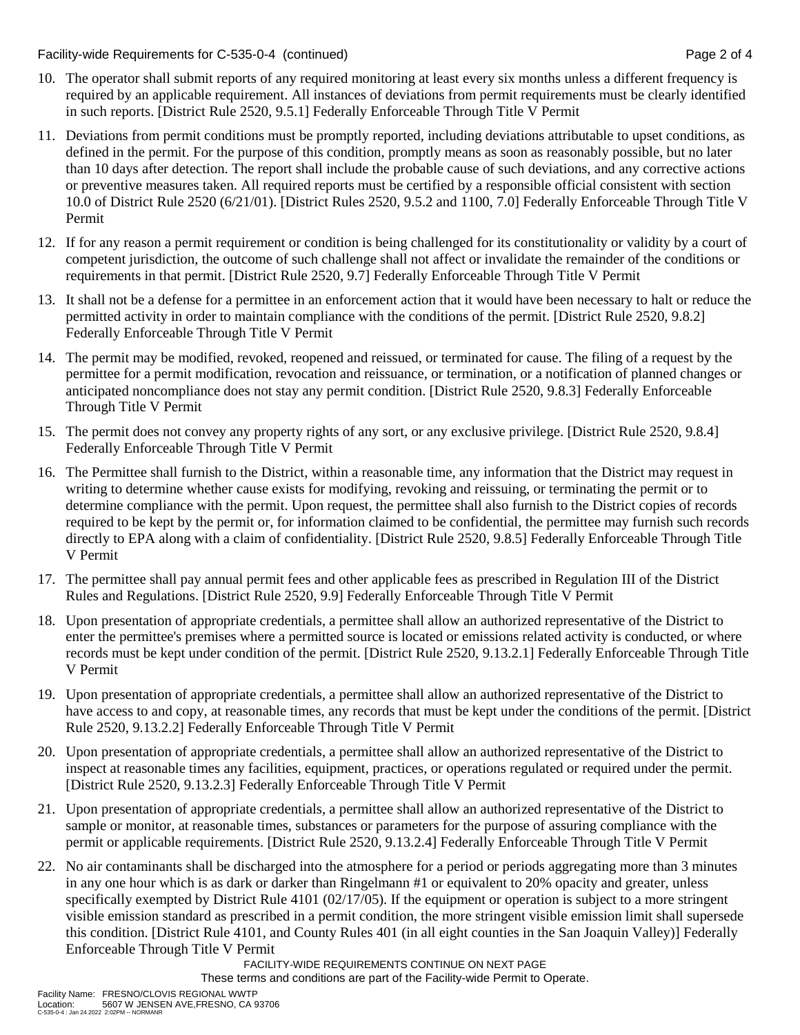Facility-wide Requirements for C-535-0-4 (continued) Page 2 of 4

- 10. The operator shall submit reports of any required monitoring at least every six months unless a different frequency is required by an applicable requirement. All instances of deviations from permit requirements must be clearly identified in such reports. [District Rule 2520, 9.5.1] Federally Enforceable Through Title V Permit
- 11. Deviations from permit conditions must be promptly reported, including deviations attributable to upset conditions, as defined in the permit. For the purpose of this condition, promptly means as soon as reasonably possible, but no later than 10 days after detection. The report shall include the probable cause of such deviations, and any corrective actions or preventive measures taken. All required reports must be certified by a responsible official consistent with section 10.0 of District Rule 2520 (6/21/01). [District Rules 2520, 9.5.2 and 1100, 7.0] Federally Enforceable Through Title V Permit
- 12. If for any reason a permit requirement or condition is being challenged for its constitutionality or validity by a court of competent jurisdiction, the outcome of such challenge shall not affect or invalidate the remainder of the conditions or requirements in that permit. [District Rule 2520, 9.7] Federally Enforceable Through Title V Permit
- 13. It shall not be a defense for a permittee in an enforcement action that it would have been necessary to halt or reduce the permitted activity in order to maintain compliance with the conditions of the permit. [District Rule 2520, 9.8.2] Federally Enforceable Through Title V Permit
- 14. The permit may be modified, revoked, reopened and reissued, or terminated for cause. The filing of a request by the permittee for a permit modification, revocation and reissuance, or termination, or a notification of planned changes or anticipated noncompliance does not stay any permit condition. [District Rule 2520, 9.8.3] Federally Enforceable Through Title V Permit
- 15. The permit does not convey any property rights of any sort, or any exclusive privilege. [District Rule 2520, 9.8.4] Federally Enforceable Through Title V Permit
- 16. The Permittee shall furnish to the District, within a reasonable time, any information that the District may request in writing to determine whether cause exists for modifying, revoking and reissuing, or terminating the permit or to determine compliance with the permit. Upon request, the permittee shall also furnish to the District copies of records required to be kept by the permit or, for information claimed to be confidential, the permittee may furnish such records directly to EPA along with a claim of confidentiality. [District Rule 2520, 9.8.5] Federally Enforceable Through Title V Permit
- 17. The permittee shall pay annual permit fees and other applicable fees as prescribed in Regulation III of the District Rules and Regulations. [District Rule 2520, 9.9] Federally Enforceable Through Title V Permit
- 18. Upon presentation of appropriate credentials, a permittee shall allow an authorized representative of the District to enter the permittee's premises where a permitted source is located or emissions related activity is conducted, or where records must be kept under condition of the permit. [District Rule 2520, 9.13.2.1] Federally Enforceable Through Title V Permit
- 19. Upon presentation of appropriate credentials, a permittee shall allow an authorized representative of the District to have access to and copy, at reasonable times, any records that must be kept under the conditions of the permit. [District Rule 2520, 9.13.2.2] Federally Enforceable Through Title V Permit
- 20. Upon presentation of appropriate credentials, a permittee shall allow an authorized representative of the District to inspect at reasonable times any facilities, equipment, practices, or operations regulated or required under the permit. [District Rule 2520, 9.13.2.3] Federally Enforceable Through Title V Permit
- 21. Upon presentation of appropriate credentials, a permittee shall allow an authorized representative of the District to sample or monitor, at reasonable times, substances or parameters for the purpose of assuring compliance with the permit or applicable requirements. [District Rule 2520, 9.13.2.4] Federally Enforceable Through Title V Permit
- 22. No air contaminants shall be discharged into the atmosphere for a period or periods aggregating more than 3 minutes in any one hour which is as dark or darker than Ringelmann #1 or equivalent to 20% opacity and greater, unless specifically exempted by District Rule 4101 (02/17/05). If the equipment or operation is subject to a more stringent visible emission standard as prescribed in a permit condition, the more stringent visible emission limit shall supersede this condition. [District Rule 4101, and County Rules 401 (in all eight counties in the San Joaquin Valley)] Federally Enforceable Through Title V Permit

FACILITY-WIDE REQUIREMENTS CONTINUE ON NEXT PAGE

These terms and conditions are part of the Facility-wide Permit to Operate.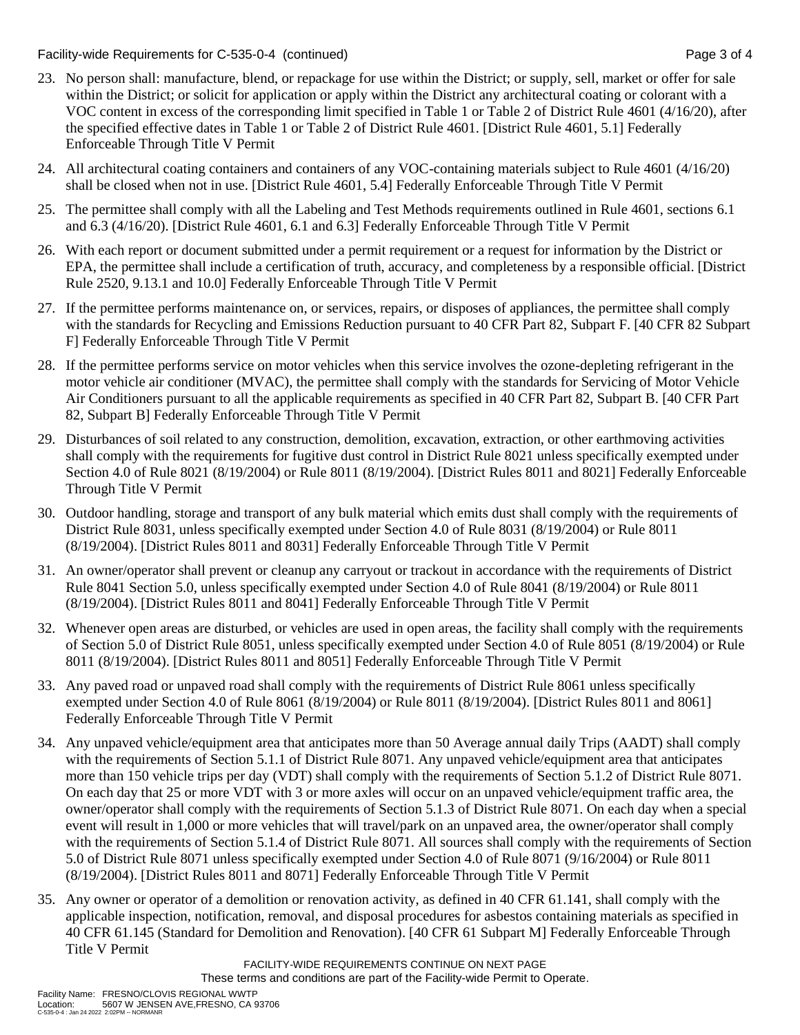Facility-wide Requirements for C-535-0-4 (continued) Page 3 of 4

- 23. No person shall: manufacture, blend, or repackage for use within the District; or supply, sell, market or offer for sale within the District; or solicit for application or apply within the District any architectural coating or colorant with a VOC content in excess of the corresponding limit specified in Table 1 or Table 2 of District Rule 4601 (4/16/20), after the specified effective dates in Table 1 or Table 2 of District Rule 4601. [District Rule 4601, 5.1] Federally Enforceable Through Title V Permit
- 24. All architectural coating containers and containers of any VOC-containing materials subject to Rule 4601 (4/16/20) shall be closed when not in use. [District Rule 4601, 5.4] Federally Enforceable Through Title V Permit
- 25. The permittee shall comply with all the Labeling and Test Methods requirements outlined in Rule 4601, sections 6.1 and 6.3 (4/16/20). [District Rule 4601, 6.1 and 6.3] Federally Enforceable Through Title V Permit
- 26. With each report or document submitted under a permit requirement or a request for information by the District or EPA, the permittee shall include a certification of truth, accuracy, and completeness by a responsible official. [District Rule 2520, 9.13.1 and 10.0] Federally Enforceable Through Title V Permit
- 27. If the permittee performs maintenance on, or services, repairs, or disposes of appliances, the permittee shall comply with the standards for Recycling and Emissions Reduction pursuant to 40 CFR Part 82, Subpart F. [40 CFR 82 Subpart F] Federally Enforceable Through Title V Permit
- 28. If the permittee performs service on motor vehicles when this service involves the ozone-depleting refrigerant in the motor vehicle air conditioner (MVAC), the permittee shall comply with the standards for Servicing of Motor Vehicle Air Conditioners pursuant to all the applicable requirements as specified in 40 CFR Part 82, Subpart B. [40 CFR Part 82, Subpart B] Federally Enforceable Through Title V Permit
- 29. Disturbances of soil related to any construction, demolition, excavation, extraction, or other earthmoving activities shall comply with the requirements for fugitive dust control in District Rule 8021 unless specifically exempted under Section 4.0 of Rule 8021 (8/19/2004) or Rule 8011 (8/19/2004). [District Rules 8011 and 8021] Federally Enforceable Through Title V Permit
- 30. Outdoor handling, storage and transport of any bulk material which emits dust shall comply with the requirements of District Rule 8031, unless specifically exempted under Section 4.0 of Rule 8031 (8/19/2004) or Rule 8011 (8/19/2004). [District Rules 8011 and 8031] Federally Enforceable Through Title V Permit
- 31. An owner/operator shall prevent or cleanup any carryout or trackout in accordance with the requirements of District Rule 8041 Section 5.0, unless specifically exempted under Section 4.0 of Rule 8041 (8/19/2004) or Rule 8011 (8/19/2004). [District Rules 8011 and 8041] Federally Enforceable Through Title V Permit
- 32. Whenever open areas are disturbed, or vehicles are used in open areas, the facility shall comply with the requirements of Section 5.0 of District Rule 8051, unless specifically exempted under Section 4.0 of Rule 8051 (8/19/2004) or Rule 8011 (8/19/2004). [District Rules 8011 and 8051] Federally Enforceable Through Title V Permit
- 33. Any paved road or unpaved road shall comply with the requirements of District Rule 8061 unless specifically exempted under Section 4.0 of Rule 8061 (8/19/2004) or Rule 8011 (8/19/2004). [District Rules 8011 and 8061] Federally Enforceable Through Title V Permit
- 34. Any unpaved vehicle/equipment area that anticipates more than 50 Average annual daily Trips (AADT) shall comply with the requirements of Section 5.1.1 of District Rule 8071. Any unpaved vehicle/equipment area that anticipates more than 150 vehicle trips per day (VDT) shall comply with the requirements of Section 5.1.2 of District Rule 8071. On each day that 25 or more VDT with 3 or more axles will occur on an unpaved vehicle/equipment traffic area, the owner/operator shall comply with the requirements of Section 5.1.3 of District Rule 8071. On each day when a special event will result in 1,000 or more vehicles that will travel/park on an unpaved area, the owner/operator shall comply with the requirements of Section 5.1.4 of District Rule 8071. All sources shall comply with the requirements of Section 5.0 of District Rule 8071 unless specifically exempted under Section 4.0 of Rule 8071 (9/16/2004) or Rule 8011 (8/19/2004). [District Rules 8011 and 8071] Federally Enforceable Through Title V Permit
- 35. Any owner or operator of a demolition or renovation activity, as defined in 40 CFR 61.141, shall comply with the applicable inspection, notification, removal, and disposal procedures for asbestos containing materials as specified in 40 CFR 61.145 (Standard for Demolition and Renovation). [40 CFR 61 Subpart M] Federally Enforceable Through Title V Permit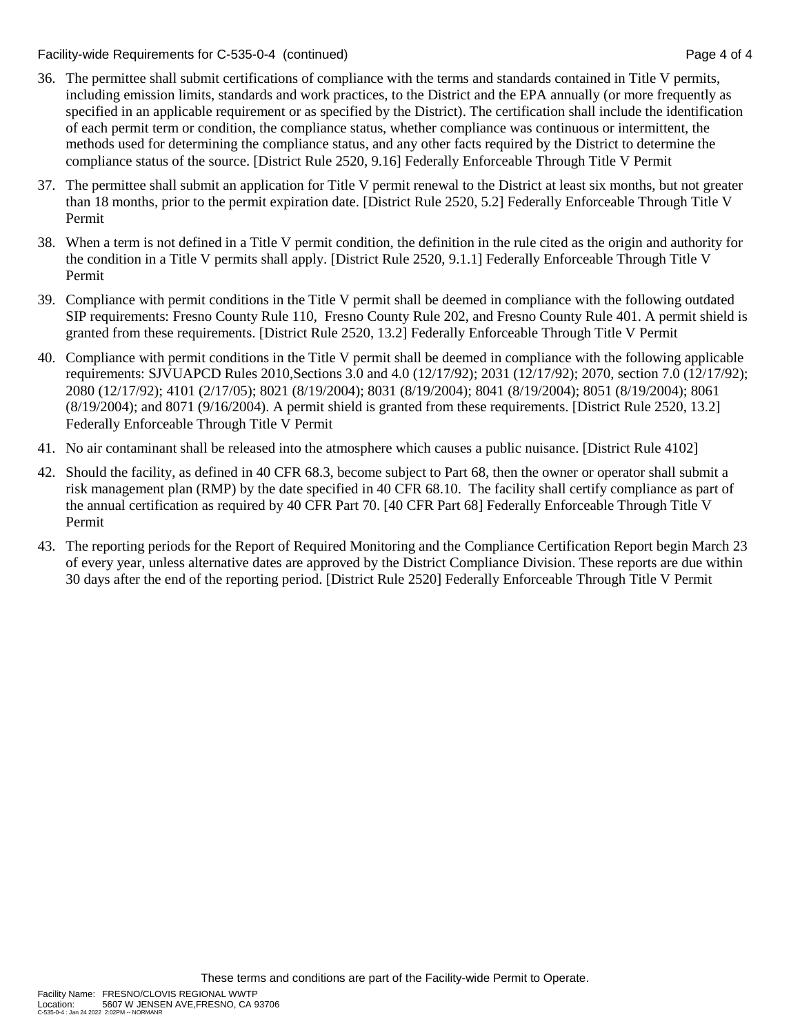Facility-wide Requirements for C-535-0-4 (continued) Page 4 of 4

- 36. The permittee shall submit certifications of compliance with the terms and standards contained in Title V permits, including emission limits, standards and work practices, to the District and the EPA annually (or more frequently as specified in an applicable requirement or as specified by the District). The certification shall include the identification of each permit term or condition, the compliance status, whether compliance was continuous or intermittent, the methods used for determining the compliance status, and any other facts required by the District to determine the compliance status of the source. [District Rule 2520, 9.16] Federally Enforceable Through Title V Permit
- 37. The permittee shall submit an application for Title V permit renewal to the District at least six months, but not greater than 18 months, prior to the permit expiration date. [District Rule 2520, 5.2] Federally Enforceable Through Title V Permit
- 38. When a term is not defined in a Title V permit condition, the definition in the rule cited as the origin and authority for the condition in a Title V permits shall apply. [District Rule 2520, 9.1.1] Federally Enforceable Through Title V Permit
- 39. Compliance with permit conditions in the Title V permit shall be deemed in compliance with the following outdated SIP requirements: Fresno County Rule 110, Fresno County Rule 202, and Fresno County Rule 401. A permit shield is granted from these requirements. [District Rule 2520, 13.2] Federally Enforceable Through Title V Permit
- 40. Compliance with permit conditions in the Title V permit shall be deemed in compliance with the following applicable requirements: SJVUAPCD Rules 2010,Sections 3.0 and 4.0 (12/17/92); 2031 (12/17/92); 2070, section 7.0 (12/17/92); 2080 (12/17/92); 4101 (2/17/05); 8021 (8/19/2004); 8031 (8/19/2004); 8041 (8/19/2004); 8051 (8/19/2004); 8061  $(8/19/2004)$ ; and  $8071 (9/16/2004)$ . A permit shield is granted from these requirements. [District Rule 2520, 13.2] Federally Enforceable Through Title V Permit
- 41. No air contaminant shall be released into the atmosphere which causes a public nuisance. [District Rule 4102]
- 42. Should the facility, as defined in 40 CFR 68.3, become subject to Part 68, then the owner or operator shall submit a risk management plan (RMP) by the date specified in 40 CFR 68.10. The facility shall certify compliance as part of the annual certification as required by 40 CFR Part 70. [40 CFR Part 68] Federally Enforceable Through Title V Permit
- 43. The reporting periods for the Report of Required Monitoring and the Compliance Certification Report begin March 23 of every year, unless alternative dates are approved by the District Compliance Division. These reports are due within 30 days after the end of the reporting period. [District Rule 2520] Federally Enforceable Through Title V Permit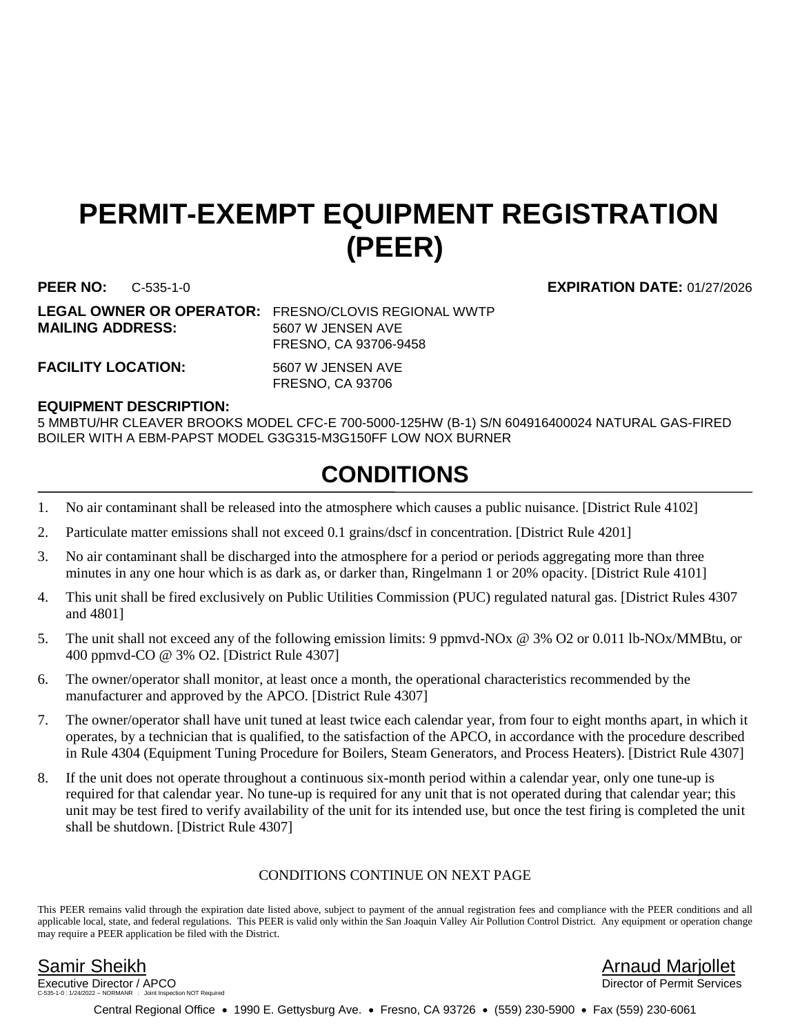## **PERMIT-EXEMPT EQUIPMENT REGISTRATION (PEER)**

**MAILING ADDRESS:** 5607 W JENSEN AVE

**LEGAL OWNER OR OPERATOR:** FRESNO/CLOVIS REGIONAL WWTP FRESNO, CA 93706-9458

FACILITY LOCATION: 5607 W JENSEN AVE

FRESNO, CA 93706

### **EQUIPMENT DESCRIPTION:**

5 MMBTU/HR CLEAVER BROOKS MODEL CFC-E 700-5000-125HW (B-1) S/N 604916400024 NATURAL GAS-FIRED BOILER WITH A EBM-PAPST MODEL G3G315-M3G150FF LOW NOX BURNER

## **CONDITIONS**

- 1. No air contaminant shall be released into the atmosphere which causes a public nuisance. [District Rule 4102]
- 2. Particulate matter emissions shall not exceed 0.1 grains/dscf in concentration. [District Rule 4201]
- 3. No air contaminant shall be discharged into the atmosphere for a period or periods aggregating more than three minutes in any one hour which is as dark as, or darker than, Ringelmann 1 or 20% opacity. [District Rule 4101]
- 4. This unit shall be fired exclusively on Public Utilities Commission (PUC) regulated natural gas. [District Rules 4307 and 4801]
- 5. The unit shall not exceed any of the following emission limits: 9 ppmvd-NOx @ 3% O2 or 0.011 lb-NOx/MMBtu, or 400 ppmvd-CO @ 3% O2. [District Rule 4307]
- 6. The owner/operator shall monitor, at least once a month, the operational characteristics recommended by the manufacturer and approved by the APCO. [District Rule 4307]
- 7. The owner/operator shall have unit tuned at least twice each calendar year, from four to eight months apart, in which it operates, by a technician that is qualified, to the satisfaction of the APCO, in accordance with the procedure described in Rule 4304 (Equipment Tuning Procedure for Boilers, Steam Generators, and Process Heaters). [District Rule 4307]
- 8. If the unit does not operate throughout a continuous six-month period within a calendar year, only one tune-up is required for that calendar year. No tune-up is required for any unit that is not operated during that calendar year; this unit may be test fired to verify availability of the unit for its intended use, but once the test firing is completed the unit shall be shutdown. [District Rule 4307]

### CONDITIONS CONTINUE ON NEXT PAGE

This PEER remains valid through the expiration date listed above, subject to payment of the annual registration fees and compliance with the PEER conditions and all applicable local, state, and federal regulations. This PEER is valid only within the San Joaquin Valley Air Pollution Control District. Any equipment or operation change may require a PEER application be filed with the District.

Executive Director / APCO tion NOT Required

Samir Sheikh Arnaud Marjollet

Central Regional Office • 1990 E. Gettysburg Ave. • Fresno, CA 93726 • (559) 230-5900 • Fax (559) 230-6061

**PEER NO:** C-535-1-0 **EXPIRATION DATE:** 01/27/2026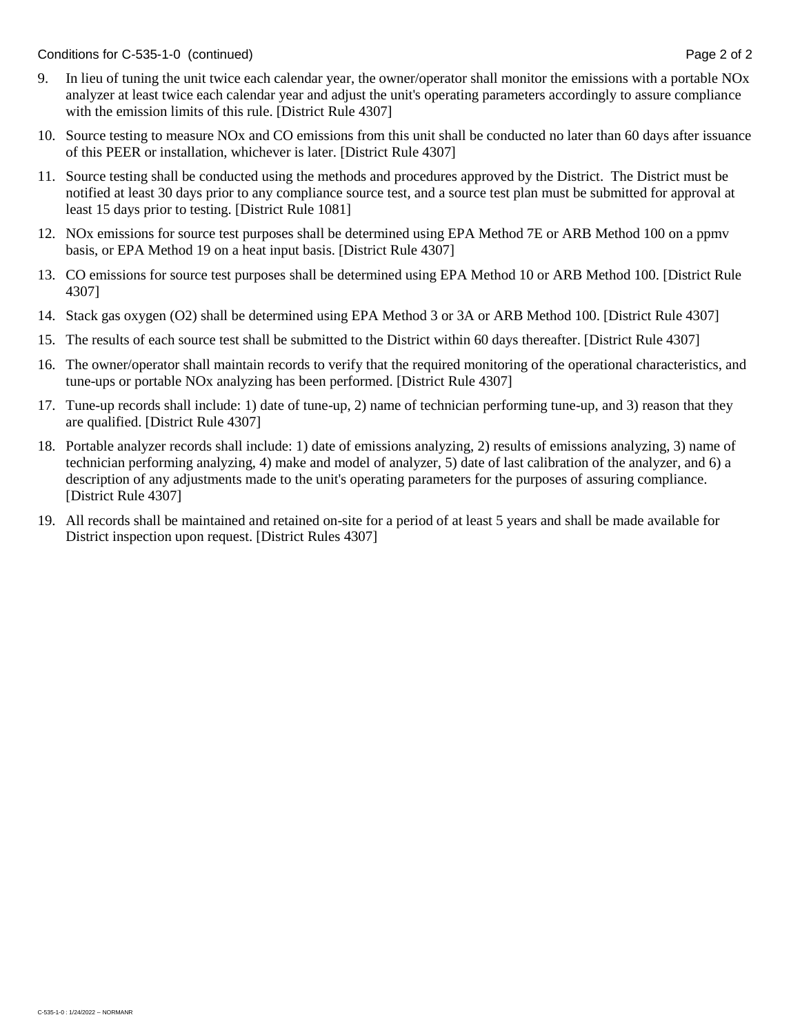Conditions for C-535-1-0 (continued) Conditions for C-535-1-0 (continued)

- 9. In lieu of tuning the unit twice each calendar year, the owner/operator shall monitor the emissions with a portable NOx analyzer at least twice each calendar year and adjust the unit's operating parameters accordingly to assure compliance with the emission limits of this rule. [District Rule 4307]
- 10. Source testing to measure NOx and CO emissions from this unit shall be conducted no later than 60 days after issuance of this PEER or installation, whichever is later. [District Rule 4307]
- 11. Source testing shall be conducted using the methods and procedures approved by the District. The District must be notified at least 30 days prior to any compliance source test, and a source test plan must be submitted for approval at least 15 days prior to testing. [District Rule 1081]
- 12. NOx emissions for source test purposes shall be determined using EPA Method 7E or ARB Method 100 on a ppmv basis, or EPA Method 19 on a heat input basis. [District Rule 4307]
- 13. CO emissions for source test purposes shall be determined using EPA Method 10 or ARB Method 100. [District Rule 4307]
- 14. Stack gas oxygen (O2) shall be determined using EPA Method 3 or 3A or ARB Method 100. [District Rule 4307]
- 15. The results of each source test shall be submitted to the District within 60 days thereafter. [District Rule 4307]
- 16. The owner/operator shall maintain records to verify that the required monitoring of the operational characteristics, and tune-ups or portable NOx analyzing has been performed. [District Rule 4307]
- 17. Tune-up records shall include: 1) date of tune-up, 2) name of technician performing tune-up, and 3) reason that they are qualified. [District Rule 4307]
- 18. Portable analyzer records shall include: 1) date of emissions analyzing, 2) results of emissions analyzing, 3) name of technician performing analyzing, 4) make and model of analyzer, 5) date of last calibration of the analyzer, and 6) a description of any adjustments made to the unit's operating parameters for the purposes of assuring compliance. [District Rule 4307]
- 19. All records shall be maintained and retained on-site for a period of at least 5 years and shall be made available for District inspection upon request. [District Rules 4307]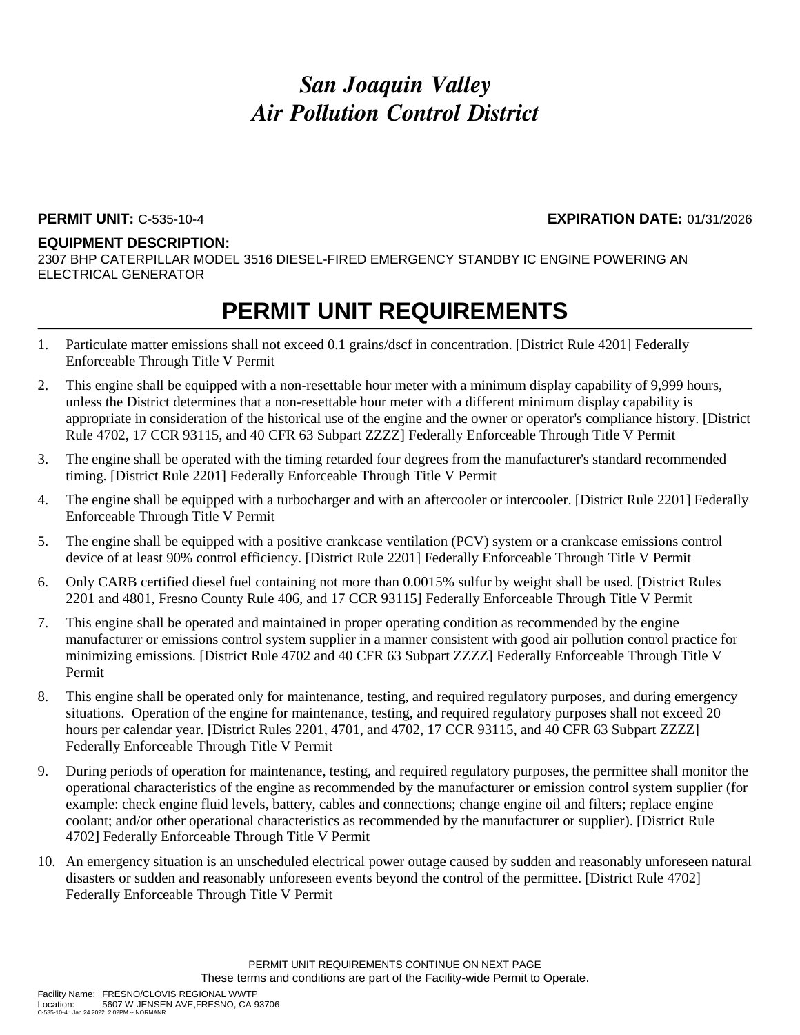### **PERMIT UNIT:** C-535-10-4 **EXPIRATION DATE:** 01/31/2026

#### **EQUIPMENT DESCRIPTION:**

2307 BHP CATERPILLAR MODEL 3516 DIESEL-FIRED EMERGENCY STANDBY IC ENGINE POWERING AN ELECTRICAL GENERATOR

- 1. Particulate matter emissions shall not exceed 0.1 grains/dscf in concentration. [District Rule 4201] Federally Enforceable Through Title V Permit
- 2. This engine shall be equipped with a non-resettable hour meter with a minimum display capability of 9,999 hours, unless the District determines that a non-resettable hour meter with a different minimum display capability is appropriate in consideration of the historical use of the engine and the owner or operator's compliance history. [District Rule 4702, 17 CCR 93115, and 40 CFR 63 Subpart ZZZZ] Federally Enforceable Through Title V Permit
- 3. The engine shall be operated with the timing retarded four degrees from the manufacturer's standard recommended timing. [District Rule 2201] Federally Enforceable Through Title V Permit
- 4. The engine shall be equipped with a turbocharger and with an aftercooler or intercooler. [District Rule 2201] Federally Enforceable Through Title V Permit
- 5. The engine shall be equipped with a positive crankcase ventilation (PCV) system or a crankcase emissions control device of at least 90% control efficiency. [District Rule 2201] Federally Enforceable Through Title V Permit
- 6. Only CARB certified diesel fuel containing not more than 0.0015% sulfur by weight shall be used. [District Rules 2201 and 4801, Fresno County Rule 406, and 17 CCR 93115] Federally Enforceable Through Title V Permit
- 7. This engine shall be operated and maintained in proper operating condition as recommended by the engine manufacturer or emissions control system supplier in a manner consistent with good air pollution control practice for minimizing emissions. [District Rule 4702 and 40 CFR 63 Subpart ZZZZ] Federally Enforceable Through Title V Permit
- 8. This engine shall be operated only for maintenance, testing, and required regulatory purposes, and during emergency situations. Operation of the engine for maintenance, testing, and required regulatory purposes shall not exceed 20 hours per calendar year. [District Rules 2201, 4701, and 4702, 17 CCR 93115, and 40 CFR 63 Subpart ZZZZ] Federally Enforceable Through Title V Permit
- 9. During periods of operation for maintenance, testing, and required regulatory purposes, the permittee shall monitor the operational characteristics of the engine as recommended by the manufacturer or emission control system supplier (for example: check engine fluid levels, battery, cables and connections; change engine oil and filters; replace engine coolant; and/or other operational characteristics as recommended by the manufacturer or supplier). [District Rule 4702] Federally Enforceable Through Title V Permit
- 10. An emergency situation is an unscheduled electrical power outage caused by sudden and reasonably unforeseen natural disasters or sudden and reasonably unforeseen events beyond the control of the permittee. [District Rule 4702] Federally Enforceable Through Title V Permit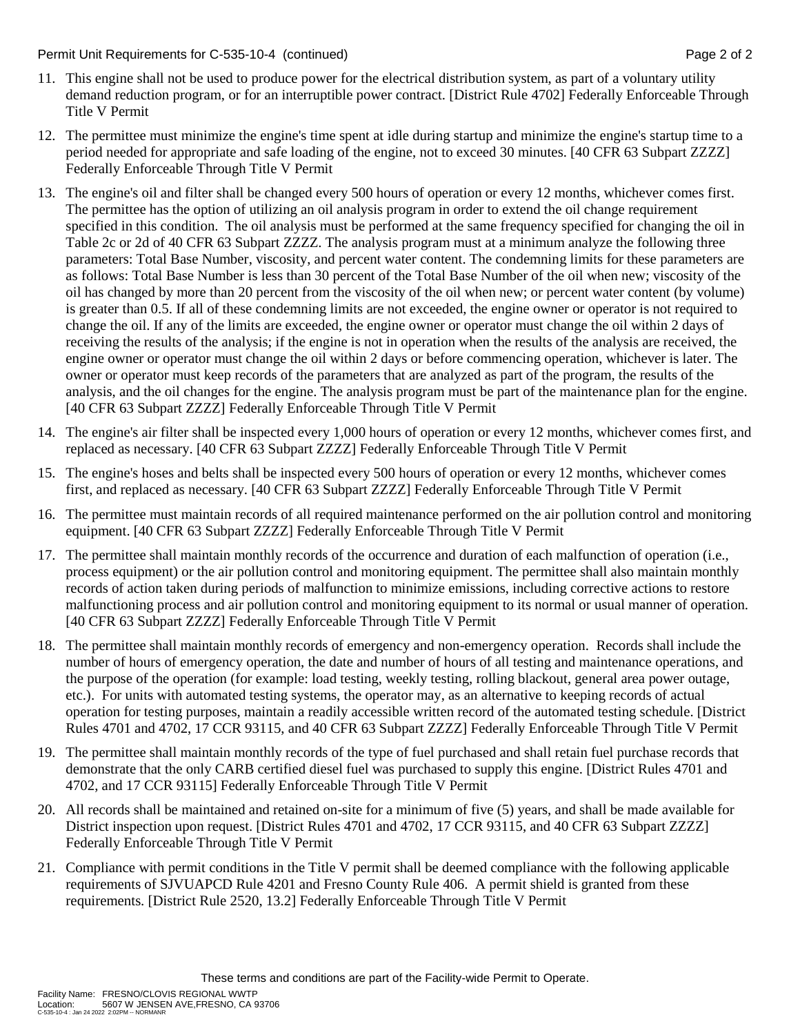Permit Unit Requirements for C-535-10-4 (continued) **Page 2** of 2

- 11. This engine shall not be used to produce power for the electrical distribution system, as part of a voluntary utility demand reduction program, or for an interruptible power contract. [District Rule 4702] Federally Enforceable Through Title V Permit
- 12. The permittee must minimize the engine's time spent at idle during startup and minimize the engine's startup time to a period needed for appropriate and safe loading of the engine, not to exceed 30 minutes. [40 CFR 63 Subpart ZZZZ] Federally Enforceable Through Title V Permit
- 13. The engine's oil and filter shall be changed every 500 hours of operation or every 12 months, whichever comes first. The permittee has the option of utilizing an oil analysis program in order to extend the oil change requirement specified in this condition. The oil analysis must be performed at the same frequency specified for changing the oil in Table 2c or 2d of 40 CFR 63 Subpart ZZZZ. The analysis program must at a minimum analyze the following three parameters: Total Base Number, viscosity, and percent water content. The condemning limits for these parameters are as follows: Total Base Number is less than 30 percent of the Total Base Number of the oil when new; viscosity of the oil has changed by more than 20 percent from the viscosity of the oil when new; or percent water content (by volume) is greater than 0.5. If all of these condemning limits are not exceeded, the engine owner or operator is not required to change the oil. If any of the limits are exceeded, the engine owner or operator must change the oil within 2 days of receiving the results of the analysis; if the engine is not in operation when the results of the analysis are received, the engine owner or operator must change the oil within 2 days or before commencing operation, whichever is later. The owner or operator must keep records of the parameters that are analyzed as part of the program, the results of the analysis, and the oil changes for the engine. The analysis program must be part of the maintenance plan for the engine. [40 CFR 63 Subpart ZZZZ] Federally Enforceable Through Title V Permit
- 14. The engine's air filter shall be inspected every 1,000 hours of operation or every 12 months, whichever comes first, and replaced as necessary. [40 CFR 63 Subpart ZZZZ] Federally Enforceable Through Title V Permit
- 15. The engine's hoses and belts shall be inspected every 500 hours of operation or every 12 months, whichever comes first, and replaced as necessary. [40 CFR 63 Subpart ZZZZ] Federally Enforceable Through Title V Permit
- 16. The permittee must maintain records of all required maintenance performed on the air pollution control and monitoring equipment. [40 CFR 63 Subpart ZZZZ] Federally Enforceable Through Title V Permit
- 17. The permittee shall maintain monthly records of the occurrence and duration of each malfunction of operation (i.e., process equipment) or the air pollution control and monitoring equipment. The permittee shall also maintain monthly records of action taken during periods of malfunction to minimize emissions, including corrective actions to restore malfunctioning process and air pollution control and monitoring equipment to its normal or usual manner of operation. [40 CFR 63 Subpart ZZZZ] Federally Enforceable Through Title V Permit
- 18. The permittee shall maintain monthly records of emergency and non-emergency operation. Records shall include the number of hours of emergency operation, the date and number of hours of all testing and maintenance operations, and the purpose of the operation (for example: load testing, weekly testing, rolling blackout, general area power outage, etc.). For units with automated testing systems, the operator may, as an alternative to keeping records of actual operation for testing purposes, maintain a readily accessible written record of the automated testing schedule. [District Rules 4701 and 4702, 17 CCR 93115, and 40 CFR 63 Subpart ZZZZ] Federally Enforceable Through Title V Permit
- 19. The permittee shall maintain monthly records of the type of fuel purchased and shall retain fuel purchase records that demonstrate that the only CARB certified diesel fuel was purchased to supply this engine. [District Rules 4701 and 4702, and 17 CCR 93115] Federally Enforceable Through Title V Permit
- 20. All records shall be maintained and retained on-site for a minimum of five (5) years, and shall be made available for District inspection upon request. [District Rules 4701 and 4702, 17 CCR 93115, and 40 CFR 63 Subpart ZZZZ] Federally Enforceable Through Title V Permit
- 21. Compliance with permit conditions in the Title V permit shall be deemed compliance with the following applicable requirements of SJVUAPCD Rule 4201 and Fresno County Rule 406. A permit shield is granted from these requirements. [District Rule 2520, 13.2] Federally Enforceable Through Title V Permit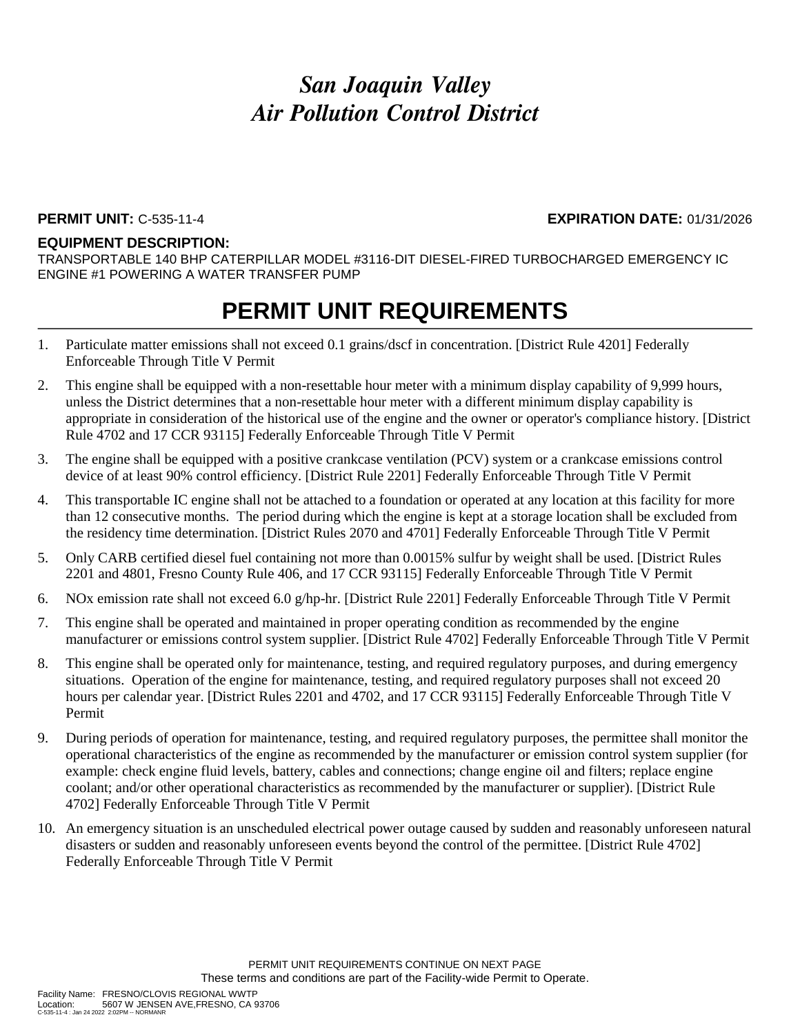#### **PERMIT UNIT:** C-535-11-4 **EXPIRATION DATE:** 01/31/2026

#### **EQUIPMENT DESCRIPTION:**

TRANSPORTABLE 140 BHP CATERPILLAR MODEL #3116-DIT DIESEL-FIRED TURBOCHARGED EMERGENCY IC ENGINE #1 POWERING A WATER TRANSFER PUMP

- 1. Particulate matter emissions shall not exceed 0.1 grains/dscf in concentration. [District Rule 4201] Federally Enforceable Through Title V Permit
- 2. This engine shall be equipped with a non-resettable hour meter with a minimum display capability of 9,999 hours, unless the District determines that a non-resettable hour meter with a different minimum display capability is appropriate in consideration of the historical use of the engine and the owner or operator's compliance history. [District Rule 4702 and 17 CCR 93115] Federally Enforceable Through Title V Permit
- 3. The engine shall be equipped with a positive crankcase ventilation (PCV) system or a crankcase emissions control device of at least 90% control efficiency. [District Rule 2201] Federally Enforceable Through Title V Permit
- 4. This transportable IC engine shall not be attached to a foundation or operated at any location at this facility for more than 12 consecutive months. The period during which the engine is kept at a storage location shall be excluded from the residency time determination. [District Rules 2070 and 4701] Federally Enforceable Through Title V Permit
- 5. Only CARB certified diesel fuel containing not more than 0.0015% sulfur by weight shall be used. [District Rules 2201 and 4801, Fresno County Rule 406, and 17 CCR 93115] Federally Enforceable Through Title V Permit
- 6. NOx emission rate shall not exceed 6.0 g/hp-hr. [District Rule 2201] Federally Enforceable Through Title V Permit
- 7. This engine shall be operated and maintained in proper operating condition as recommended by the engine manufacturer or emissions control system supplier. [District Rule 4702] Federally Enforceable Through Title V Permit
- 8. This engine shall be operated only for maintenance, testing, and required regulatory purposes, and during emergency situations. Operation of the engine for maintenance, testing, and required regulatory purposes shall not exceed 20 hours per calendar year. [District Rules 2201 and 4702, and 17 CCR 93115] Federally Enforceable Through Title V Permit
- 9. During periods of operation for maintenance, testing, and required regulatory purposes, the permittee shall monitor the operational characteristics of the engine as recommended by the manufacturer or emission control system supplier (for example: check engine fluid levels, battery, cables and connections; change engine oil and filters; replace engine coolant; and/or other operational characteristics as recommended by the manufacturer or supplier). [District Rule 4702] Federally Enforceable Through Title V Permit
- 10. An emergency situation is an unscheduled electrical power outage caused by sudden and reasonably unforeseen natural disasters or sudden and reasonably unforeseen events beyond the control of the permittee. [District Rule 4702] Federally Enforceable Through Title V Permit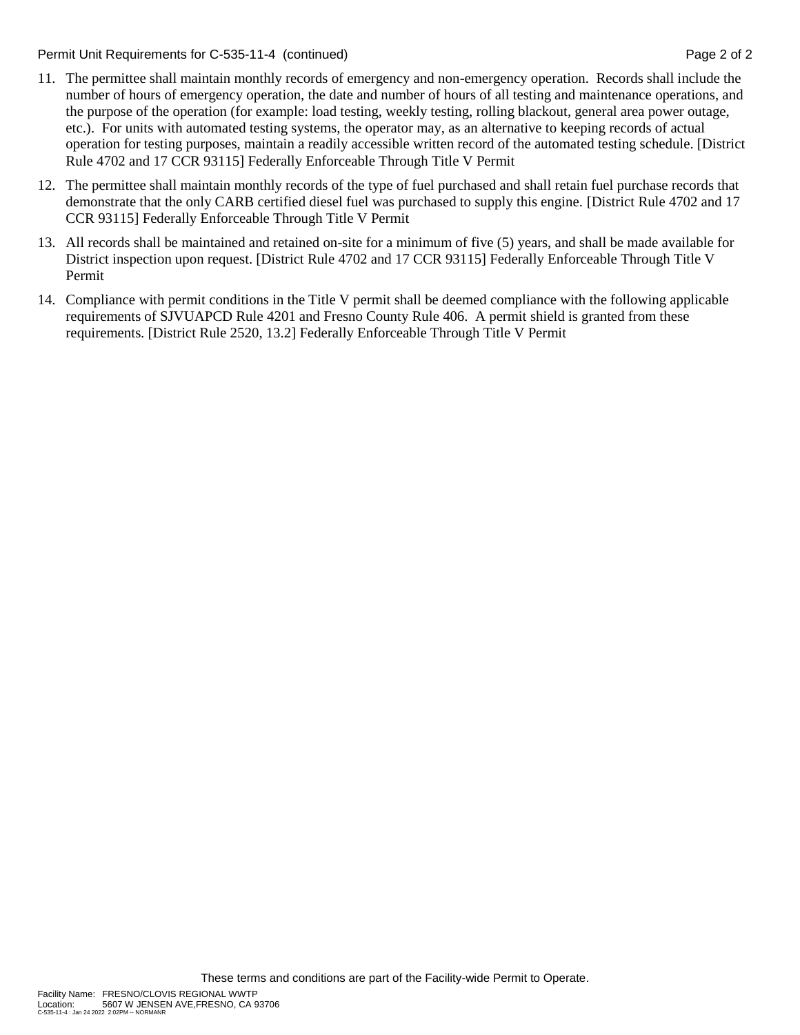Permit Unit Requirements for C-535-11-4 (continued) **Page 2** of 2

- 11. The permittee shall maintain monthly records of emergency and non-emergency operation. Records shall include the number of hours of emergency operation, the date and number of hours of all testing and maintenance operations, and the purpose of the operation (for example: load testing, weekly testing, rolling blackout, general area power outage, etc.). For units with automated testing systems, the operator may, as an alternative to keeping records of actual operation for testing purposes, maintain a readily accessible written record of the automated testing schedule. [District Rule 4702 and 17 CCR 93115] Federally Enforceable Through Title V Permit
- 12. The permittee shall maintain monthly records of the type of fuel purchased and shall retain fuel purchase records that demonstrate that the only CARB certified diesel fuel was purchased to supply this engine. [District Rule 4702 and 17 CCR 93115] Federally Enforceable Through Title V Permit
- 13. All records shall be maintained and retained on-site for a minimum of five (5) years, and shall be made available for District inspection upon request. [District Rule 4702 and 17 CCR 93115] Federally Enforceable Through Title V Permit
- 14. Compliance with permit conditions in the Title V permit shall be deemed compliance with the following applicable requirements of SJVUAPCD Rule 4201 and Fresno County Rule 406. A permit shield is granted from these requirements. [District Rule 2520, 13.2] Federally Enforceable Through Title V Permit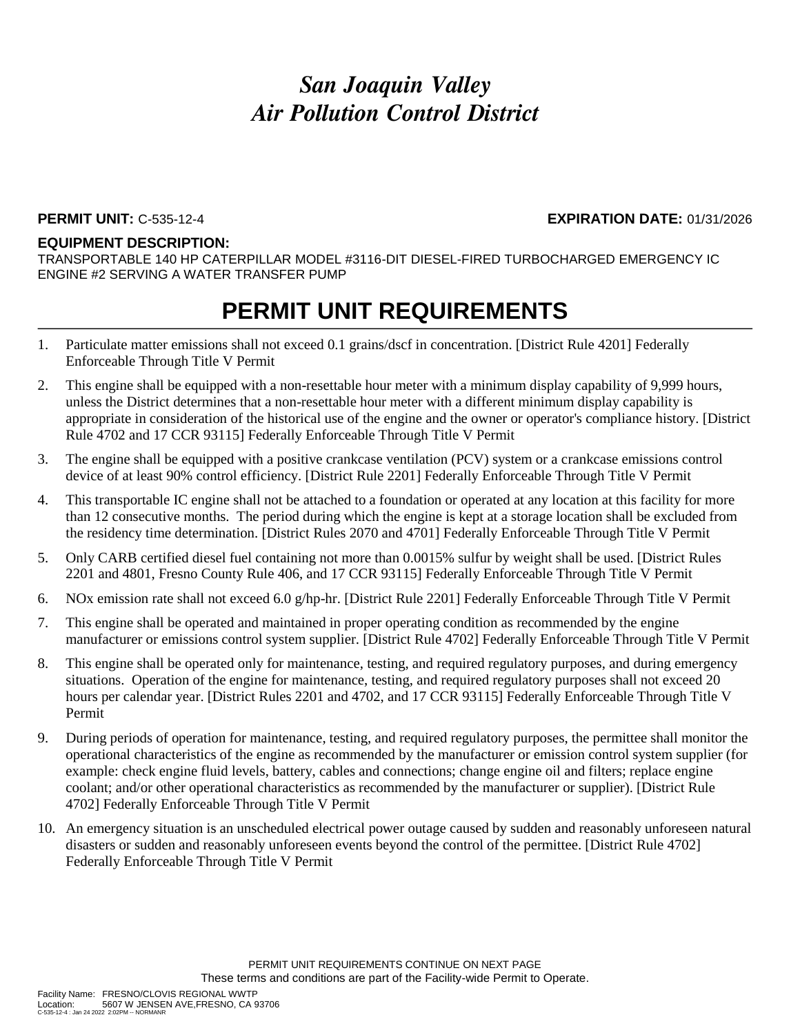#### **PERMIT UNIT:** C-535-12-4 **EXPIRATION DATE:** 01/31/2026

#### **EQUIPMENT DESCRIPTION:**

TRANSPORTABLE 140 HP CATERPILLAR MODEL #3116-DIT DIESEL-FIRED TURBOCHARGED EMERGENCY IC ENGINE #2 SERVING A WATER TRANSFER PUMP

- 1. Particulate matter emissions shall not exceed 0.1 grains/dscf in concentration. [District Rule 4201] Federally Enforceable Through Title V Permit
- 2. This engine shall be equipped with a non-resettable hour meter with a minimum display capability of 9,999 hours, unless the District determines that a non-resettable hour meter with a different minimum display capability is appropriate in consideration of the historical use of the engine and the owner or operator's compliance history. [District Rule 4702 and 17 CCR 93115] Federally Enforceable Through Title V Permit
- 3. The engine shall be equipped with a positive crankcase ventilation (PCV) system or a crankcase emissions control device of at least 90% control efficiency. [District Rule 2201] Federally Enforceable Through Title V Permit
- 4. This transportable IC engine shall not be attached to a foundation or operated at any location at this facility for more than 12 consecutive months. The period during which the engine is kept at a storage location shall be excluded from the residency time determination. [District Rules 2070 and 4701] Federally Enforceable Through Title V Permit
- 5. Only CARB certified diesel fuel containing not more than 0.0015% sulfur by weight shall be used. [District Rules 2201 and 4801, Fresno County Rule 406, and 17 CCR 93115] Federally Enforceable Through Title V Permit
- 6. NOx emission rate shall not exceed 6.0 g/hp-hr. [District Rule 2201] Federally Enforceable Through Title V Permit
- 7. This engine shall be operated and maintained in proper operating condition as recommended by the engine manufacturer or emissions control system supplier. [District Rule 4702] Federally Enforceable Through Title V Permit
- 8. This engine shall be operated only for maintenance, testing, and required regulatory purposes, and during emergency situations. Operation of the engine for maintenance, testing, and required regulatory purposes shall not exceed 20 hours per calendar year. [District Rules 2201 and 4702, and 17 CCR 93115] Federally Enforceable Through Title V Permit
- 9. During periods of operation for maintenance, testing, and required regulatory purposes, the permittee shall monitor the operational characteristics of the engine as recommended by the manufacturer or emission control system supplier (for example: check engine fluid levels, battery, cables and connections; change engine oil and filters; replace engine coolant; and/or other operational characteristics as recommended by the manufacturer or supplier). [District Rule 4702] Federally Enforceable Through Title V Permit
- 10. An emergency situation is an unscheduled electrical power outage caused by sudden and reasonably unforeseen natural disasters or sudden and reasonably unforeseen events beyond the control of the permittee. [District Rule 4702] Federally Enforceable Through Title V Permit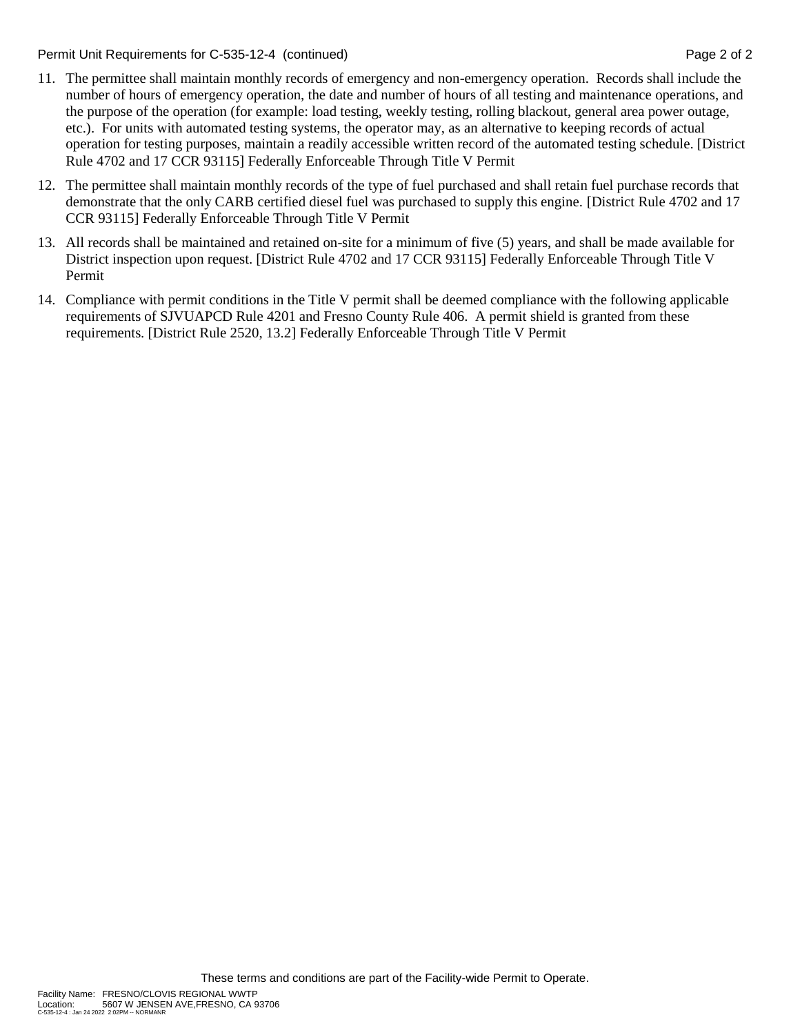Permit Unit Requirements for C-535-12-4 (continued) **Page 2** of 2

- 11. The permittee shall maintain monthly records of emergency and non-emergency operation. Records shall include the number of hours of emergency operation, the date and number of hours of all testing and maintenance operations, and the purpose of the operation (for example: load testing, weekly testing, rolling blackout, general area power outage, etc.). For units with automated testing systems, the operator may, as an alternative to keeping records of actual operation for testing purposes, maintain a readily accessible written record of the automated testing schedule. [District Rule 4702 and 17 CCR 93115] Federally Enforceable Through Title V Permit
- 12. The permittee shall maintain monthly records of the type of fuel purchased and shall retain fuel purchase records that demonstrate that the only CARB certified diesel fuel was purchased to supply this engine. [District Rule 4702 and 17 CCR 93115] Federally Enforceable Through Title V Permit
- 13. All records shall be maintained and retained on-site for a minimum of five (5) years, and shall be made available for District inspection upon request. [District Rule 4702 and 17 CCR 93115] Federally Enforceable Through Title V Permit
- 14. Compliance with permit conditions in the Title V permit shall be deemed compliance with the following applicable requirements of SJVUAPCD Rule 4201 and Fresno County Rule 406. A permit shield is granted from these requirements. [District Rule 2520, 13.2] Federally Enforceable Through Title V Permit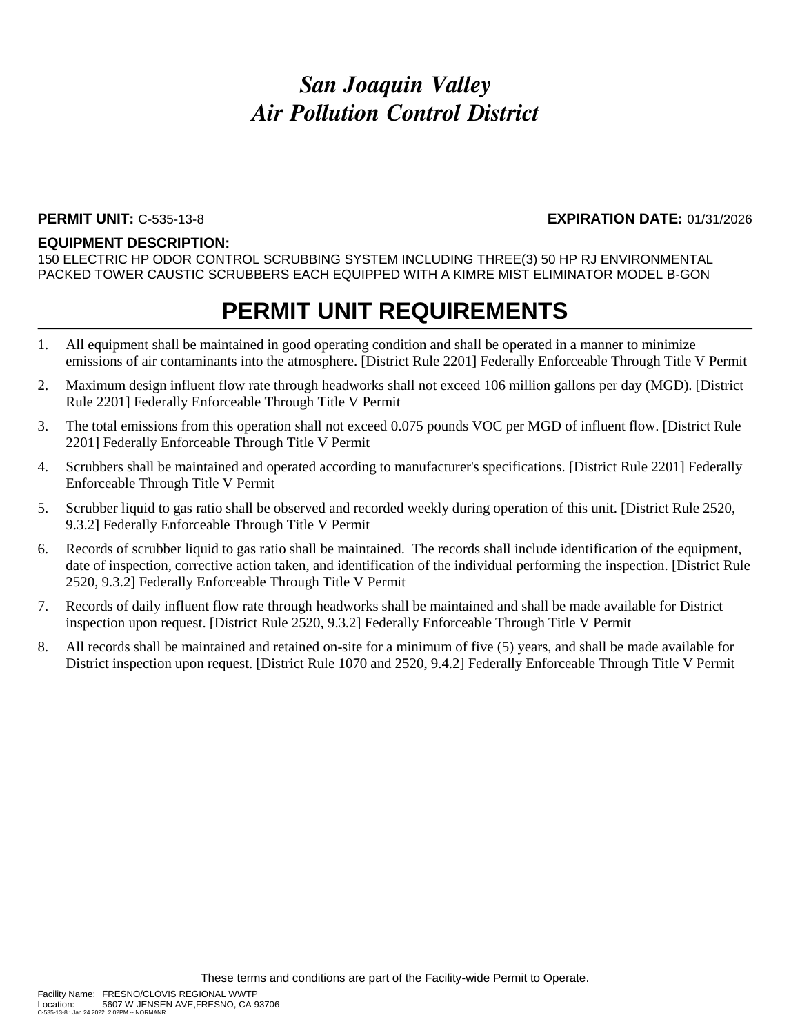#### **PERMIT UNIT:** C-535-13-8 **EXPIRATION DATE:** 01/31/2026

#### **EQUIPMENT DESCRIPTION:**

150 ELECTRIC HP ODOR CONTROL SCRUBBING SYSTEM INCLUDING THREE(3) 50 HP RJ ENVIRONMENTAL PACKED TOWER CAUSTIC SCRUBBERS EACH EQUIPPED WITH A KIMRE MIST ELIMINATOR MODEL B-GON

- 1. All equipment shall be maintained in good operating condition and shall be operated in a manner to minimize emissions of air contaminants into the atmosphere. [District Rule 2201] Federally Enforceable Through Title V Permit
- 2. Maximum design influent flow rate through headworks shall not exceed 106 million gallons per day (MGD). [District Rule 2201] Federally Enforceable Through Title V Permit
- 3. The total emissions from this operation shall not exceed 0.075 pounds VOC per MGD of influent flow. [District Rule 2201] Federally Enforceable Through Title V Permit
- 4. Scrubbers shall be maintained and operated according to manufacturer's specifications. [District Rule 2201] Federally Enforceable Through Title V Permit
- 5. Scrubber liquid to gas ratio shall be observed and recorded weekly during operation of this unit. [District Rule 2520, 9.3.2] Federally Enforceable Through Title V Permit
- 6. Records of scrubber liquid to gas ratio shall be maintained. The records shall include identification of the equipment, date of inspection, corrective action taken, and identification of the individual performing the inspection. [District Rule 2520, 9.3.2] Federally Enforceable Through Title V Permit
- 7. Records of daily influent flow rate through headworks shall be maintained and shall be made available for District inspection upon request. [District Rule 2520, 9.3.2] Federally Enforceable Through Title V Permit
- 8. All records shall be maintained and retained on-site for a minimum of five (5) years, and shall be made available for District inspection upon request. [District Rule 1070 and 2520, 9.4.2] Federally Enforceable Through Title V Permit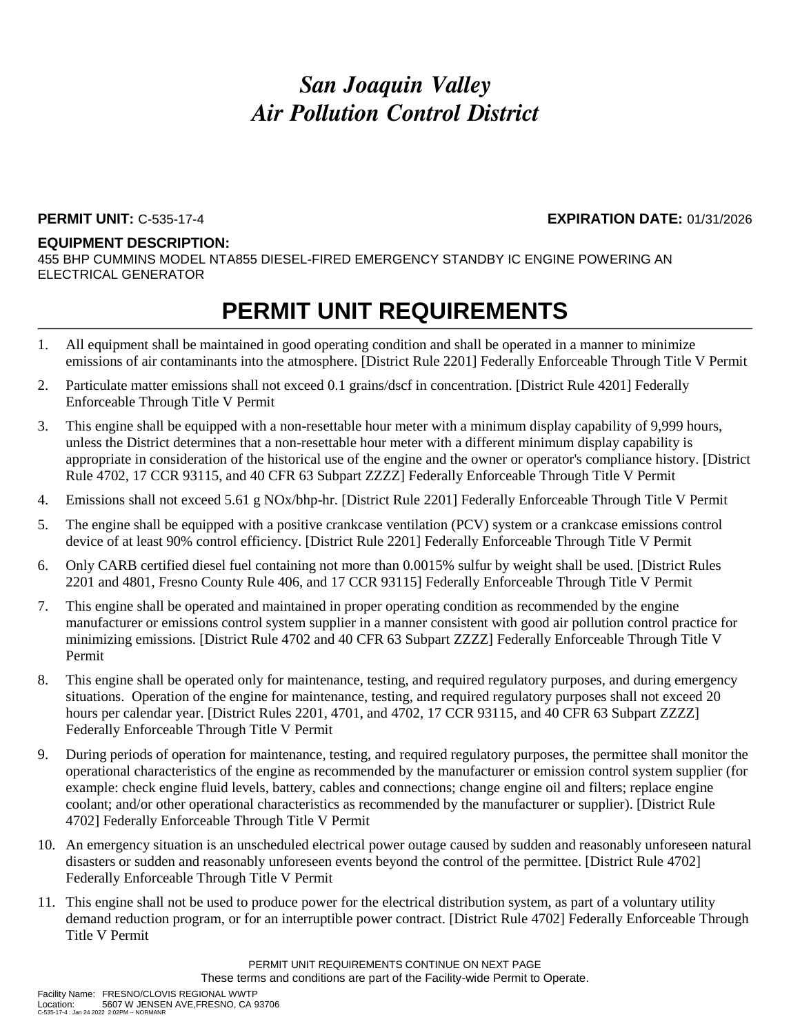### **PERMIT UNIT:** C-535-17-4 **EXPIRATION DATE:** 01/31/2026

#### **EQUIPMENT DESCRIPTION:**

455 BHP CUMMINS MODEL NTA855 DIESEL-FIRED EMERGENCY STANDBY IC ENGINE POWERING AN ELECTRICAL GENERATOR

### **PERMIT UNIT REQUIREMENTS**

- 1. All equipment shall be maintained in good operating condition and shall be operated in a manner to minimize emissions of air contaminants into the atmosphere. [District Rule 2201] Federally Enforceable Through Title V Permit
- 2. Particulate matter emissions shall not exceed 0.1 grains/dscf in concentration. [District Rule 4201] Federally Enforceable Through Title V Permit
- 3. This engine shall be equipped with a non-resettable hour meter with a minimum display capability of 9,999 hours, unless the District determines that a non-resettable hour meter with a different minimum display capability is appropriate in consideration of the historical use of the engine and the owner or operator's compliance history. [District Rule 4702, 17 CCR 93115, and 40 CFR 63 Subpart ZZZZ] Federally Enforceable Through Title V Permit
- 4. Emissions shall not exceed 5.61 g NOx/bhp-hr. [District Rule 2201] Federally Enforceable Through Title V Permit
- 5. The engine shall be equipped with a positive crankcase ventilation (PCV) system or a crankcase emissions control device of at least 90% control efficiency. [District Rule 2201] Federally Enforceable Through Title V Permit
- 6. Only CARB certified diesel fuel containing not more than 0.0015% sulfur by weight shall be used. [District Rules 2201 and 4801, Fresno County Rule 406, and 17 CCR 93115] Federally Enforceable Through Title V Permit
- 7. This engine shall be operated and maintained in proper operating condition as recommended by the engine manufacturer or emissions control system supplier in a manner consistent with good air pollution control practice for minimizing emissions. [District Rule 4702 and 40 CFR 63 Subpart ZZZZ] Federally Enforceable Through Title V Permit
- 8. This engine shall be operated only for maintenance, testing, and required regulatory purposes, and during emergency situations. Operation of the engine for maintenance, testing, and required regulatory purposes shall not exceed 20 hours per calendar year. [District Rules 2201, 4701, and 4702, 17 CCR 93115, and 40 CFR 63 Subpart ZZZZ] Federally Enforceable Through Title V Permit
- 9. During periods of operation for maintenance, testing, and required regulatory purposes, the permittee shall monitor the operational characteristics of the engine as recommended by the manufacturer or emission control system supplier (for example: check engine fluid levels, battery, cables and connections; change engine oil and filters; replace engine coolant; and/or other operational characteristics as recommended by the manufacturer or supplier). [District Rule 4702] Federally Enforceable Through Title V Permit
- 10. An emergency situation is an unscheduled electrical power outage caused by sudden and reasonably unforeseen natural disasters or sudden and reasonably unforeseen events beyond the control of the permittee. [District Rule 4702] Federally Enforceable Through Title V Permit
- 11. This engine shall not be used to produce power for the electrical distribution system, as part of a voluntary utility demand reduction program, or for an interruptible power contract. [District Rule 4702] Federally Enforceable Through Title V Permit

PERMIT UNIT REQUIREMENTS CONTINUE ON NEXT PAGE These terms and conditions are part of the Facility-wide Permit to Operate.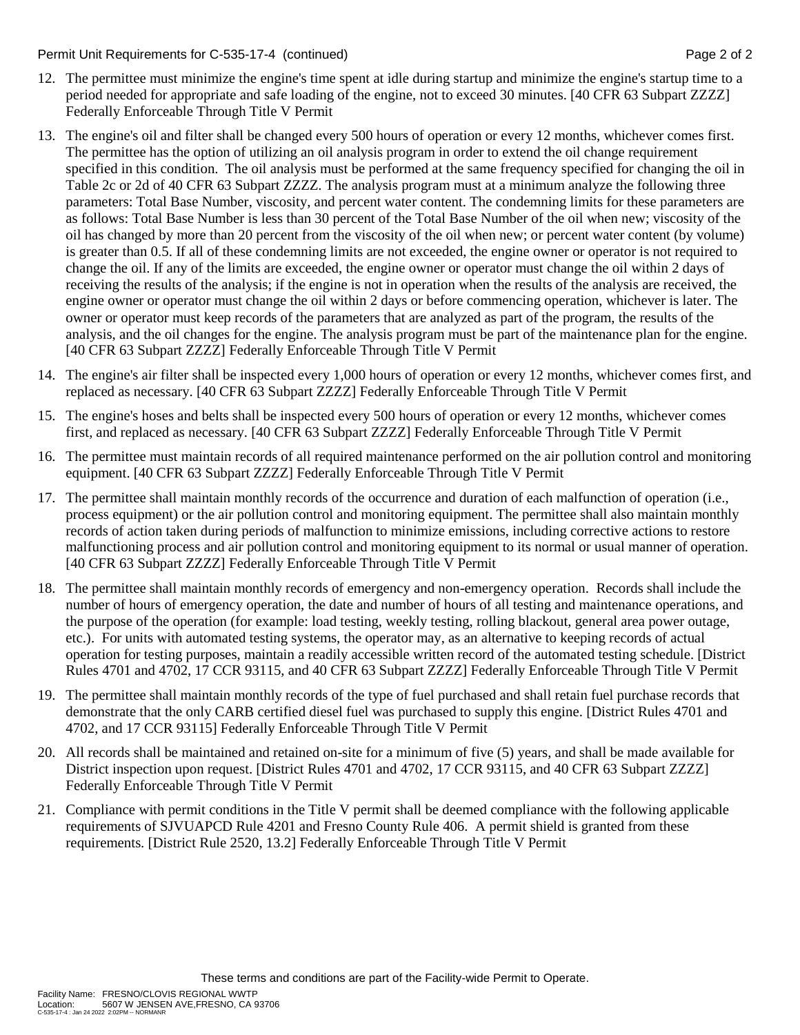#### Permit Unit Requirements for C-535-17-4 (continued) **Page 2** of 2

- 12. The permittee must minimize the engine's time spent at idle during startup and minimize the engine's startup time to a period needed for appropriate and safe loading of the engine, not to exceed 30 minutes. [40 CFR 63 Subpart ZZZZ] Federally Enforceable Through Title V Permit
- 13. The engine's oil and filter shall be changed every 500 hours of operation or every 12 months, whichever comes first. The permittee has the option of utilizing an oil analysis program in order to extend the oil change requirement specified in this condition. The oil analysis must be performed at the same frequency specified for changing the oil in Table 2c or 2d of 40 CFR 63 Subpart ZZZZ. The analysis program must at a minimum analyze the following three parameters: Total Base Number, viscosity, and percent water content. The condemning limits for these parameters are as follows: Total Base Number is less than 30 percent of the Total Base Number of the oil when new; viscosity of the oil has changed by more than 20 percent from the viscosity of the oil when new; or percent water content (by volume) is greater than 0.5. If all of these condemning limits are not exceeded, the engine owner or operator is not required to change the oil. If any of the limits are exceeded, the engine owner or operator must change the oil within 2 days of receiving the results of the analysis; if the engine is not in operation when the results of the analysis are received, the engine owner or operator must change the oil within 2 days or before commencing operation, whichever is later. The owner or operator must keep records of the parameters that are analyzed as part of the program, the results of the analysis, and the oil changes for the engine. The analysis program must be part of the maintenance plan for the engine. [40 CFR 63 Subpart ZZZZ] Federally Enforceable Through Title V Permit
- 14. The engine's air filter shall be inspected every 1,000 hours of operation or every 12 months, whichever comes first, and replaced as necessary. [40 CFR 63 Subpart ZZZZ] Federally Enforceable Through Title V Permit
- 15. The engine's hoses and belts shall be inspected every 500 hours of operation or every 12 months, whichever comes first, and replaced as necessary. [40 CFR 63 Subpart ZZZZ] Federally Enforceable Through Title V Permit
- 16. The permittee must maintain records of all required maintenance performed on the air pollution control and monitoring equipment. [40 CFR 63 Subpart ZZZZ] Federally Enforceable Through Title V Permit
- 17. The permittee shall maintain monthly records of the occurrence and duration of each malfunction of operation (i.e., process equipment) or the air pollution control and monitoring equipment. The permittee shall also maintain monthly records of action taken during periods of malfunction to minimize emissions, including corrective actions to restore malfunctioning process and air pollution control and monitoring equipment to its normal or usual manner of operation. [40 CFR 63 Subpart ZZZZ] Federally Enforceable Through Title V Permit
- 18. The permittee shall maintain monthly records of emergency and non-emergency operation. Records shall include the number of hours of emergency operation, the date and number of hours of all testing and maintenance operations, and the purpose of the operation (for example: load testing, weekly testing, rolling blackout, general area power outage, etc.). For units with automated testing systems, the operator may, as an alternative to keeping records of actual operation for testing purposes, maintain a readily accessible written record of the automated testing schedule. [District Rules 4701 and 4702, 17 CCR 93115, and 40 CFR 63 Subpart ZZZZ] Federally Enforceable Through Title V Permit
- 19. The permittee shall maintain monthly records of the type of fuel purchased and shall retain fuel purchase records that demonstrate that the only CARB certified diesel fuel was purchased to supply this engine. [District Rules 4701 and 4702, and 17 CCR 93115] Federally Enforceable Through Title V Permit
- 20. All records shall be maintained and retained on-site for a minimum of five (5) years, and shall be made available for District inspection upon request. [District Rules 4701 and 4702, 17 CCR 93115, and 40 CFR 63 Subpart ZZZZ] Federally Enforceable Through Title V Permit
- 21. Compliance with permit conditions in the Title V permit shall be deemed compliance with the following applicable requirements of SJVUAPCD Rule 4201 and Fresno County Rule 406. A permit shield is granted from these requirements. [District Rule 2520, 13.2] Federally Enforceable Through Title V Permit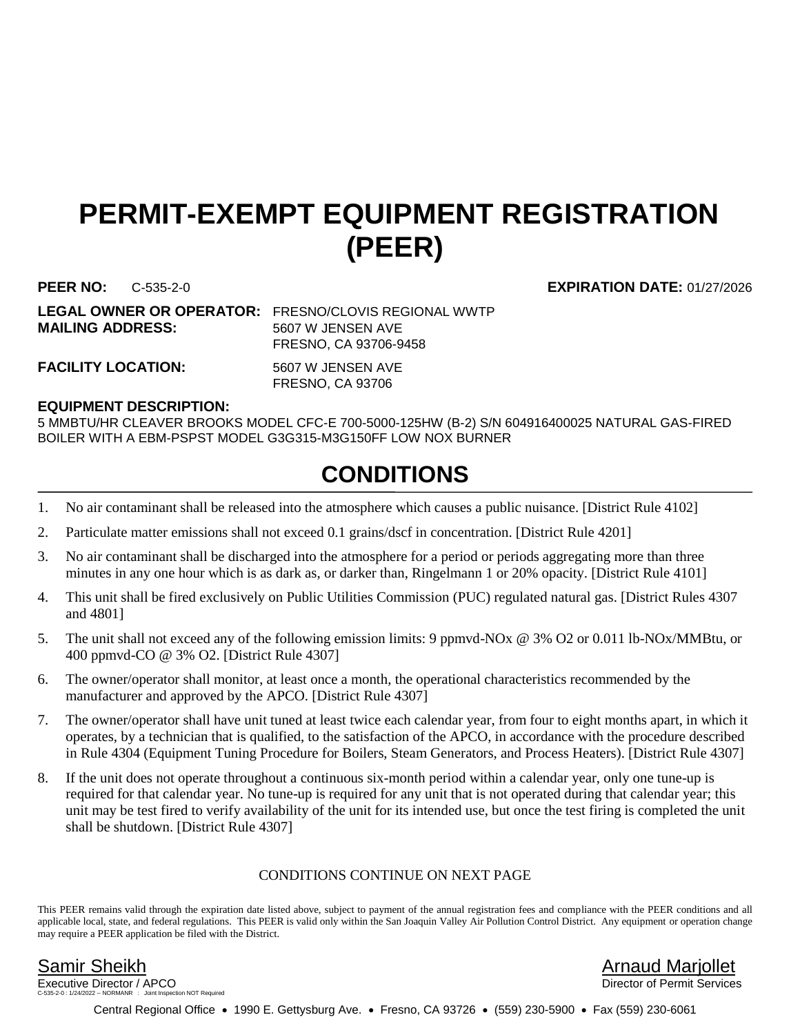## **PERMIT-EXEMPT EQUIPMENT REGISTRATION (PEER)**

**PEER NO:** C-535-2-0 **EXPIRATION DATE:** 01/27/2026

**MAILING ADDRESS:** 5607 W JENSEN AVE

**LEGAL OWNER OR OPERATOR:** FRESNO/CLOVIS REGIONAL WWTP FRESNO, CA 93706-9458

FACILITY LOCATION: 5607 W JENSEN AVE

FRESNO, CA 93706

### **EQUIPMENT DESCRIPTION:**

5 MMBTU/HR CLEAVER BROOKS MODEL CFC-E 700-5000-125HW (B-2) S/N 604916400025 NATURAL GAS-FIRED BOILER WITH A EBM-PSPST MODEL G3G315-M3G150FF LOW NOX BURNER

## **CONDITIONS**

- 1. No air contaminant shall be released into the atmosphere which causes a public nuisance. [District Rule 4102]
- 2. Particulate matter emissions shall not exceed 0.1 grains/dscf in concentration. [District Rule 4201]
- 3. No air contaminant shall be discharged into the atmosphere for a period or periods aggregating more than three minutes in any one hour which is as dark as, or darker than, Ringelmann 1 or 20% opacity. [District Rule 4101]
- 4. This unit shall be fired exclusively on Public Utilities Commission (PUC) regulated natural gas. [District Rules 4307 and 4801]
- 5. The unit shall not exceed any of the following emission limits: 9 ppmvd-NOx @ 3% O2 or 0.011 lb-NOx/MMBtu, or 400 ppmvd-CO @ 3% O2. [District Rule 4307]
- 6. The owner/operator shall monitor, at least once a month, the operational characteristics recommended by the manufacturer and approved by the APCO. [District Rule 4307]
- 7. The owner/operator shall have unit tuned at least twice each calendar year, from four to eight months apart, in which it operates, by a technician that is qualified, to the satisfaction of the APCO, in accordance with the procedure described in Rule 4304 (Equipment Tuning Procedure for Boilers, Steam Generators, and Process Heaters). [District Rule 4307]
- 8. If the unit does not operate throughout a continuous six-month period within a calendar year, only one tune-up is required for that calendar year. No tune-up is required for any unit that is not operated during that calendar year; this unit may be test fired to verify availability of the unit for its intended use, but once the test firing is completed the unit shall be shutdown. [District Rule 4307]

### CONDITIONS CONTINUE ON NEXT PAGE

This PEER remains valid through the expiration date listed above, subject to payment of the annual registration fees and compliance with the PEER conditions and all applicable local, state, and federal regulations. This PEER is valid only within the San Joaquin Valley Air Pollution Control District. Any equipment or operation change may require a PEER application be filed with the District.

Executive Director / APCO tion NOT Required

Samir Sheikh Arnaud Marjollet

Central Regional Office • 1990 E. Gettysburg Ave. • Fresno, CA 93726 • (559) 230-5900 • Fax (559) 230-6061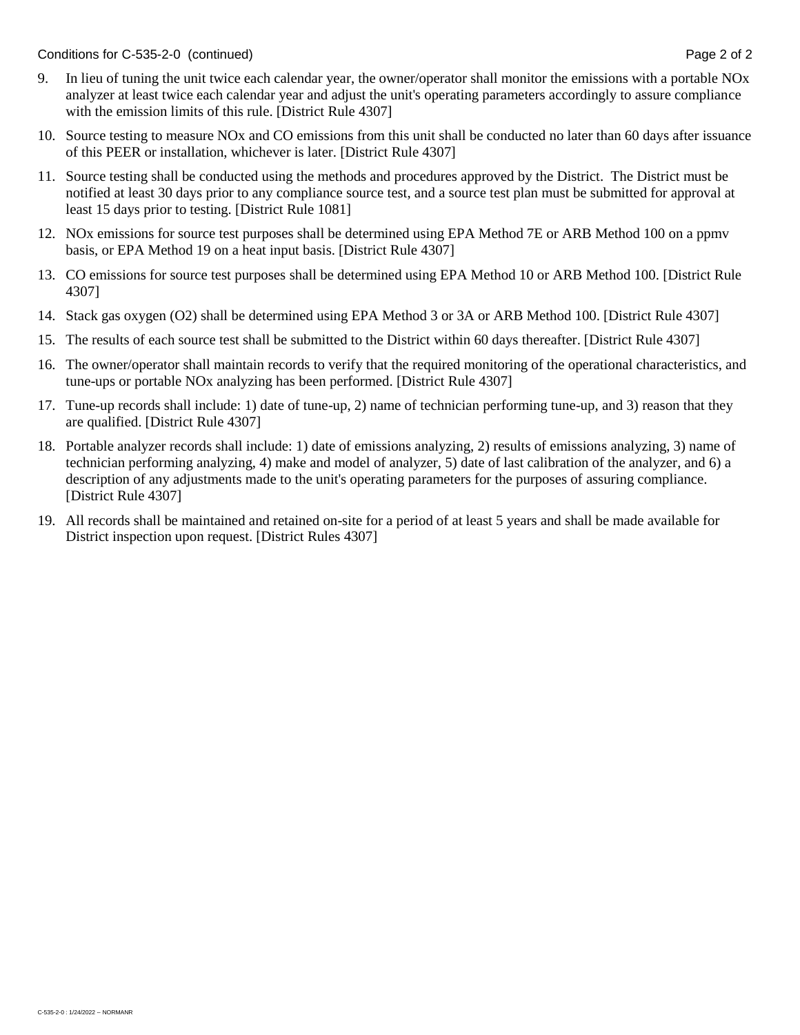Conditions for C-535-2-0 (continued) Conditions for C-535-2-0 (continued)

- 9. In lieu of tuning the unit twice each calendar year, the owner/operator shall monitor the emissions with a portable NOx analyzer at least twice each calendar year and adjust the unit's operating parameters accordingly to assure compliance with the emission limits of this rule. [District Rule 4307]
- 10. Source testing to measure NOx and CO emissions from this unit shall be conducted no later than 60 days after issuance of this PEER or installation, whichever is later. [District Rule 4307]
- 11. Source testing shall be conducted using the methods and procedures approved by the District. The District must be notified at least 30 days prior to any compliance source test, and a source test plan must be submitted for approval at least 15 days prior to testing. [District Rule 1081]
- 12. NOx emissions for source test purposes shall be determined using EPA Method 7E or ARB Method 100 on a ppmv basis, or EPA Method 19 on a heat input basis. [District Rule 4307]
- 13. CO emissions for source test purposes shall be determined using EPA Method 10 or ARB Method 100. [District Rule 4307]
- 14. Stack gas oxygen (O2) shall be determined using EPA Method 3 or 3A or ARB Method 100. [District Rule 4307]
- 15. The results of each source test shall be submitted to the District within 60 days thereafter. [District Rule 4307]
- 16. The owner/operator shall maintain records to verify that the required monitoring of the operational characteristics, and tune-ups or portable NOx analyzing has been performed. [District Rule 4307]
- 17. Tune-up records shall include: 1) date of tune-up, 2) name of technician performing tune-up, and 3) reason that they are qualified. [District Rule 4307]
- 18. Portable analyzer records shall include: 1) date of emissions analyzing, 2) results of emissions analyzing, 3) name of technician performing analyzing, 4) make and model of analyzer, 5) date of last calibration of the analyzer, and 6) a description of any adjustments made to the unit's operating parameters for the purposes of assuring compliance. [District Rule 4307]
- 19. All records shall be maintained and retained on-site for a period of at least 5 years and shall be made available for District inspection upon request. [District Rules 4307]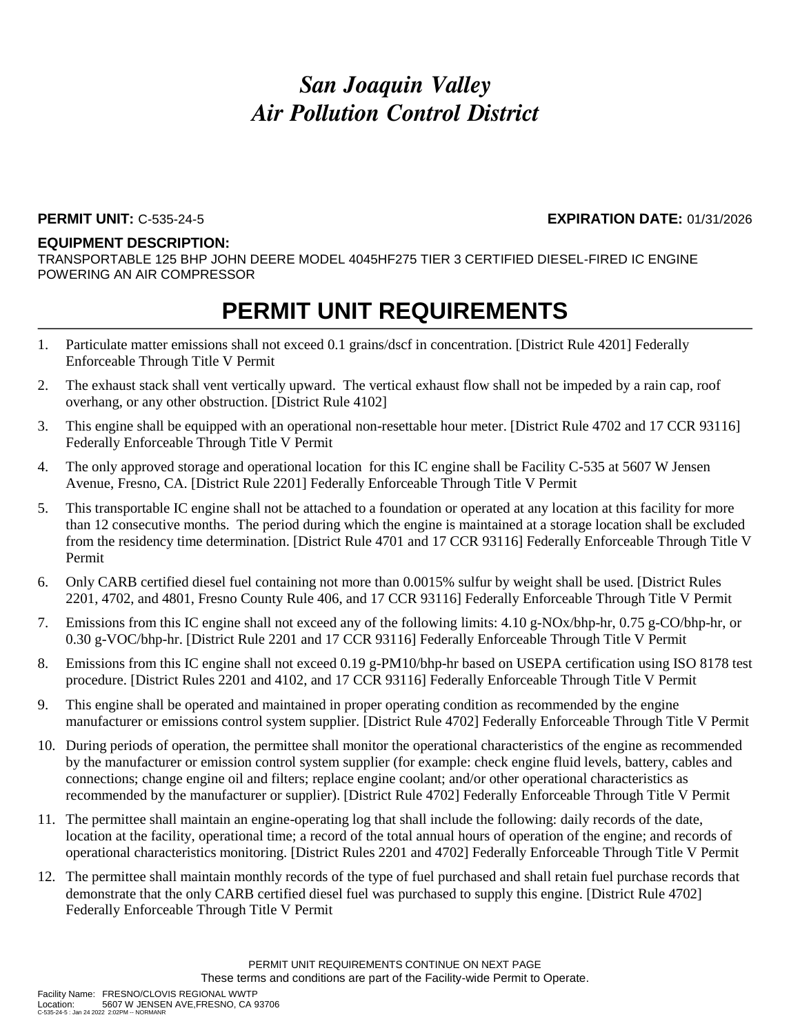### **PERMIT UNIT:** C-535-24-5 **EXPIRATION DATE:** 01/31/2026

#### **EQUIPMENT DESCRIPTION:**

TRANSPORTABLE 125 BHP JOHN DEERE MODEL 4045HF275 TIER 3 CERTIFIED DIESEL-FIRED IC ENGINE POWERING AN AIR COMPRESSOR

- 1. Particulate matter emissions shall not exceed 0.1 grains/dscf in concentration. [District Rule 4201] Federally Enforceable Through Title V Permit
- 2. The exhaust stack shall vent vertically upward. The vertical exhaust flow shall not be impeded by a rain cap, roof overhang, or any other obstruction. [District Rule 4102]
- 3. This engine shall be equipped with an operational non-resettable hour meter. [District Rule 4702 and 17 CCR 93116] Federally Enforceable Through Title V Permit
- 4. The only approved storage and operational location for this IC engine shall be Facility C-535 at 5607 W Jensen Avenue, Fresno, CA. [District Rule 2201] Federally Enforceable Through Title V Permit
- 5. This transportable IC engine shall not be attached to a foundation or operated at any location at this facility for more than 12 consecutive months. The period during which the engine is maintained at a storage location shall be excluded from the residency time determination. [District Rule 4701 and 17 CCR 93116] Federally Enforceable Through Title V Permit
- 6. Only CARB certified diesel fuel containing not more than 0.0015% sulfur by weight shall be used. [District Rules 2201, 4702, and 4801, Fresno County Rule 406, and 17 CCR 93116] Federally Enforceable Through Title V Permit
- 7. Emissions from this IC engine shall not exceed any of the following limits: 4.10 g-NOx/bhp-hr, 0.75 g-CO/bhp-hr, or 0.30 g-VOC/bhp-hr. [District Rule 2201 and 17 CCR 93116] Federally Enforceable Through Title V Permit
- 8. Emissions from this IC engine shall not exceed 0.19 g-PM10/bhp-hr based on USEPA certification using ISO 8178 test procedure. [District Rules 2201 and 4102, and 17 CCR 93116] Federally Enforceable Through Title V Permit
- 9. This engine shall be operated and maintained in proper operating condition as recommended by the engine manufacturer or emissions control system supplier. [District Rule 4702] Federally Enforceable Through Title V Permit
- 10. During periods of operation, the permittee shall monitor the operational characteristics of the engine as recommended by the manufacturer or emission control system supplier (for example: check engine fluid levels, battery, cables and connections; change engine oil and filters; replace engine coolant; and/or other operational characteristics as recommended by the manufacturer or supplier). [District Rule 4702] Federally Enforceable Through Title V Permit
- 11. The permittee shall maintain an engine-operating log that shall include the following: daily records of the date, location at the facility, operational time; a record of the total annual hours of operation of the engine; and records of operational characteristics monitoring. [District Rules 2201 and 4702] Federally Enforceable Through Title V Permit
- 12. The permittee shall maintain monthly records of the type of fuel purchased and shall retain fuel purchase records that demonstrate that the only CARB certified diesel fuel was purchased to supply this engine. [District Rule 4702] Federally Enforceable Through Title V Permit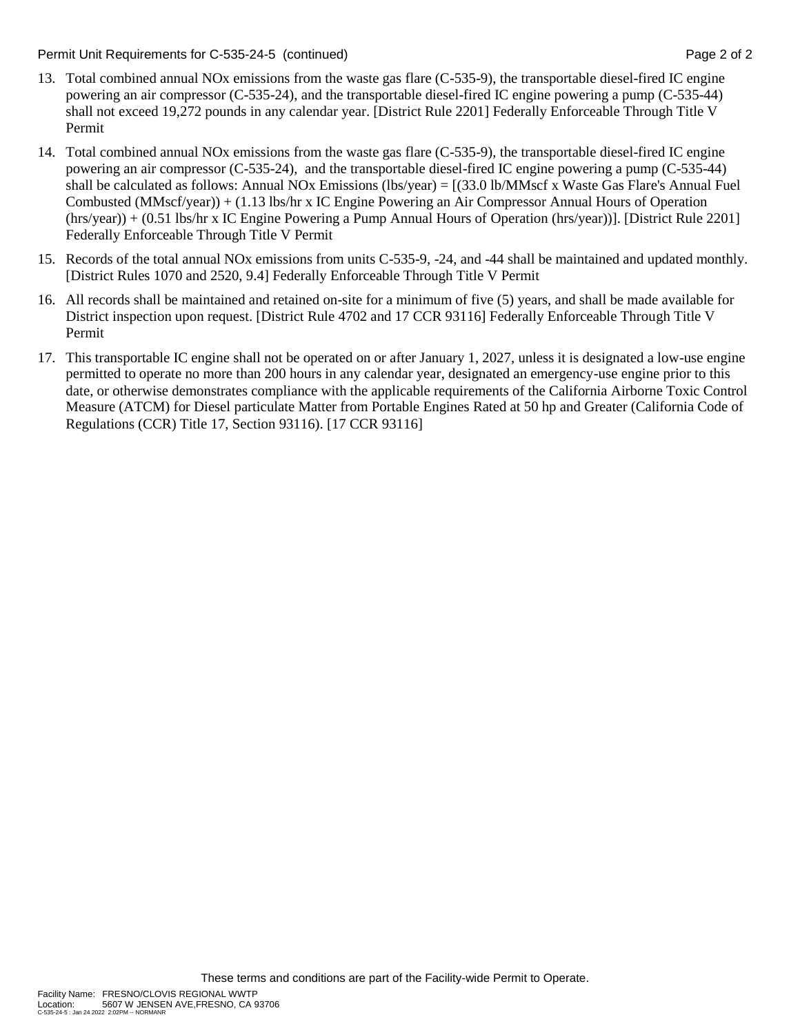Permit Unit Requirements for C-535-24-5 (continued) **Page 2** of 2

- 13. Total combined annual NOx emissions from the waste gas flare (C-535-9), the transportable diesel-fired IC engine powering an air compressor (C-535-24), and the transportable diesel-fired IC engine powering a pump (C-535-44) shall not exceed 19,272 pounds in any calendar year. [District Rule 2201] Federally Enforceable Through Title V Permit
- 14. Total combined annual NOx emissions from the waste gas flare (C-535-9), the transportable diesel-fired IC engine powering an air compressor (C-535-24), and the transportable diesel-fired IC engine powering a pump (C-535-44) shall be calculated as follows: Annual NOx Emissions (lbs/year) = [(33.0 lb/MMscf x Waste Gas Flare's Annual Fuel Combusted (MMscf/year)) + (1.13 lbs/hr x IC Engine Powering an Air Compressor Annual Hours of Operation (hrs/year)) + (0.51 lbs/hr x IC Engine Powering a Pump Annual Hours of Operation (hrs/year))]. [District Rule 2201] Federally Enforceable Through Title V Permit
- 15. Records of the total annual NOx emissions from units C-535-9, -24, and -44 shall be maintained and updated monthly. [District Rules 1070 and 2520, 9.4] Federally Enforceable Through Title V Permit
- 16. All records shall be maintained and retained on-site for a minimum of five (5) years, and shall be made available for District inspection upon request. [District Rule 4702 and 17 CCR 93116] Federally Enforceable Through Title V Permit
- 17. This transportable IC engine shall not be operated on or after January 1, 2027, unless it is designated a low-use engine permitted to operate no more than 200 hours in any calendar year, designated an emergency-use engine prior to this date, or otherwise demonstrates compliance with the applicable requirements of the California Airborne Toxic Control Measure (ATCM) for Diesel particulate Matter from Portable Engines Rated at 50 hp and Greater (California Code of Regulations (CCR) Title 17, Section 93116). [17 CCR 93116]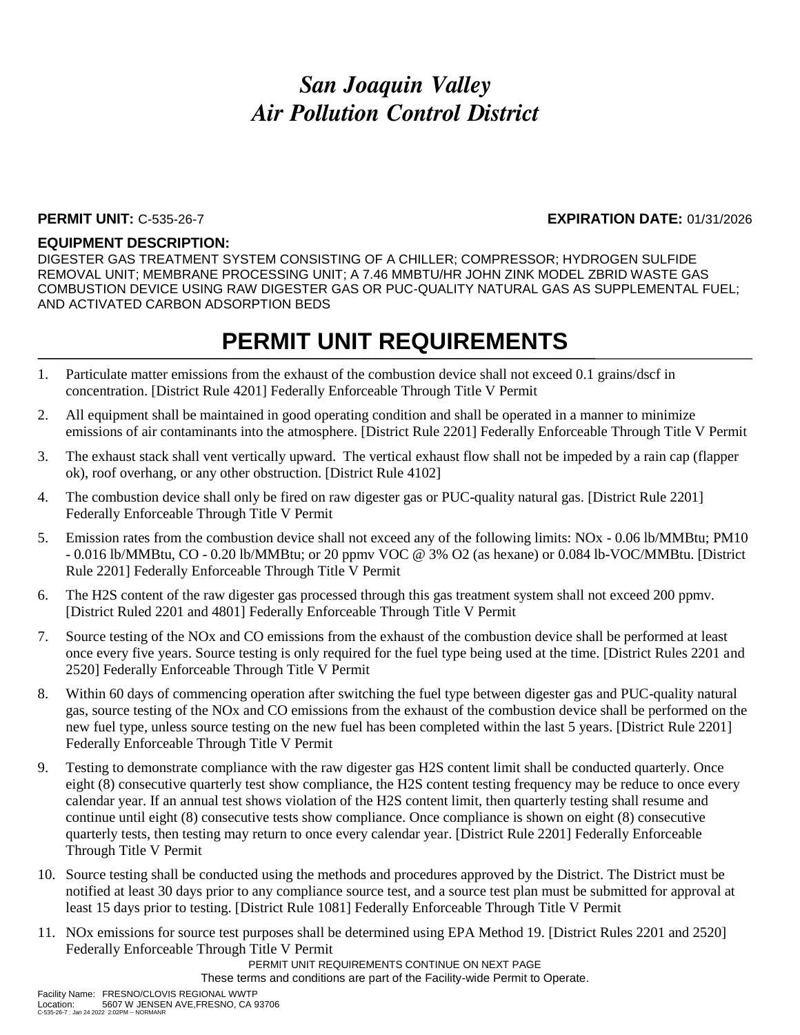### **PERMIT UNIT:** C-535-26-7 **EXPIRATION DATE:** 01/31/2026

### **EQUIPMENT DESCRIPTION:**

DIGESTER GAS TREATMENT SYSTEM CONSISTING OF A CHILLER; COMPRESSOR; HYDROGEN SULFIDE REMOVAL UNIT; MEMBRANE PROCESSING UNIT; A 7.46 MMBTU/HR JOHN ZINK MODEL ZBRID WASTE GAS COMBUSTION DEVICE USING RAW DIGESTER GAS OR PUC-QUALITY NATURAL GAS AS SUPPLEMENTAL FUEL; AND ACTIVATED CARBON ADSORPTION BEDS

### **PERMIT UNIT REQUIREMENTS**

- 1. Particulate matter emissions from the exhaust of the combustion device shall not exceed 0.1 grains/dscf in concentration. [District Rule 4201] Federally Enforceable Through Title V Permit
- 2. All equipment shall be maintained in good operating condition and shall be operated in a manner to minimize emissions of air contaminants into the atmosphere. [District Rule 2201] Federally Enforceable Through Title V Permit
- 3. The exhaust stack shall vent vertically upward. The vertical exhaust flow shall not be impeded by a rain cap (flapper ok), roof overhang, or any other obstruction. [District Rule 4102]
- 4. The combustion device shall only be fired on raw digester gas or PUC-quality natural gas. [District Rule 2201] Federally Enforceable Through Title V Permit
- 5. Emission rates from the combustion device shall not exceed any of the following limits: NOx 0.06 lb/MMBtu; PM10 - 0.016 lb/MMBtu, CO - 0.20 lb/MMBtu; or 20 ppmv VOC @ 3% O2 (as hexane) or 0.084 lb-VOC/MMBtu. [District Rule 2201] Federally Enforceable Through Title V Permit
- 6. The H2S content of the raw digester gas processed through this gas treatment system shall not exceed 200 ppmv. [District Ruled 2201 and 4801] Federally Enforceable Through Title V Permit
- 7. Source testing of the NOx and CO emissions from the exhaust of the combustion device shall be performed at least once every five years. Source testing is only required for the fuel type being used at the time. [District Rules 2201 and 2520] Federally Enforceable Through Title V Permit
- 8. Within 60 days of commencing operation after switching the fuel type between digester gas and PUC-quality natural gas, source testing of the NOx and CO emissions from the exhaust of the combustion device shall be performed on the new fuel type, unless source testing on the new fuel has been completed within the last 5 years. [District Rule 2201] Federally Enforceable Through Title V Permit
- 9. Testing to demonstrate compliance with the raw digester gas H2S content limit shall be conducted quarterly. Once eight (8) consecutive quarterly test show compliance, the H2S content testing frequency may be reduce to once every calendar year. If an annual test shows violation of the H2S content limit, then quarterly testing shall resume and continue until eight (8) consecutive tests show compliance. Once compliance is shown on eight (8) consecutive quarterly tests, then testing may return to once every calendar year. [District Rule 2201] Federally Enforceable Through Title V Permit
- 10. Source testing shall be conducted using the methods and procedures approved by the District. The District must be notified at least 30 days prior to any compliance source test, and a source test plan must be submitted for approval at least 15 days prior to testing. [District Rule 1081] Federally Enforceable Through Title V Permit
- 11. NOx emissions for source test purposes shall be determined using EPA Method 19. [District Rules 2201 and 2520] Federally Enforceable Through Title V Permit

PERMIT UNIT REQUIREMENTS CONTINUE ON NEXT PAGE

These terms and conditions are part of the Facility-wide Permit to Operate.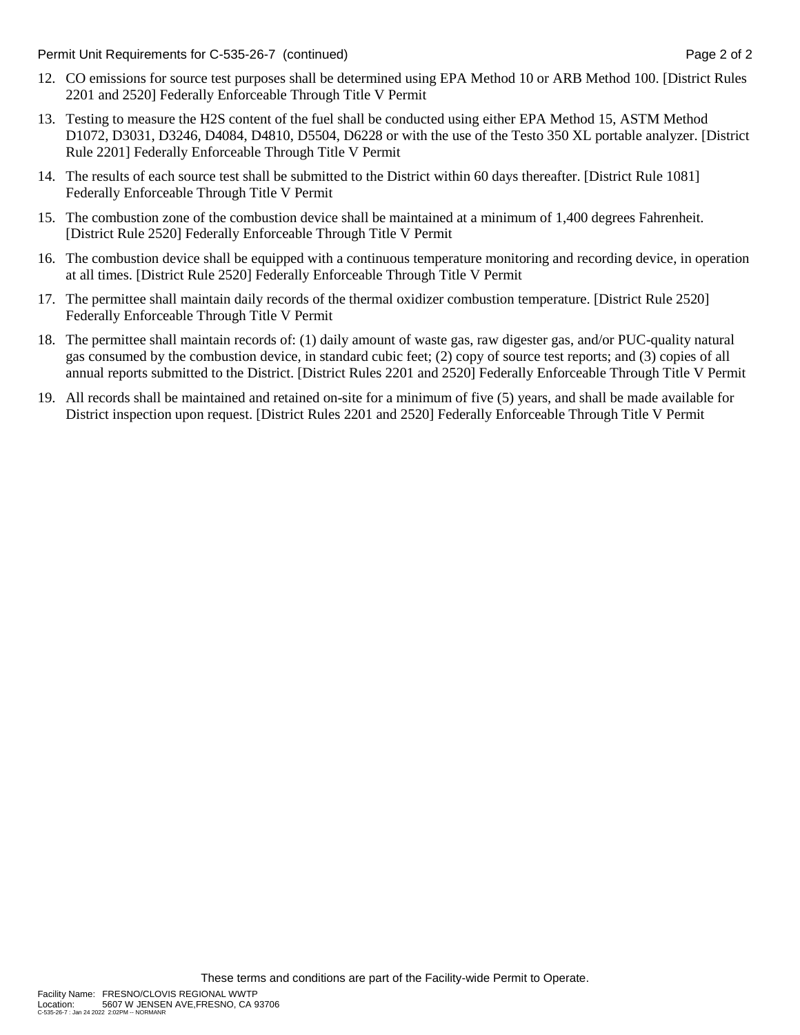Permit Unit Requirements for C-535-26-7 (continued) **Page 2** of 2

- 12. CO emissions for source test purposes shall be determined using EPA Method 10 or ARB Method 100. [District Rules 2201 and 2520] Federally Enforceable Through Title V Permit
- 13. Testing to measure the H2S content of the fuel shall be conducted using either EPA Method 15, ASTM Method D1072, D3031, D3246, D4084, D4810, D5504, D6228 or with the use of the Testo 350 XL portable analyzer. [District Rule 2201] Federally Enforceable Through Title V Permit
- 14. The results of each source test shall be submitted to the District within 60 days thereafter. [District Rule 1081] Federally Enforceable Through Title V Permit
- 15. The combustion zone of the combustion device shall be maintained at a minimum of 1,400 degrees Fahrenheit. [District Rule 2520] Federally Enforceable Through Title V Permit
- 16. The combustion device shall be equipped with a continuous temperature monitoring and recording device, in operation at all times. [District Rule 2520] Federally Enforceable Through Title V Permit
- 17. The permittee shall maintain daily records of the thermal oxidizer combustion temperature. [District Rule 2520] Federally Enforceable Through Title V Permit
- 18. The permittee shall maintain records of: (1) daily amount of waste gas, raw digester gas, and/or PUC-quality natural gas consumed by the combustion device, in standard cubic feet; (2) copy of source test reports; and (3) copies of all annual reports submitted to the District. [District Rules 2201 and 2520] Federally Enforceable Through Title V Permit
- 19. All records shall be maintained and retained on-site for a minimum of five (5) years, and shall be made available for District inspection upon request. [District Rules 2201 and 2520] Federally Enforceable Through Title V Permit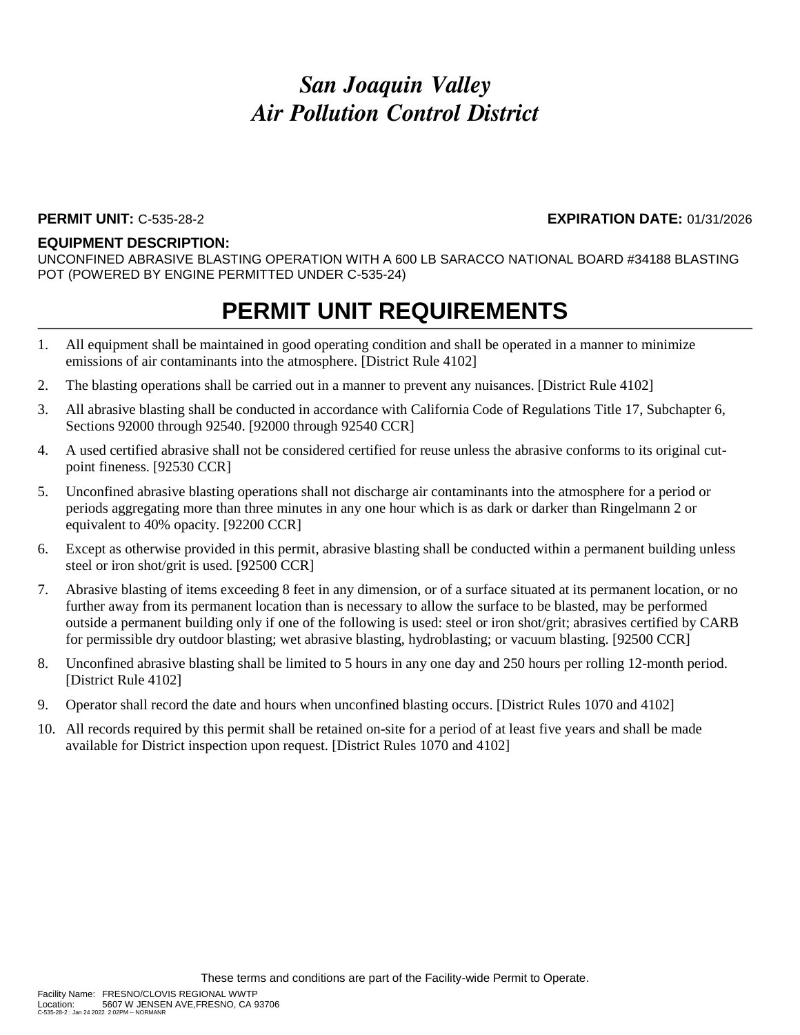#### **PERMIT UNIT:** C-535-28-2 **EXPIRATION DATE:** 01/31/2026

#### **EQUIPMENT DESCRIPTION:**

UNCONFINED ABRASIVE BLASTING OPERATION WITH A 600 LB SARACCO NATIONAL BOARD #34188 BLASTING POT (POWERED BY ENGINE PERMITTED UNDER C-535-24)

- 1. All equipment shall be maintained in good operating condition and shall be operated in a manner to minimize emissions of air contaminants into the atmosphere. [District Rule 4102]
- 2. The blasting operations shall be carried out in a manner to prevent any nuisances. [District Rule 4102]
- 3. All abrasive blasting shall be conducted in accordance with California Code of Regulations Title 17, Subchapter 6, Sections 92000 through 92540. [92000 through 92540 CCR]
- 4. A used certified abrasive shall not be considered certified for reuse unless the abrasive conforms to its original cutpoint fineness. [92530 CCR]
- 5. Unconfined abrasive blasting operations shall not discharge air contaminants into the atmosphere for a period or periods aggregating more than three minutes in any one hour which is as dark or darker than Ringelmann 2 or equivalent to 40% opacity. [92200 CCR]
- 6. Except as otherwise provided in this permit, abrasive blasting shall be conducted within a permanent building unless steel or iron shot/grit is used. [92500 CCR]
- 7. Abrasive blasting of items exceeding 8 feet in any dimension, or of a surface situated at its permanent location, or no further away from its permanent location than is necessary to allow the surface to be blasted, may be performed outside a permanent building only if one of the following is used: steel or iron shot/grit; abrasives certified by CARB for permissible dry outdoor blasting; wet abrasive blasting, hydroblasting; or vacuum blasting. [92500 CCR]
- 8. Unconfined abrasive blasting shall be limited to 5 hours in any one day and 250 hours per rolling 12-month period. [District Rule 4102]
- 9. Operator shall record the date and hours when unconfined blasting occurs. [District Rules 1070 and 4102]
- 10. All records required by this permit shall be retained on-site for a period of at least five years and shall be made available for District inspection upon request. [District Rules 1070 and 4102]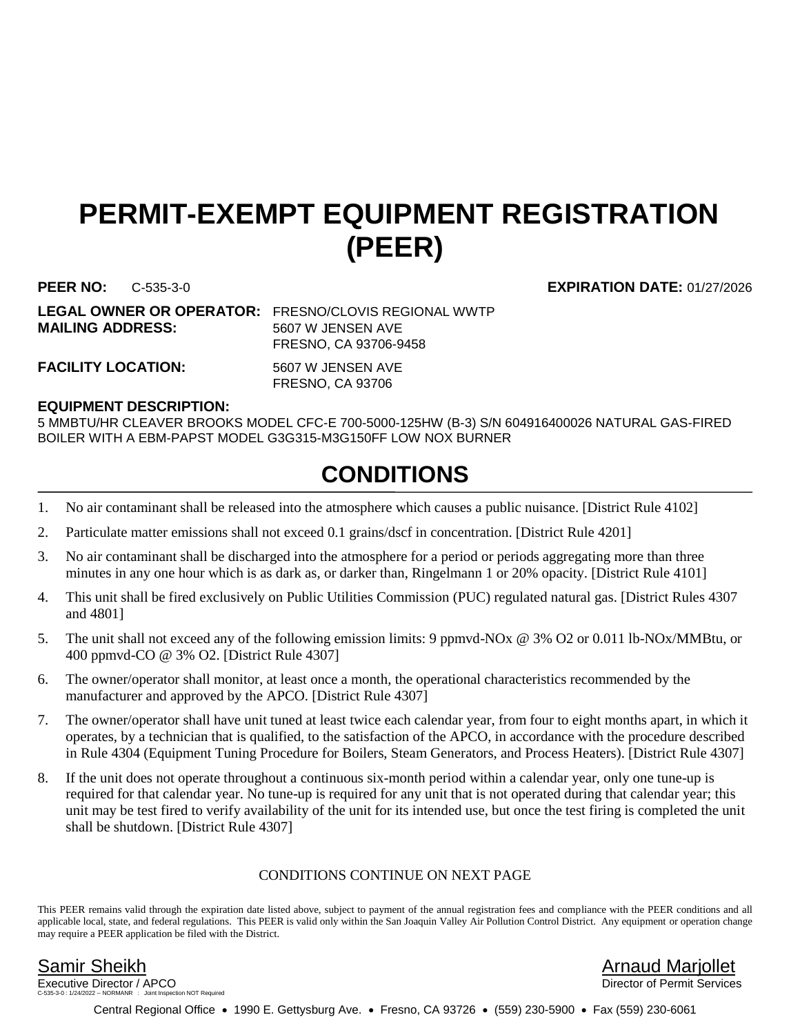## **PERMIT-EXEMPT EQUIPMENT REGISTRATION (PEER)**

**LEGAL OWNER OR OPERATOR:** FRESNO/CLOVIS REGIONAL WWTP **MAILING ADDRESS:** 5607 W JENSEN AVE

FRESNO, CA 93706-9458

FACILITY LOCATION: 5607 W JENSEN AVE

FRESNO, CA 93706

### **EQUIPMENT DESCRIPTION:**

5 MMBTU/HR CLEAVER BROOKS MODEL CFC-E 700-5000-125HW (B-3) S/N 604916400026 NATURAL GAS-FIRED BOILER WITH A EBM-PAPST MODEL G3G315-M3G150FF LOW NOX BURNER

## **CONDITIONS**

- 1. No air contaminant shall be released into the atmosphere which causes a public nuisance. [District Rule 4102]
- 2. Particulate matter emissions shall not exceed 0.1 grains/dscf in concentration. [District Rule 4201]
- 3. No air contaminant shall be discharged into the atmosphere for a period or periods aggregating more than three minutes in any one hour which is as dark as, or darker than, Ringelmann 1 or 20% opacity. [District Rule 4101]
- 4. This unit shall be fired exclusively on Public Utilities Commission (PUC) regulated natural gas. [District Rules 4307 and 4801]
- 5. The unit shall not exceed any of the following emission limits: 9 ppmvd-NOx @ 3% O2 or 0.011 lb-NOx/MMBtu, or 400 ppmvd-CO @ 3% O2. [District Rule 4307]
- 6. The owner/operator shall monitor, at least once a month, the operational characteristics recommended by the manufacturer and approved by the APCO. [District Rule 4307]
- 7. The owner/operator shall have unit tuned at least twice each calendar year, from four to eight months apart, in which it operates, by a technician that is qualified, to the satisfaction of the APCO, in accordance with the procedure described in Rule 4304 (Equipment Tuning Procedure for Boilers, Steam Generators, and Process Heaters). [District Rule 4307]
- 8. If the unit does not operate throughout a continuous six-month period within a calendar year, only one tune-up is required for that calendar year. No tune-up is required for any unit that is not operated during that calendar year; this unit may be test fired to verify availability of the unit for its intended use, but once the test firing is completed the unit shall be shutdown. [District Rule 4307]

### CONDITIONS CONTINUE ON NEXT PAGE

This PEER remains valid through the expiration date listed above, subject to payment of the annual registration fees and compliance with the PEER conditions and all applicable local, state, and federal regulations. This PEER is valid only within the San Joaquin Valley Air Pollution Control District. Any equipment or operation change may require a PEER application be filed with the District.

Executive Director / APCO tion NOT Required

Samir Sheikh Arnaud Marjollet

Central Regional Office • 1990 E. Gettysburg Ave. • Fresno, CA 93726 • (559) 230-5900 • Fax (559) 230-6061

**PEER NO:** C-535-3-0 **EXPIRATION DATE:** 01/27/2026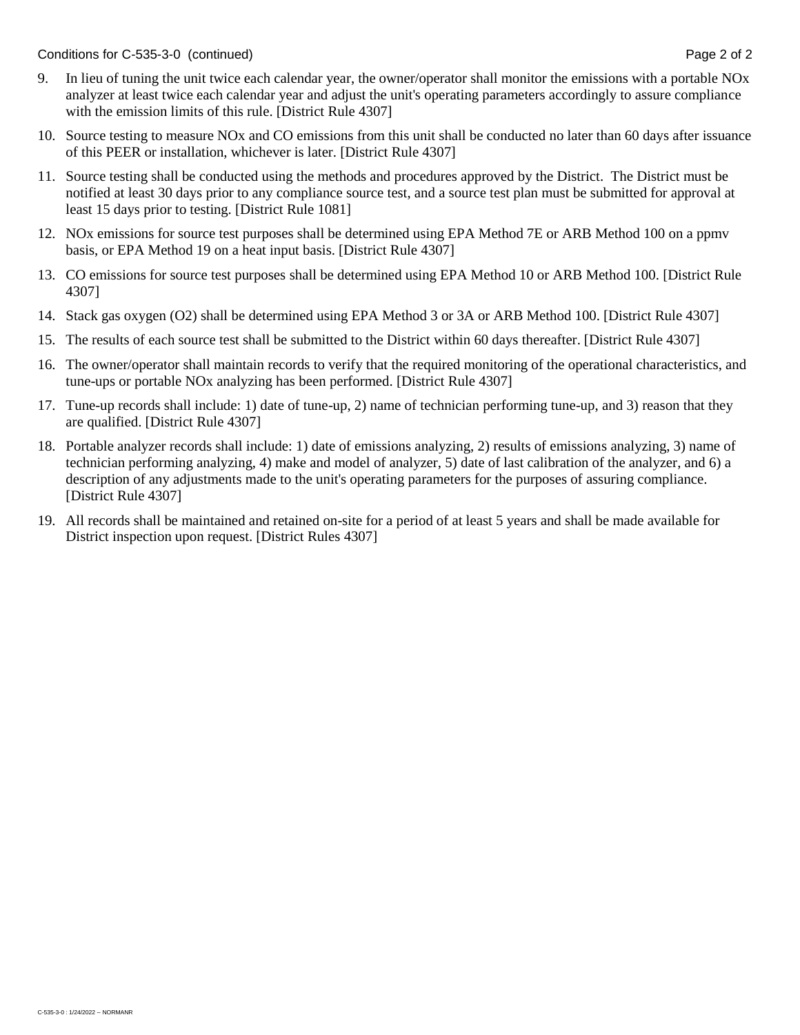Conditions for C-535-3-0 (continued) Conditions for C-535-3-0 (continued)

- 9. In lieu of tuning the unit twice each calendar year, the owner/operator shall monitor the emissions with a portable NOx analyzer at least twice each calendar year and adjust the unit's operating parameters accordingly to assure compliance with the emission limits of this rule. [District Rule 4307]
- 10. Source testing to measure NOx and CO emissions from this unit shall be conducted no later than 60 days after issuance of this PEER or installation, whichever is later. [District Rule 4307]
- 11. Source testing shall be conducted using the methods and procedures approved by the District. The District must be notified at least 30 days prior to any compliance source test, and a source test plan must be submitted for approval at least 15 days prior to testing. [District Rule 1081]
- 12. NOx emissions for source test purposes shall be determined using EPA Method 7E or ARB Method 100 on a ppmv basis, or EPA Method 19 on a heat input basis. [District Rule 4307]
- 13. CO emissions for source test purposes shall be determined using EPA Method 10 or ARB Method 100. [District Rule 4307]
- 14. Stack gas oxygen (O2) shall be determined using EPA Method 3 or 3A or ARB Method 100. [District Rule 4307]
- 15. The results of each source test shall be submitted to the District within 60 days thereafter. [District Rule 4307]
- 16. The owner/operator shall maintain records to verify that the required monitoring of the operational characteristics, and tune-ups or portable NOx analyzing has been performed. [District Rule 4307]
- 17. Tune-up records shall include: 1) date of tune-up, 2) name of technician performing tune-up, and 3) reason that they are qualified. [District Rule 4307]
- 18. Portable analyzer records shall include: 1) date of emissions analyzing, 2) results of emissions analyzing, 3) name of technician performing analyzing, 4) make and model of analyzer, 5) date of last calibration of the analyzer, and 6) a description of any adjustments made to the unit's operating parameters for the purposes of assuring compliance. [District Rule 4307]
- 19. All records shall be maintained and retained on-site for a period of at least 5 years and shall be made available for District inspection upon request. [District Rules 4307]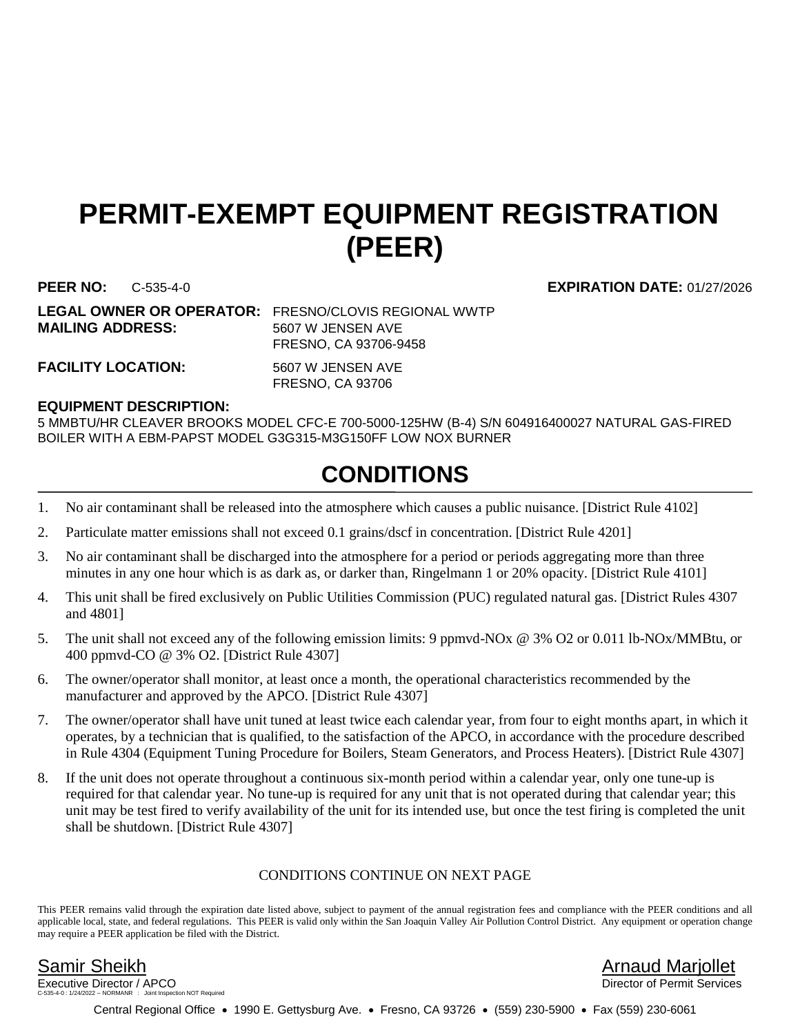## **PERMIT-EXEMPT EQUIPMENT REGISTRATION (PEER)**

**PEER NO:** C-535-4-0 **EXPIRATION DATE:** 01/27/2026

**MAILING ADDRESS:** 5607 W JENSEN AVE

**LEGAL OWNER OR OPERATOR:** FRESNO/CLOVIS REGIONAL WWTP FRESNO, CA 93706-9458

FACILITY LOCATION: 5607 W JENSEN AVE

FRESNO, CA 93706

### **EQUIPMENT DESCRIPTION:**

5 MMBTU/HR CLEAVER BROOKS MODEL CFC-E 700-5000-125HW (B-4) S/N 604916400027 NATURAL GAS-FIRED BOILER WITH A EBM-PAPST MODEL G3G315-M3G150FF LOW NOX BURNER

## **CONDITIONS**

- 1. No air contaminant shall be released into the atmosphere which causes a public nuisance. [District Rule 4102]
- 2. Particulate matter emissions shall not exceed 0.1 grains/dscf in concentration. [District Rule 4201]
- 3. No air contaminant shall be discharged into the atmosphere for a period or periods aggregating more than three minutes in any one hour which is as dark as, or darker than, Ringelmann 1 or 20% opacity. [District Rule 4101]
- 4. This unit shall be fired exclusively on Public Utilities Commission (PUC) regulated natural gas. [District Rules 4307 and 4801]
- 5. The unit shall not exceed any of the following emission limits: 9 ppmvd-NOx @ 3% O2 or 0.011 lb-NOx/MMBtu, or 400 ppmvd-CO @ 3% O2. [District Rule 4307]
- 6. The owner/operator shall monitor, at least once a month, the operational characteristics recommended by the manufacturer and approved by the APCO. [District Rule 4307]
- 7. The owner/operator shall have unit tuned at least twice each calendar year, from four to eight months apart, in which it operates, by a technician that is qualified, to the satisfaction of the APCO, in accordance with the procedure described in Rule 4304 (Equipment Tuning Procedure for Boilers, Steam Generators, and Process Heaters). [District Rule 4307]
- 8. If the unit does not operate throughout a continuous six-month period within a calendar year, only one tune-up is required for that calendar year. No tune-up is required for any unit that is not operated during that calendar year; this unit may be test fired to verify availability of the unit for its intended use, but once the test firing is completed the unit shall be shutdown. [District Rule 4307]

### CONDITIONS CONTINUE ON NEXT PAGE

This PEER remains valid through the expiration date listed above, subject to payment of the annual registration fees and compliance with the PEER conditions and all applicable local, state, and federal regulations. This PEER is valid only within the San Joaquin Valley Air Pollution Control District. Any equipment or operation change may require a PEER application be filed with the District.

Executive Director / APCO tion NOT Required

Samir Sheikh Arnaud Marjollet

Central Regional Office • 1990 E. Gettysburg Ave. • Fresno, CA 93726 • (559) 230-5900 • Fax (559) 230-6061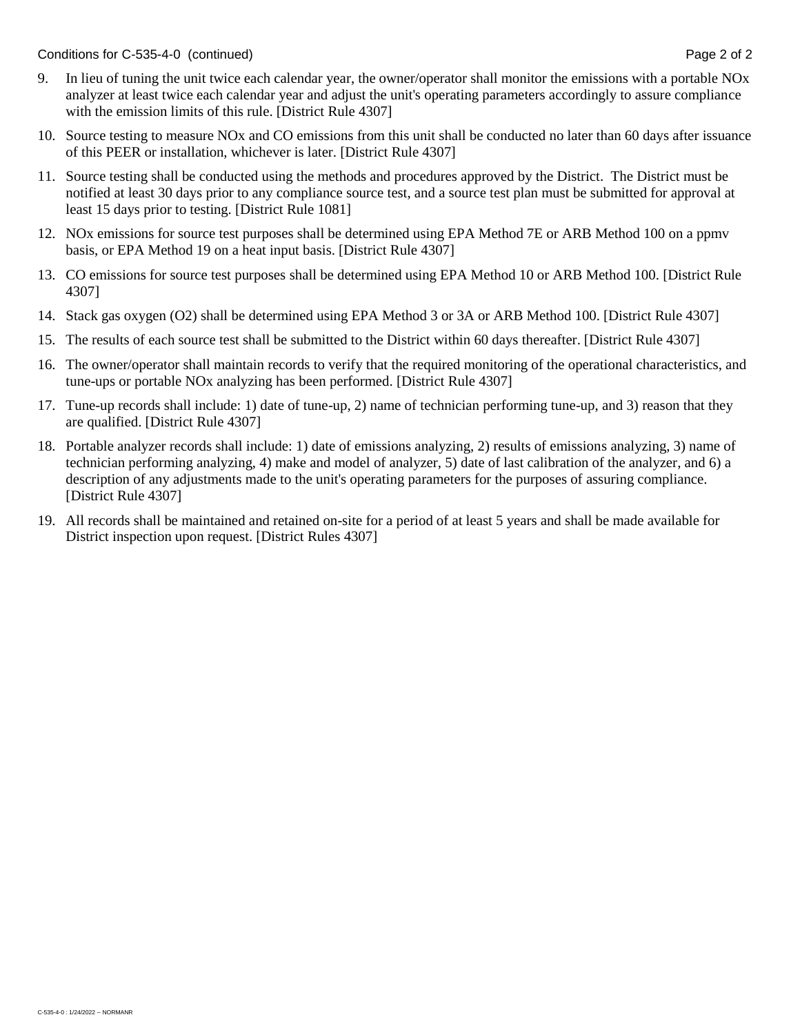Conditions for C-535-4-0 (continued) Conditions for C-535-4-0 (continued)

- 9. In lieu of tuning the unit twice each calendar year, the owner/operator shall monitor the emissions with a portable NOx analyzer at least twice each calendar year and adjust the unit's operating parameters accordingly to assure compliance with the emission limits of this rule. [District Rule 4307]
- 10. Source testing to measure NOx and CO emissions from this unit shall be conducted no later than 60 days after issuance of this PEER or installation, whichever is later. [District Rule 4307]
- 11. Source testing shall be conducted using the methods and procedures approved by the District. The District must be notified at least 30 days prior to any compliance source test, and a source test plan must be submitted for approval at least 15 days prior to testing. [District Rule 1081]
- 12. NOx emissions for source test purposes shall be determined using EPA Method 7E or ARB Method 100 on a ppmv basis, or EPA Method 19 on a heat input basis. [District Rule 4307]
- 13. CO emissions for source test purposes shall be determined using EPA Method 10 or ARB Method 100. [District Rule 4307]
- 14. Stack gas oxygen (O2) shall be determined using EPA Method 3 or 3A or ARB Method 100. [District Rule 4307]
- 15. The results of each source test shall be submitted to the District within 60 days thereafter. [District Rule 4307]
- 16. The owner/operator shall maintain records to verify that the required monitoring of the operational characteristics, and tune-ups or portable NOx analyzing has been performed. [District Rule 4307]
- 17. Tune-up records shall include: 1) date of tune-up, 2) name of technician performing tune-up, and 3) reason that they are qualified. [District Rule 4307]
- 18. Portable analyzer records shall include: 1) date of emissions analyzing, 2) results of emissions analyzing, 3) name of technician performing analyzing, 4) make and model of analyzer, 5) date of last calibration of the analyzer, and 6) a description of any adjustments made to the unit's operating parameters for the purposes of assuring compliance. [District Rule 4307]
- 19. All records shall be maintained and retained on-site for a period of at least 5 years and shall be made available for District inspection upon request. [District Rules 4307]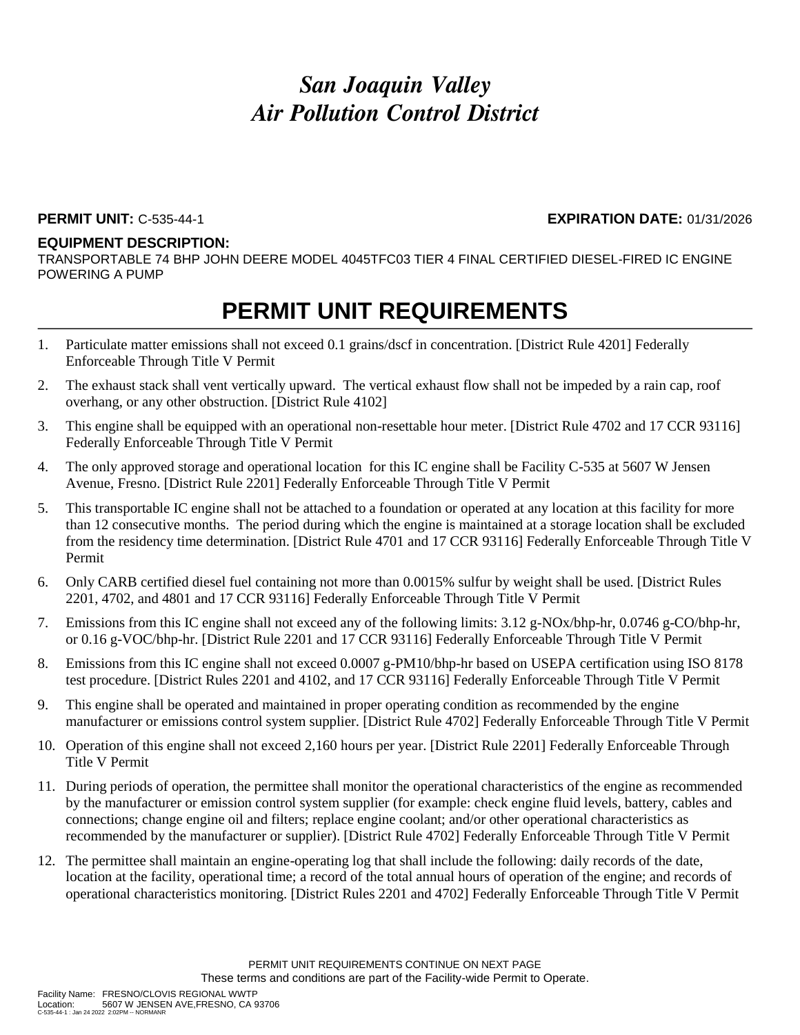### **PERMIT UNIT:** C-535-44-1 **EXPIRATION DATE:** 01/31/2026

### **EQUIPMENT DESCRIPTION:**

TRANSPORTABLE 74 BHP JOHN DEERE MODEL 4045TFC03 TIER 4 FINAL CERTIFIED DIESEL-FIRED IC ENGINE POWERING A PUMP

- 1. Particulate matter emissions shall not exceed 0.1 grains/dscf in concentration. [District Rule 4201] Federally Enforceable Through Title V Permit
- 2. The exhaust stack shall vent vertically upward. The vertical exhaust flow shall not be impeded by a rain cap, roof overhang, or any other obstruction. [District Rule 4102]
- 3. This engine shall be equipped with an operational non-resettable hour meter. [District Rule 4702 and 17 CCR 93116] Federally Enforceable Through Title V Permit
- 4. The only approved storage and operational location for this IC engine shall be Facility C-535 at 5607 W Jensen Avenue, Fresno. [District Rule 2201] Federally Enforceable Through Title V Permit
- 5. This transportable IC engine shall not be attached to a foundation or operated at any location at this facility for more than 12 consecutive months. The period during which the engine is maintained at a storage location shall be excluded from the residency time determination. [District Rule 4701 and 17 CCR 93116] Federally Enforceable Through Title V Permit
- 6. Only CARB certified diesel fuel containing not more than 0.0015% sulfur by weight shall be used. [District Rules 2201, 4702, and 4801 and 17 CCR 93116] Federally Enforceable Through Title V Permit
- 7. Emissions from this IC engine shall not exceed any of the following limits: 3.12 g-NOx/bhp-hr, 0.0746 g-CO/bhp-hr, or 0.16 g-VOC/bhp-hr. [District Rule 2201 and 17 CCR 93116] Federally Enforceable Through Title V Permit
- 8. Emissions from this IC engine shall not exceed 0.0007 g-PM10/bhp-hr based on USEPA certification using ISO 8178 test procedure. [District Rules 2201 and 4102, and 17 CCR 93116] Federally Enforceable Through Title V Permit
- 9. This engine shall be operated and maintained in proper operating condition as recommended by the engine manufacturer or emissions control system supplier. [District Rule 4702] Federally Enforceable Through Title V Permit
- 10. Operation of this engine shall not exceed 2,160 hours per year. [District Rule 2201] Federally Enforceable Through Title V Permit
- 11. During periods of operation, the permittee shall monitor the operational characteristics of the engine as recommended by the manufacturer or emission control system supplier (for example: check engine fluid levels, battery, cables and connections; change engine oil and filters; replace engine coolant; and/or other operational characteristics as recommended by the manufacturer or supplier). [District Rule 4702] Federally Enforceable Through Title V Permit
- 12. The permittee shall maintain an engine-operating log that shall include the following: daily records of the date, location at the facility, operational time; a record of the total annual hours of operation of the engine; and records of operational characteristics monitoring. [District Rules 2201 and 4702] Federally Enforceable Through Title V Permit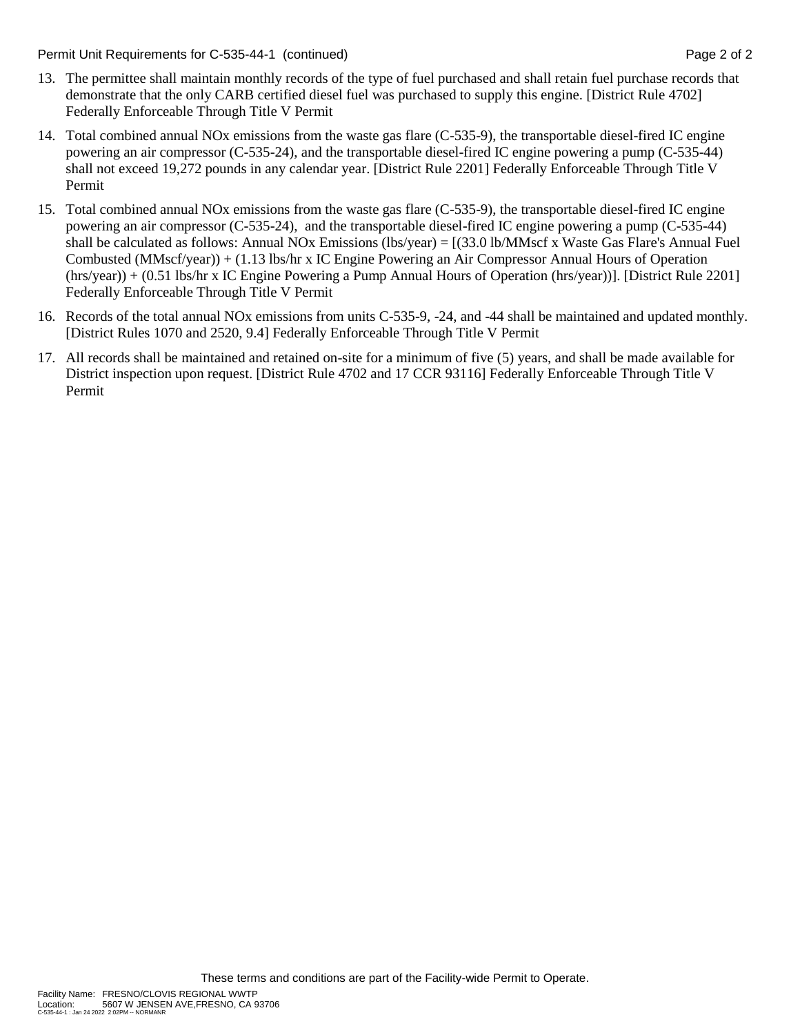Permit Unit Requirements for C-535-44-1 (continued) **Page 2** of 2

- 13. The permittee shall maintain monthly records of the type of fuel purchased and shall retain fuel purchase records that demonstrate that the only CARB certified diesel fuel was purchased to supply this engine. [District Rule 4702] Federally Enforceable Through Title V Permit
- 14. Total combined annual NOx emissions from the waste gas flare (C-535-9), the transportable diesel-fired IC engine powering an air compressor (C-535-24), and the transportable diesel-fired IC engine powering a pump (C-535-44) shall not exceed 19,272 pounds in any calendar year. [District Rule 2201] Federally Enforceable Through Title V Permit
- 15. Total combined annual NOx emissions from the waste gas flare (C-535-9), the transportable diesel-fired IC engine powering an air compressor (C-535-24), and the transportable diesel-fired IC engine powering a pump (C-535-44) shall be calculated as follows: Annual NOx Emissions (lbs/year) = [(33.0 lb/MMscf x Waste Gas Flare's Annual Fuel Combusted (MMscf/year)) + (1.13 lbs/hr x IC Engine Powering an Air Compressor Annual Hours of Operation (hrs/year)) + (0.51 lbs/hr x IC Engine Powering a Pump Annual Hours of Operation (hrs/year))]. [District Rule 2201] Federally Enforceable Through Title V Permit
- 16. Records of the total annual NOx emissions from units C-535-9, -24, and -44 shall be maintained and updated monthly. [District Rules 1070 and 2520, 9.4] Federally Enforceable Through Title V Permit
- 17. All records shall be maintained and retained on-site for a minimum of five (5) years, and shall be made available for District inspection upon request. [District Rule 4702 and 17 CCR 93116] Federally Enforceable Through Title V Permit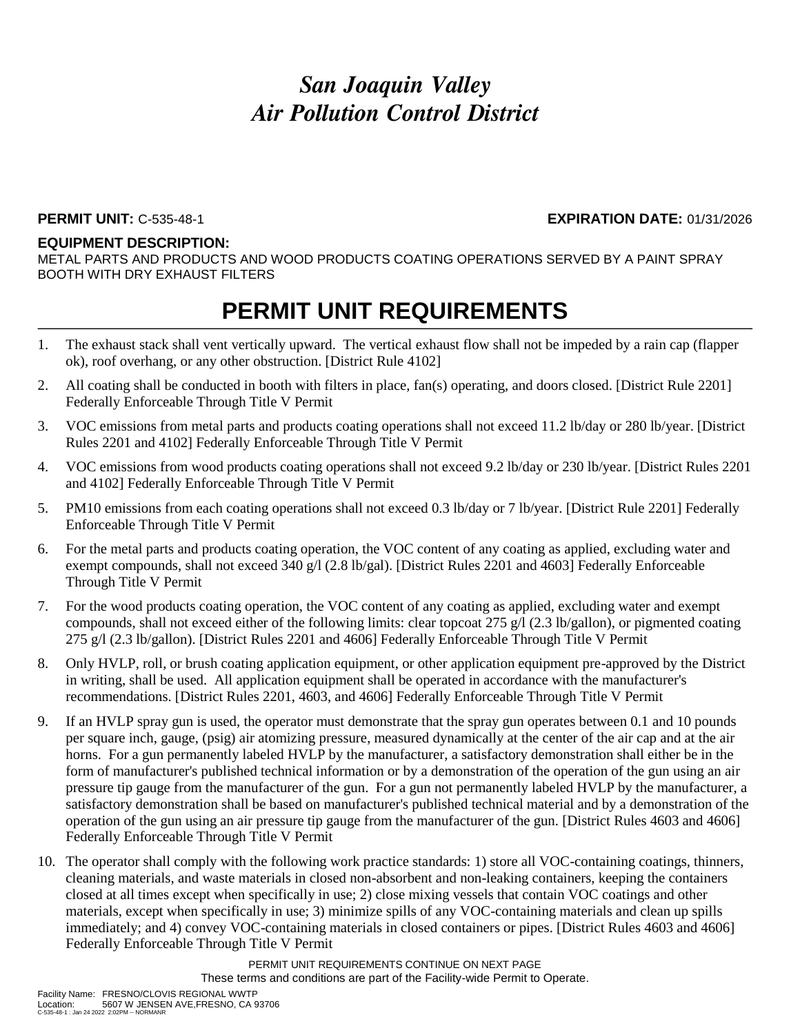### **PERMIT UNIT:** C-535-48-1 **EXPIRATION DATE:** 01/31/2026

### **EQUIPMENT DESCRIPTION:**

METAL PARTS AND PRODUCTS AND WOOD PRODUCTS COATING OPERATIONS SERVED BY A PAINT SPRAY BOOTH WITH DRY EXHAUST FILTERS

### **PERMIT UNIT REQUIREMENTS**

- 1. The exhaust stack shall vent vertically upward. The vertical exhaust flow shall not be impeded by a rain cap (flapper ok), roof overhang, or any other obstruction. [District Rule 4102]
- 2. All coating shall be conducted in booth with filters in place, fan(s) operating, and doors closed. [District Rule 2201] Federally Enforceable Through Title V Permit
- 3. VOC emissions from metal parts and products coating operations shall not exceed 11.2 lb/day or 280 lb/year. [District Rules 2201 and 4102] Federally Enforceable Through Title V Permit
- 4. VOC emissions from wood products coating operations shall not exceed 9.2 lb/day or 230 lb/year. [District Rules 2201 and 4102] Federally Enforceable Through Title V Permit
- 5. PM10 emissions from each coating operations shall not exceed 0.3 lb/day or 7 lb/year. [District Rule 2201] Federally Enforceable Through Title V Permit
- 6. For the metal parts and products coating operation, the VOC content of any coating as applied, excluding water and exempt compounds, shall not exceed 340 g/l (2.8 lb/gal). [District Rules 2201 and 4603] Federally Enforceable Through Title V Permit
- 7. For the wood products coating operation, the VOC content of any coating as applied, excluding water and exempt compounds, shall not exceed either of the following limits: clear topcoat 275 g/l (2.3 lb/gallon), or pigmented coating 275 g/l (2.3 lb/gallon). [District Rules 2201 and 4606] Federally Enforceable Through Title V Permit
- 8. Only HVLP, roll, or brush coating application equipment, or other application equipment pre-approved by the District in writing, shall be used. All application equipment shall be operated in accordance with the manufacturer's recommendations. [District Rules 2201, 4603, and 4606] Federally Enforceable Through Title V Permit
- 9. If an HVLP spray gun is used, the operator must demonstrate that the spray gun operates between 0.1 and 10 pounds per square inch, gauge, (psig) air atomizing pressure, measured dynamically at the center of the air cap and at the air horns. For a gun permanently labeled HVLP by the manufacturer, a satisfactory demonstration shall either be in the form of manufacturer's published technical information or by a demonstration of the operation of the gun using an air pressure tip gauge from the manufacturer of the gun. For a gun not permanently labeled HVLP by the manufacturer, a satisfactory demonstration shall be based on manufacturer's published technical material and by a demonstration of the operation of the gun using an air pressure tip gauge from the manufacturer of the gun. [District Rules 4603 and 4606] Federally Enforceable Through Title V Permit
- 10. The operator shall comply with the following work practice standards: 1) store all VOC-containing coatings, thinners, cleaning materials, and waste materials in closed non-absorbent and non-leaking containers, keeping the containers closed at all times except when specifically in use; 2) close mixing vessels that contain VOC coatings and other materials, except when specifically in use; 3) minimize spills of any VOC-containing materials and clean up spills immediately; and 4) convey VOC-containing materials in closed containers or pipes. [District Rules 4603 and 4606] Federally Enforceable Through Title V Permit

PERMIT UNIT REQUIREMENTS CONTINUE ON NEXT PAGE These terms and conditions are part of the Facility-wide Permit to Operate.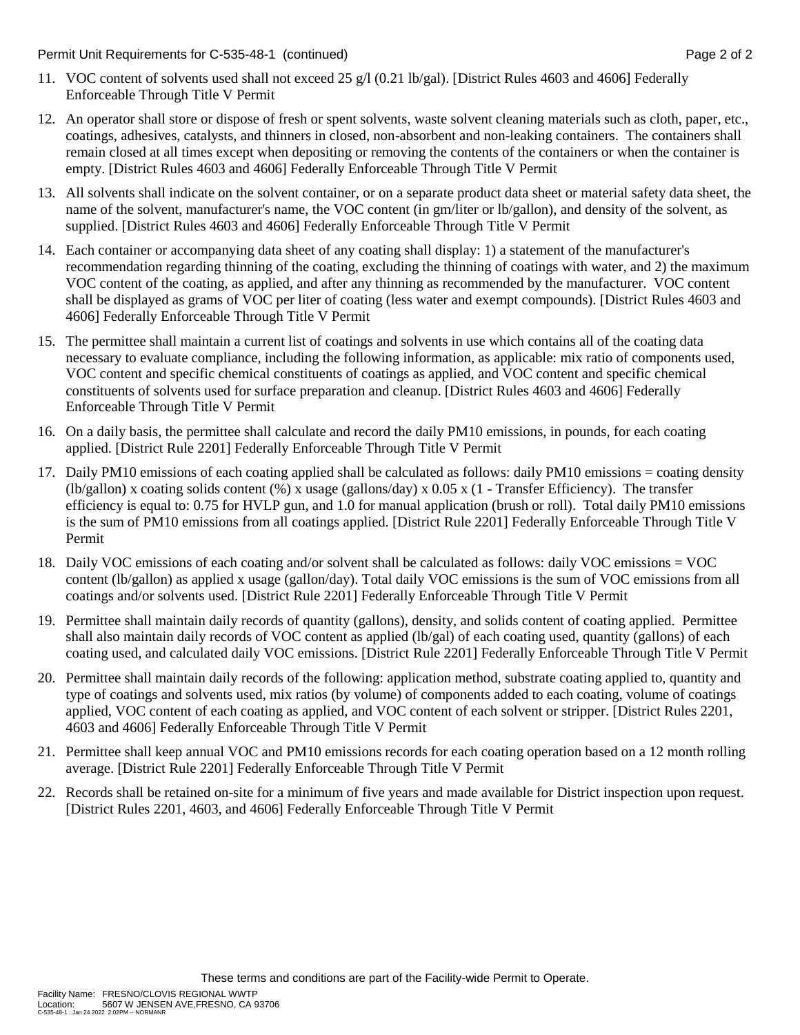Permit Unit Requirements for C-535-48-1 (continued) **Page 2** of 2

- 11. VOC content of solvents used shall not exceed 25 g/l (0.21 lb/gal). [District Rules 4603 and 4606] Federally Enforceable Through Title V Permit
- 12. An operator shall store or dispose of fresh or spent solvents, waste solvent cleaning materials such as cloth, paper, etc., coatings, adhesives, catalysts, and thinners in closed, non-absorbent and non-leaking containers. The containers shall remain closed at all times except when depositing or removing the contents of the containers or when the container is empty. [District Rules 4603 and 4606] Federally Enforceable Through Title V Permit
- 13. All solvents shall indicate on the solvent container, or on a separate product data sheet or material safety data sheet, the name of the solvent, manufacturer's name, the VOC content (in gm/liter or lb/gallon), and density of the solvent, as supplied. [District Rules 4603 and 4606] Federally Enforceable Through Title V Permit
- 14. Each container or accompanying data sheet of any coating shall display: 1) a statement of the manufacturer's recommendation regarding thinning of the coating, excluding the thinning of coatings with water, and 2) the maximum VOC content of the coating, as applied, and after any thinning as recommended by the manufacturer. VOC content shall be displayed as grams of VOC per liter of coating (less water and exempt compounds). [District Rules 4603 and 4606] Federally Enforceable Through Title V Permit
- 15. The permittee shall maintain a current list of coatings and solvents in use which contains all of the coating data necessary to evaluate compliance, including the following information, as applicable: mix ratio of components used, VOC content and specific chemical constituents of coatings as applied, and VOC content and specific chemical constituents of solvents used for surface preparation and cleanup. [District Rules 4603 and 4606] Federally Enforceable Through Title V Permit
- 16. On a daily basis, the permittee shall calculate and record the daily PM10 emissions, in pounds, for each coating applied. [District Rule 2201] Federally Enforceable Through Title V Permit
- 17. Daily PM10 emissions of each coating applied shall be calculated as follows: daily PM10 emissions = coating density (lb/gallon) x coating solids content (%) x usage (gallons/day) x 0.05 x (1 - Transfer Efficiency). The transfer efficiency is equal to: 0.75 for HVLP gun, and 1.0 for manual application (brush or roll). Total daily PM10 emissions is the sum of PM10 emissions from all coatings applied. [District Rule 2201] Federally Enforceable Through Title V Permit
- 18. Daily VOC emissions of each coating and/or solvent shall be calculated as follows: daily VOC emissions = VOC content (lb/gallon) as applied x usage (gallon/day). Total daily VOC emissions is the sum of VOC emissions from all coatings and/or solvents used. [District Rule 2201] Federally Enforceable Through Title V Permit
- 19. Permittee shall maintain daily records of quantity (gallons), density, and solids content of coating applied. Permittee shall also maintain daily records of VOC content as applied (lb/gal) of each coating used, quantity (gallons) of each coating used, and calculated daily VOC emissions. [District Rule 2201] Federally Enforceable Through Title V Permit
- 20. Permittee shall maintain daily records of the following: application method, substrate coating applied to, quantity and type of coatings and solvents used, mix ratios (by volume) of components added to each coating, volume of coatings applied, VOC content of each coating as applied, and VOC content of each solvent or stripper. [District Rules 2201, 4603 and 4606] Federally Enforceable Through Title V Permit
- 21. Permittee shall keep annual VOC and PM10 emissions records for each coating operation based on a 12 month rolling average. [District Rule 2201] Federally Enforceable Through Title V Permit
- 22. Records shall be retained on-site for a minimum of five years and made available for District inspection upon request. [District Rules 2201, 4603, and 4606] Federally Enforceable Through Title V Permit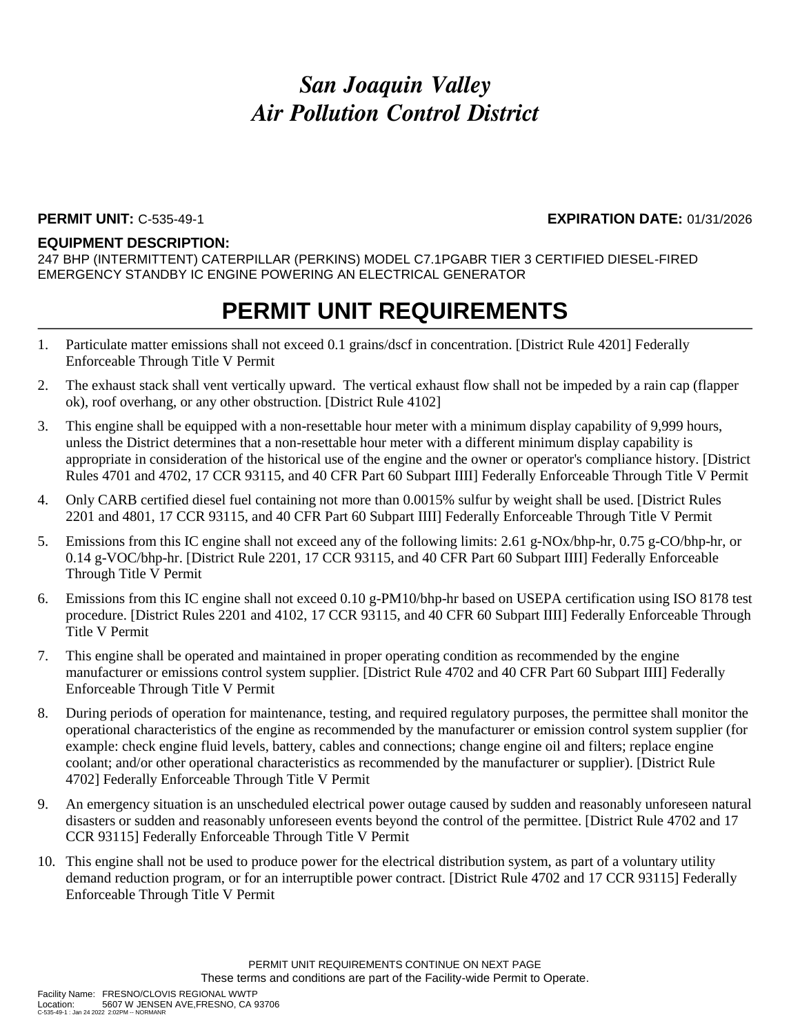### **PERMIT UNIT:** C-535-49-1 **EXPIRATION DATE:** 01/31/2026

### **EQUIPMENT DESCRIPTION:**

247 BHP (INTERMITTENT) CATERPILLAR (PERKINS) MODEL C7.1PGABR TIER 3 CERTIFIED DIESEL-FIRED EMERGENCY STANDBY IC ENGINE POWERING AN ELECTRICAL GENERATOR

- 1. Particulate matter emissions shall not exceed 0.1 grains/dscf in concentration. [District Rule 4201] Federally Enforceable Through Title V Permit
- 2. The exhaust stack shall vent vertically upward. The vertical exhaust flow shall not be impeded by a rain cap (flapper ok), roof overhang, or any other obstruction. [District Rule 4102]
- 3. This engine shall be equipped with a non-resettable hour meter with a minimum display capability of 9,999 hours, unless the District determines that a non-resettable hour meter with a different minimum display capability is appropriate in consideration of the historical use of the engine and the owner or operator's compliance history. [District Rules 4701 and 4702, 17 CCR 93115, and 40 CFR Part 60 Subpart IIII] Federally Enforceable Through Title V Permit
- 4. Only CARB certified diesel fuel containing not more than 0.0015% sulfur by weight shall be used. [District Rules 2201 and 4801, 17 CCR 93115, and 40 CFR Part 60 Subpart IIII] Federally Enforceable Through Title V Permit
- 5. Emissions from this IC engine shall not exceed any of the following limits: 2.61 g-NOx/bhp-hr, 0.75 g-CO/bhp-hr, or 0.14 g-VOC/bhp-hr. [District Rule 2201, 17 CCR 93115, and 40 CFR Part 60 Subpart IIII] Federally Enforceable Through Title V Permit
- 6. Emissions from this IC engine shall not exceed 0.10 g-PM10/bhp-hr based on USEPA certification using ISO 8178 test procedure. [District Rules 2201 and 4102, 17 CCR 93115, and 40 CFR 60 Subpart IIII] Federally Enforceable Through Title V Permit
- 7. This engine shall be operated and maintained in proper operating condition as recommended by the engine manufacturer or emissions control system supplier. [District Rule 4702 and 40 CFR Part 60 Subpart IIII] Federally Enforceable Through Title V Permit
- 8. During periods of operation for maintenance, testing, and required regulatory purposes, the permittee shall monitor the operational characteristics of the engine as recommended by the manufacturer or emission control system supplier (for example: check engine fluid levels, battery, cables and connections; change engine oil and filters; replace engine coolant; and/or other operational characteristics as recommended by the manufacturer or supplier). [District Rule 4702] Federally Enforceable Through Title V Permit
- 9. An emergency situation is an unscheduled electrical power outage caused by sudden and reasonably unforeseen natural disasters or sudden and reasonably unforeseen events beyond the control of the permittee. [District Rule 4702 and 17 CCR 93115] Federally Enforceable Through Title V Permit
- 10. This engine shall not be used to produce power for the electrical distribution system, as part of a voluntary utility demand reduction program, or for an interruptible power contract. [District Rule 4702 and 17 CCR 93115] Federally Enforceable Through Title V Permit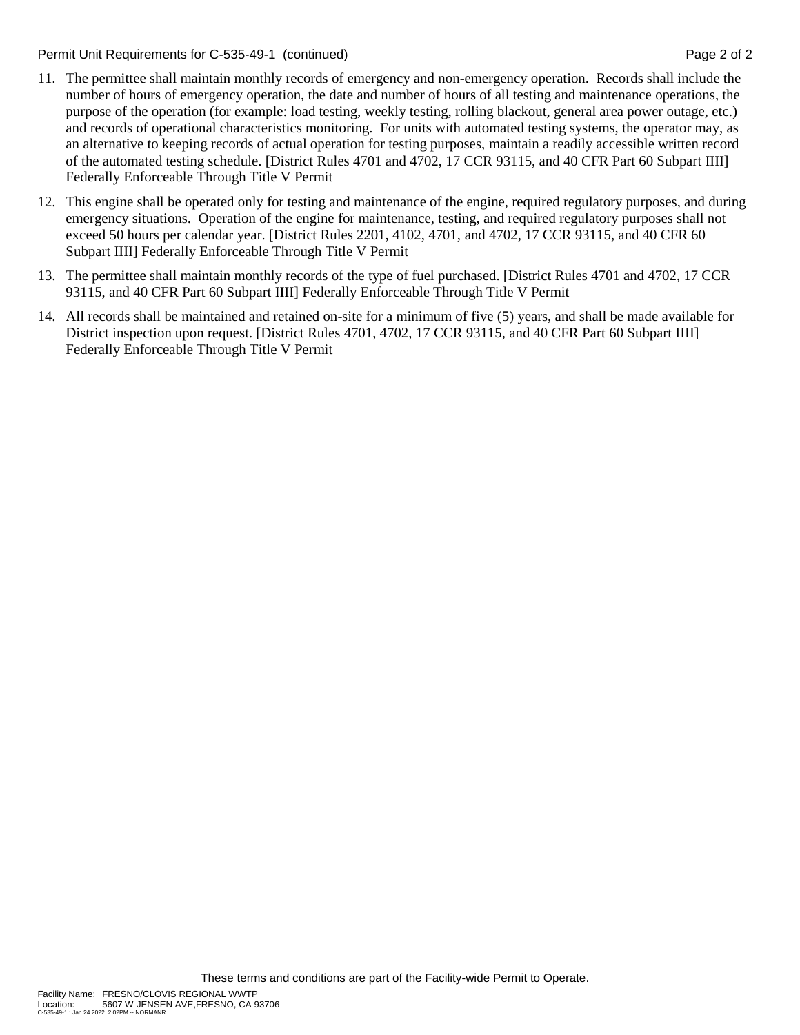Permit Unit Requirements for C-535-49-1 (continued) **Page 2** of 2

- 11. The permittee shall maintain monthly records of emergency and non-emergency operation. Records shall include the number of hours of emergency operation, the date and number of hours of all testing and maintenance operations, the purpose of the operation (for example: load testing, weekly testing, rolling blackout, general area power outage, etc.) and records of operational characteristics monitoring. For units with automated testing systems, the operator may, as an alternative to keeping records of actual operation for testing purposes, maintain a readily accessible written record of the automated testing schedule. [District Rules 4701 and 4702, 17 CCR 93115, and 40 CFR Part 60 Subpart IIII] Federally Enforceable Through Title V Permit
- 12. This engine shall be operated only for testing and maintenance of the engine, required regulatory purposes, and during emergency situations. Operation of the engine for maintenance, testing, and required regulatory purposes shall not exceed 50 hours per calendar year. [District Rules 2201, 4102, 4701, and 4702, 17 CCR 93115, and 40 CFR 60 Subpart IIII] Federally Enforceable Through Title V Permit
- 13. The permittee shall maintain monthly records of the type of fuel purchased. [District Rules 4701 and 4702, 17 CCR 93115, and 40 CFR Part 60 Subpart IIII] Federally Enforceable Through Title V Permit
- 14. All records shall be maintained and retained on-site for a minimum of five (5) years, and shall be made available for District inspection upon request. [District Rules 4701, 4702, 17 CCR 93115, and 40 CFR Part 60 Subpart IIII] Federally Enforceable Through Title V Permit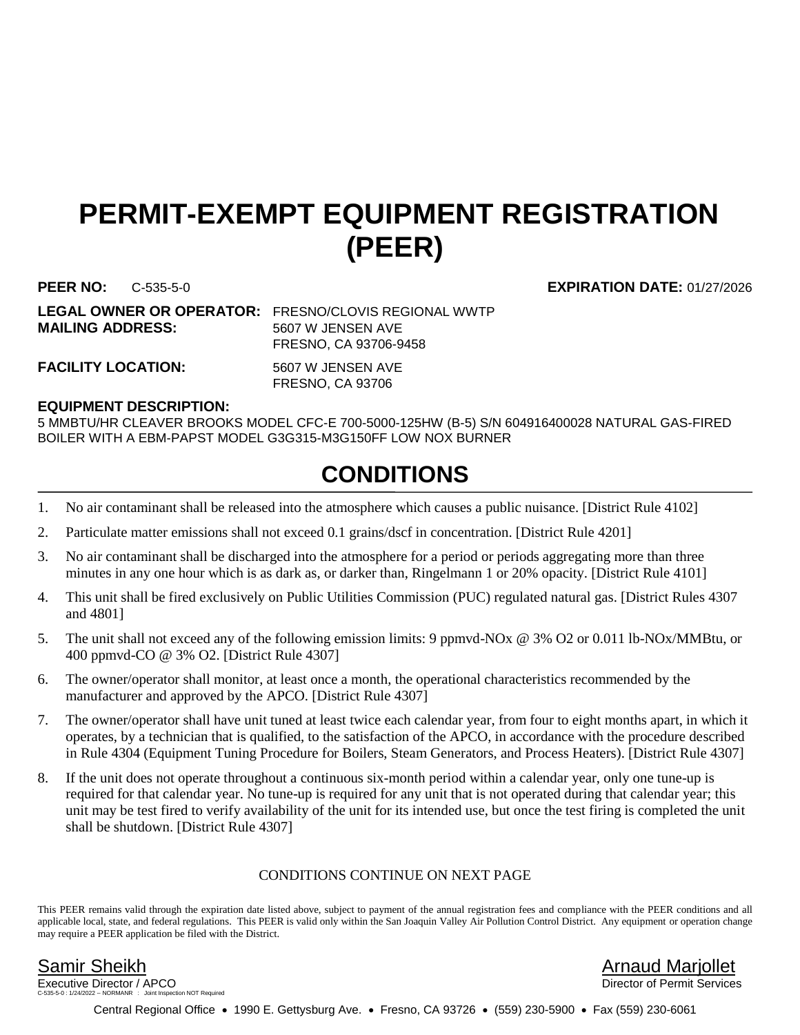## **PERMIT-EXEMPT EQUIPMENT REGISTRATION (PEER)**

**MAILING ADDRESS:** 5607 W JENSEN AVE

**LEGAL OWNER OR OPERATOR:** FRESNO/CLOVIS REGIONAL WWTP FRESNO, CA 93706-9458

FACILITY LOCATION: 5607 W JENSEN AVE

FRESNO, CA 93706

### **EQUIPMENT DESCRIPTION:**

5 MMBTU/HR CLEAVER BROOKS MODEL CFC-E 700-5000-125HW (B-5) S/N 604916400028 NATURAL GAS-FIRED BOILER WITH A EBM-PAPST MODEL G3G315-M3G150FF LOW NOX BURNER

## **CONDITIONS**

- 1. No air contaminant shall be released into the atmosphere which causes a public nuisance. [District Rule 4102]
- 2. Particulate matter emissions shall not exceed 0.1 grains/dscf in concentration. [District Rule 4201]
- 3. No air contaminant shall be discharged into the atmosphere for a period or periods aggregating more than three minutes in any one hour which is as dark as, or darker than, Ringelmann 1 or 20% opacity. [District Rule 4101]
- 4. This unit shall be fired exclusively on Public Utilities Commission (PUC) regulated natural gas. [District Rules 4307 and 4801]
- 5. The unit shall not exceed any of the following emission limits: 9 ppmvd-NOx @ 3% O2 or 0.011 lb-NOx/MMBtu, or 400 ppmvd-CO @ 3% O2. [District Rule 4307]
- 6. The owner/operator shall monitor, at least once a month, the operational characteristics recommended by the manufacturer and approved by the APCO. [District Rule 4307]
- 7. The owner/operator shall have unit tuned at least twice each calendar year, from four to eight months apart, in which it operates, by a technician that is qualified, to the satisfaction of the APCO, in accordance with the procedure described in Rule 4304 (Equipment Tuning Procedure for Boilers, Steam Generators, and Process Heaters). [District Rule 4307]
- 8. If the unit does not operate throughout a continuous six-month period within a calendar year, only one tune-up is required for that calendar year. No tune-up is required for any unit that is not operated during that calendar year; this unit may be test fired to verify availability of the unit for its intended use, but once the test firing is completed the unit shall be shutdown. [District Rule 4307]

### CONDITIONS CONTINUE ON NEXT PAGE

This PEER remains valid through the expiration date listed above, subject to payment of the annual registration fees and compliance with the PEER conditions and all applicable local, state, and federal regulations. This PEER is valid only within the San Joaquin Valley Air Pollution Control District. Any equipment or operation change may require a PEER application be filed with the District.

Executive Director / APCO tion NOT Required

Samir Sheikh Arnaud Marjollet

Central Regional Office • 1990 E. Gettysburg Ave. • Fresno, CA 93726 • (559) 230-5900 • Fax (559) 230-6061

**PEER NO:** C-535-5-0 **EXPIRATION DATE:** 01/27/2026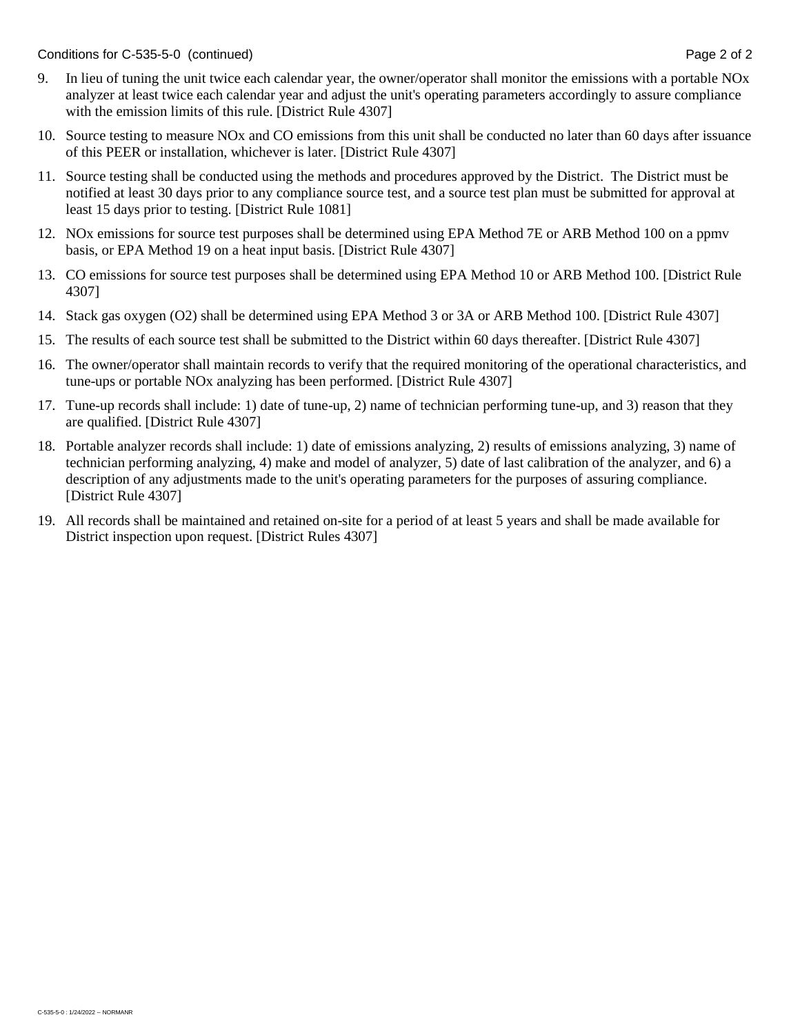Conditions for C-535-5-0 (continued) Conditions for C-535-5-0 (continued)

- 9. In lieu of tuning the unit twice each calendar year, the owner/operator shall monitor the emissions with a portable NOx analyzer at least twice each calendar year and adjust the unit's operating parameters accordingly to assure compliance with the emission limits of this rule. [District Rule 4307]
- 10. Source testing to measure NOx and CO emissions from this unit shall be conducted no later than 60 days after issuance of this PEER or installation, whichever is later. [District Rule 4307]
- 11. Source testing shall be conducted using the methods and procedures approved by the District. The District must be notified at least 30 days prior to any compliance source test, and a source test plan must be submitted for approval at least 15 days prior to testing. [District Rule 1081]
- 12. NOx emissions for source test purposes shall be determined using EPA Method 7E or ARB Method 100 on a ppmv basis, or EPA Method 19 on a heat input basis. [District Rule 4307]
- 13. CO emissions for source test purposes shall be determined using EPA Method 10 or ARB Method 100. [District Rule 4307]
- 14. Stack gas oxygen (O2) shall be determined using EPA Method 3 or 3A or ARB Method 100. [District Rule 4307]
- 15. The results of each source test shall be submitted to the District within 60 days thereafter. [District Rule 4307]
- 16. The owner/operator shall maintain records to verify that the required monitoring of the operational characteristics, and tune-ups or portable NOx analyzing has been performed. [District Rule 4307]
- 17. Tune-up records shall include: 1) date of tune-up, 2) name of technician performing tune-up, and 3) reason that they are qualified. [District Rule 4307]
- 18. Portable analyzer records shall include: 1) date of emissions analyzing, 2) results of emissions analyzing, 3) name of technician performing analyzing, 4) make and model of analyzer, 5) date of last calibration of the analyzer, and 6) a description of any adjustments made to the unit's operating parameters for the purposes of assuring compliance. [District Rule 4307]
- 19. All records shall be maintained and retained on-site for a period of at least 5 years and shall be made available for District inspection upon request. [District Rules 4307]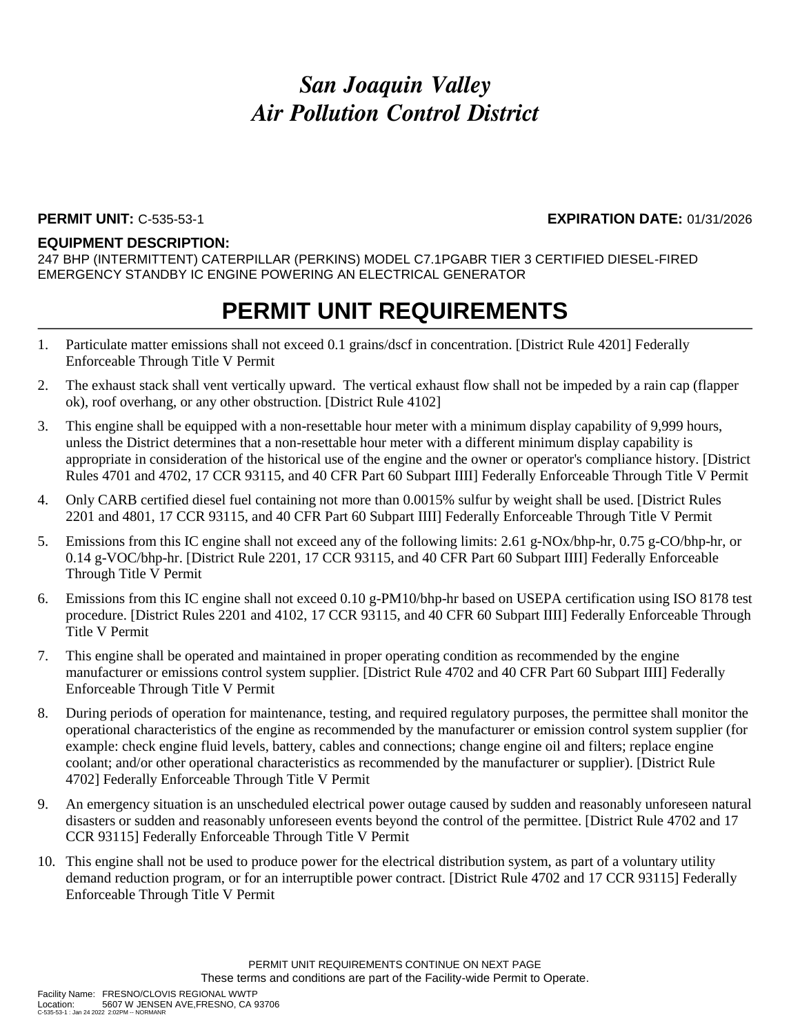### **PERMIT UNIT:** C-535-53-1 **EXPIRATION DATE:** 01/31/2026

### **EQUIPMENT DESCRIPTION:**

247 BHP (INTERMITTENT) CATERPILLAR (PERKINS) MODEL C7.1PGABR TIER 3 CERTIFIED DIESEL-FIRED EMERGENCY STANDBY IC ENGINE POWERING AN ELECTRICAL GENERATOR

- 1. Particulate matter emissions shall not exceed 0.1 grains/dscf in concentration. [District Rule 4201] Federally Enforceable Through Title V Permit
- 2. The exhaust stack shall vent vertically upward. The vertical exhaust flow shall not be impeded by a rain cap (flapper ok), roof overhang, or any other obstruction. [District Rule 4102]
- 3. This engine shall be equipped with a non-resettable hour meter with a minimum display capability of 9,999 hours, unless the District determines that a non-resettable hour meter with a different minimum display capability is appropriate in consideration of the historical use of the engine and the owner or operator's compliance history. [District Rules 4701 and 4702, 17 CCR 93115, and 40 CFR Part 60 Subpart IIII] Federally Enforceable Through Title V Permit
- 4. Only CARB certified diesel fuel containing not more than 0.0015% sulfur by weight shall be used. [District Rules 2201 and 4801, 17 CCR 93115, and 40 CFR Part 60 Subpart IIII] Federally Enforceable Through Title V Permit
- 5. Emissions from this IC engine shall not exceed any of the following limits: 2.61 g-NOx/bhp-hr, 0.75 g-CO/bhp-hr, or 0.14 g-VOC/bhp-hr. [District Rule 2201, 17 CCR 93115, and 40 CFR Part 60 Subpart IIII] Federally Enforceable Through Title V Permit
- 6. Emissions from this IC engine shall not exceed 0.10 g-PM10/bhp-hr based on USEPA certification using ISO 8178 test procedure. [District Rules 2201 and 4102, 17 CCR 93115, and 40 CFR 60 Subpart IIII] Federally Enforceable Through Title V Permit
- 7. This engine shall be operated and maintained in proper operating condition as recommended by the engine manufacturer or emissions control system supplier. [District Rule 4702 and 40 CFR Part 60 Subpart IIII] Federally Enforceable Through Title V Permit
- 8. During periods of operation for maintenance, testing, and required regulatory purposes, the permittee shall monitor the operational characteristics of the engine as recommended by the manufacturer or emission control system supplier (for example: check engine fluid levels, battery, cables and connections; change engine oil and filters; replace engine coolant; and/or other operational characteristics as recommended by the manufacturer or supplier). [District Rule 4702] Federally Enforceable Through Title V Permit
- 9. An emergency situation is an unscheduled electrical power outage caused by sudden and reasonably unforeseen natural disasters or sudden and reasonably unforeseen events beyond the control of the permittee. [District Rule 4702 and 17 CCR 93115] Federally Enforceable Through Title V Permit
- 10. This engine shall not be used to produce power for the electrical distribution system, as part of a voluntary utility demand reduction program, or for an interruptible power contract. [District Rule 4702 and 17 CCR 93115] Federally Enforceable Through Title V Permit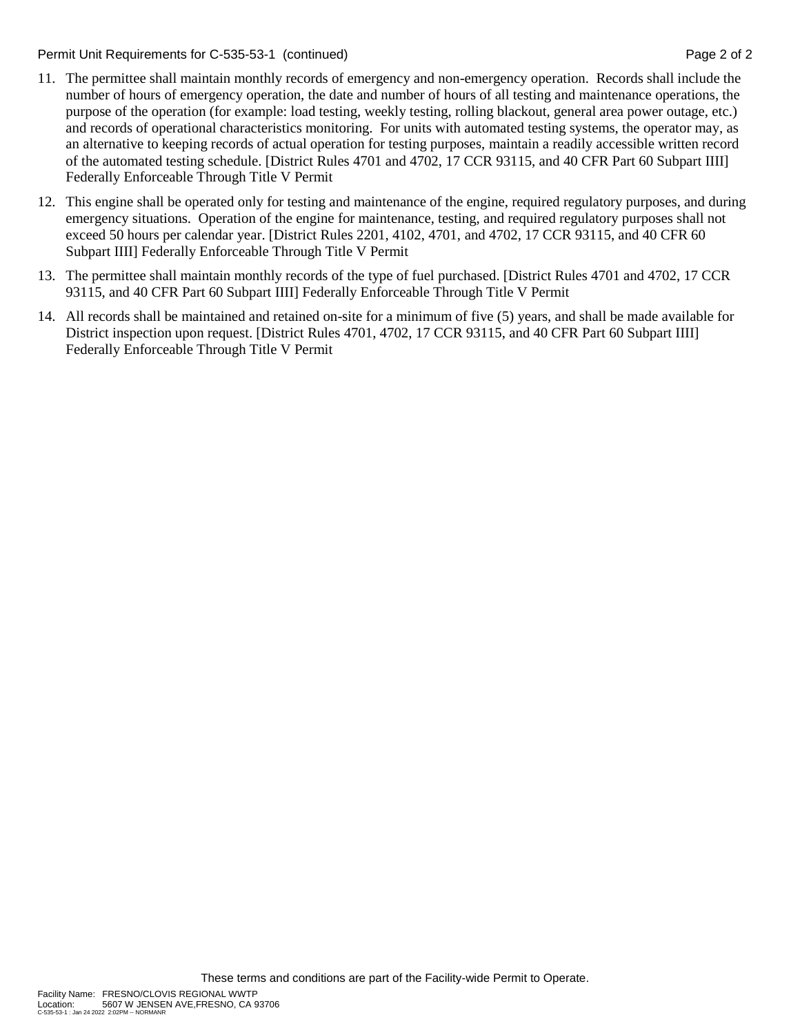Permit Unit Requirements for C-535-53-1 (continued) **Page 2** of 2

- 11. The permittee shall maintain monthly records of emergency and non-emergency operation. Records shall include the number of hours of emergency operation, the date and number of hours of all testing and maintenance operations, the purpose of the operation (for example: load testing, weekly testing, rolling blackout, general area power outage, etc.) and records of operational characteristics monitoring. For units with automated testing systems, the operator may, as an alternative to keeping records of actual operation for testing purposes, maintain a readily accessible written record of the automated testing schedule. [District Rules 4701 and 4702, 17 CCR 93115, and 40 CFR Part 60 Subpart IIII] Federally Enforceable Through Title V Permit
- 12. This engine shall be operated only for testing and maintenance of the engine, required regulatory purposes, and during emergency situations. Operation of the engine for maintenance, testing, and required regulatory purposes shall not exceed 50 hours per calendar year. [District Rules 2201, 4102, 4701, and 4702, 17 CCR 93115, and 40 CFR 60 Subpart IIII] Federally Enforceable Through Title V Permit
- 13. The permittee shall maintain monthly records of the type of fuel purchased. [District Rules 4701 and 4702, 17 CCR 93115, and 40 CFR Part 60 Subpart IIII] Federally Enforceable Through Title V Permit
- 14. All records shall be maintained and retained on-site for a minimum of five (5) years, and shall be made available for District inspection upon request. [District Rules 4701, 4702, 17 CCR 93115, and 40 CFR Part 60 Subpart IIII] Federally Enforceable Through Title V Permit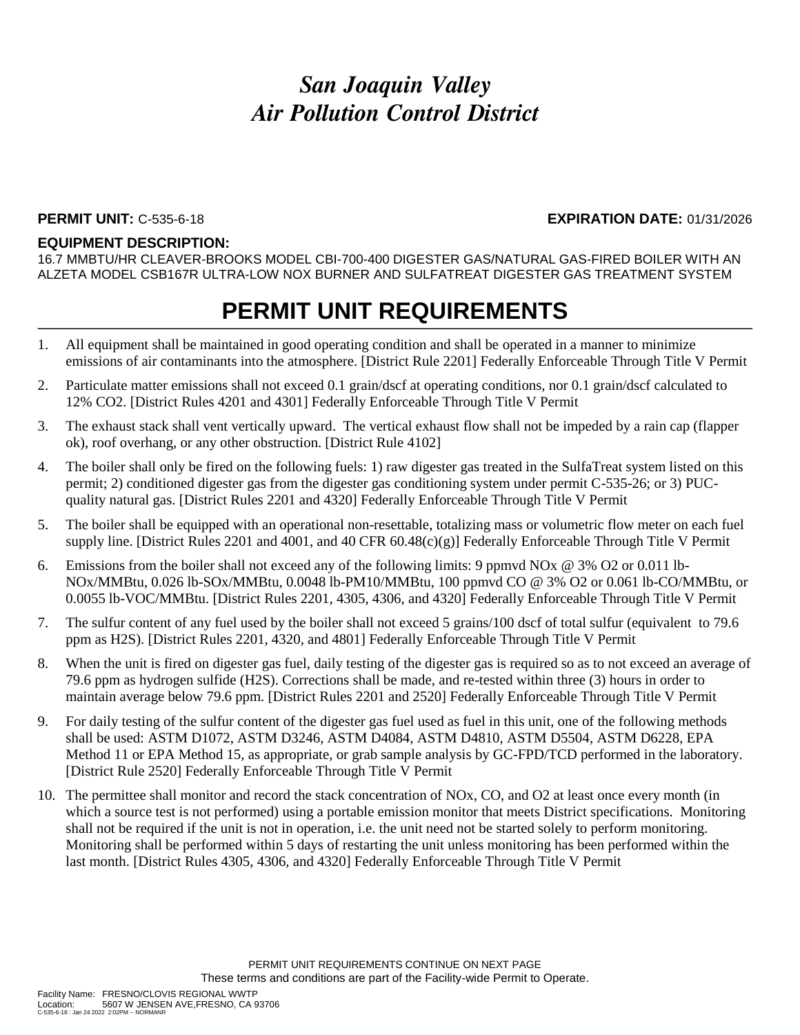#### **PERMIT UNIT:** C-535-6-18 **EXPIRATION DATE:** 01/31/2026

#### **EQUIPMENT DESCRIPTION:**

16.7 MMBTU/HR CLEAVER-BROOKS MODEL CBI-700-400 DIGESTER GAS/NATURAL GAS-FIRED BOILER WITH AN ALZETA MODEL CSB167R ULTRA-LOW NOX BURNER AND SULFATREAT DIGESTER GAS TREATMENT SYSTEM

- 1. All equipment shall be maintained in good operating condition and shall be operated in a manner to minimize emissions of air contaminants into the atmosphere. [District Rule 2201] Federally Enforceable Through Title V Permit
- 2. Particulate matter emissions shall not exceed 0.1 grain/dscf at operating conditions, nor 0.1 grain/dscf calculated to 12% CO2. [District Rules 4201 and 4301] Federally Enforceable Through Title V Permit
- 3. The exhaust stack shall vent vertically upward. The vertical exhaust flow shall not be impeded by a rain cap (flapper ok), roof overhang, or any other obstruction. [District Rule 4102]
- 4. The boiler shall only be fired on the following fuels: 1) raw digester gas treated in the SulfaTreat system listed on this permit; 2) conditioned digester gas from the digester gas conditioning system under permit C-535-26; or 3) PUCquality natural gas. [District Rules 2201 and 4320] Federally Enforceable Through Title V Permit
- 5. The boiler shall be equipped with an operational non-resettable, totalizing mass or volumetric flow meter on each fuel supply line. [District Rules 2201 and 4001, and 40 CFR 60.48(c)(g)] Federally Enforceable Through Title V Permit
- 6. Emissions from the boiler shall not exceed any of the following limits: 9 ppmvd NOx @ 3% O2 or 0.011 lb-NOx/MMBtu, 0.026 lb-SOx/MMBtu, 0.0048 lb-PM10/MMBtu, 100 ppmvd CO @ 3% O2 or 0.061 lb-CO/MMBtu, or 0.0055 lb-VOC/MMBtu. [District Rules 2201, 4305, 4306, and 4320] Federally Enforceable Through Title V Permit
- 7. The sulfur content of any fuel used by the boiler shall not exceed 5 grains/100 dscf of total sulfur (equivalent to 79.6 ppm as H2S). [District Rules 2201, 4320, and 4801] Federally Enforceable Through Title V Permit
- 8. When the unit is fired on digester gas fuel, daily testing of the digester gas is required so as to not exceed an average of 79.6 ppm as hydrogen sulfide (H2S). Corrections shall be made, and re-tested within three (3) hours in order to maintain average below 79.6 ppm. [District Rules 2201 and 2520] Federally Enforceable Through Title V Permit
- 9. For daily testing of the sulfur content of the digester gas fuel used as fuel in this unit, one of the following methods shall be used: ASTM D1072, ASTM D3246, ASTM D4084, ASTM D4810, ASTM D5504, ASTM D6228, EPA Method 11 or EPA Method 15, as appropriate, or grab sample analysis by GC-FPD/TCD performed in the laboratory. [District Rule 2520] Federally Enforceable Through Title V Permit
- 10. The permittee shall monitor and record the stack concentration of NOx, CO, and O2 at least once every month (in which a source test is not performed) using a portable emission monitor that meets District specifications. Monitoring shall not be required if the unit is not in operation, i.e. the unit need not be started solely to perform monitoring. Monitoring shall be performed within 5 days of restarting the unit unless monitoring has been performed within the last month. [District Rules 4305, 4306, and 4320] Federally Enforceable Through Title V Permit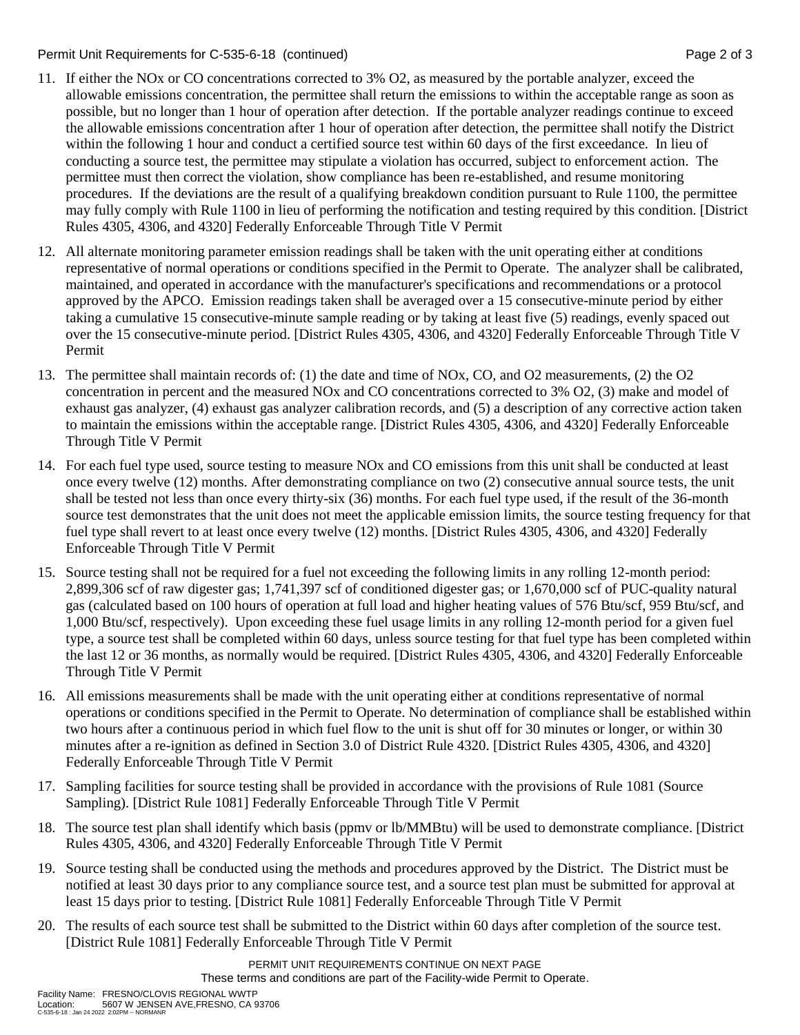### Permit Unit Requirements for C-535-6-18 (continued) **Page 2** of 3

- 11. If either the NOx or CO concentrations corrected to 3% O2, as measured by the portable analyzer, exceed the allowable emissions concentration, the permittee shall return the emissions to within the acceptable range as soon as possible, but no longer than 1 hour of operation after detection. If the portable analyzer readings continue to exceed the allowable emissions concentration after 1 hour of operation after detection, the permittee shall notify the District within the following 1 hour and conduct a certified source test within 60 days of the first exceedance. In lieu of conducting a source test, the permittee may stipulate a violation has occurred, subject to enforcement action. The permittee must then correct the violation, show compliance has been re-established, and resume monitoring procedures. If the deviations are the result of a qualifying breakdown condition pursuant to Rule 1100, the permittee may fully comply with Rule 1100 in lieu of performing the notification and testing required by this condition. [District Rules 4305, 4306, and 4320] Federally Enforceable Through Title V Permit
- 12. All alternate monitoring parameter emission readings shall be taken with the unit operating either at conditions representative of normal operations or conditions specified in the Permit to Operate. The analyzer shall be calibrated, maintained, and operated in accordance with the manufacturer's specifications and recommendations or a protocol approved by the APCO. Emission readings taken shall be averaged over a 15 consecutive-minute period by either taking a cumulative 15 consecutive-minute sample reading or by taking at least five (5) readings, evenly spaced out over the 15 consecutive-minute period. [District Rules 4305, 4306, and 4320] Federally Enforceable Through Title V Permit
- 13. The permittee shall maintain records of: (1) the date and time of NOx, CO, and O2 measurements, (2) the O2 concentration in percent and the measured NOx and CO concentrations corrected to 3% O2, (3) make and model of exhaust gas analyzer, (4) exhaust gas analyzer calibration records, and (5) a description of any corrective action taken to maintain the emissions within the acceptable range. [District Rules 4305, 4306, and 4320] Federally Enforceable Through Title V Permit
- 14. For each fuel type used, source testing to measure NOx and CO emissions from this unit shall be conducted at least once every twelve (12) months. After demonstrating compliance on two (2) consecutive annual source tests, the unit shall be tested not less than once every thirty-six (36) months. For each fuel type used, if the result of the 36-month source test demonstrates that the unit does not meet the applicable emission limits, the source testing frequency for that fuel type shall revert to at least once every twelve (12) months. [District Rules 4305, 4306, and 4320] Federally Enforceable Through Title V Permit
- 15. Source testing shall not be required for a fuel not exceeding the following limits in any rolling 12-month period: 2,899,306 scf of raw digester gas; 1,741,397 scf of conditioned digester gas; or 1,670,000 scf of PUC-quality natural gas (calculated based on 100 hours of operation at full load and higher heating values of 576 Btu/scf, 959 Btu/scf, and 1,000 Btu/scf, respectively). Upon exceeding these fuel usage limits in any rolling 12-month period for a given fuel type, a source test shall be completed within 60 days, unless source testing for that fuel type has been completed within the last 12 or 36 months, as normally would be required. [District Rules 4305, 4306, and 4320] Federally Enforceable Through Title V Permit
- 16. All emissions measurements shall be made with the unit operating either at conditions representative of normal operations or conditions specified in the Permit to Operate. No determination of compliance shall be established within two hours after a continuous period in which fuel flow to the unit is shut off for 30 minutes or longer, or within 30 minutes after a re-ignition as defined in Section 3.0 of District Rule 4320. [District Rules 4305, 4306, and 4320] Federally Enforceable Through Title V Permit
- 17. Sampling facilities for source testing shall be provided in accordance with the provisions of Rule 1081 (Source Sampling). [District Rule 1081] Federally Enforceable Through Title V Permit
- 18. The source test plan shall identify which basis (ppmv or lb/MMBtu) will be used to demonstrate compliance. [District Rules 4305, 4306, and 4320] Federally Enforceable Through Title V Permit
- 19. Source testing shall be conducted using the methods and procedures approved by the District. The District must be notified at least 30 days prior to any compliance source test, and a source test plan must be submitted for approval at least 15 days prior to testing. [District Rule 1081] Federally Enforceable Through Title V Permit
- 20. The results of each source test shall be submitted to the District within 60 days after completion of the source test. [District Rule 1081] Federally Enforceable Through Title V Permit

PERMIT UNIT REQUIREMENTS CONTINUE ON NEXT PAGE These terms and conditions are part of the Facility-wide Permit to Operate.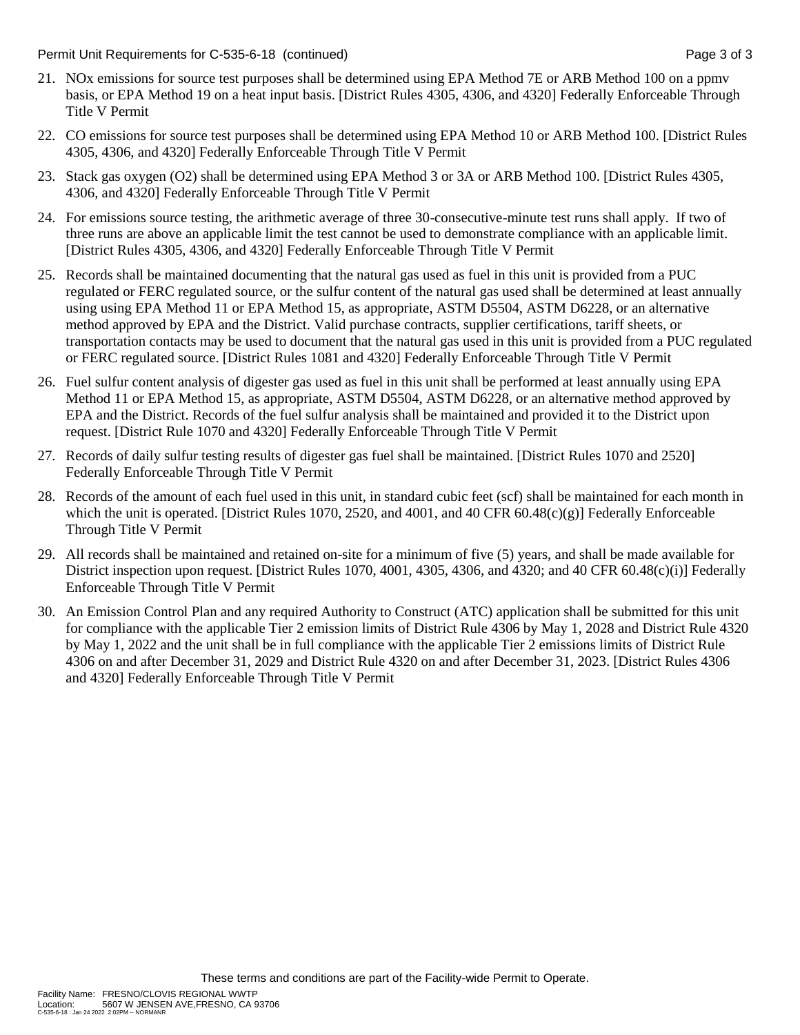Permit Unit Requirements for C-535-6-18 (continued) **Page 3 of 3** and 2 of 3 of 3

- 21. NOx emissions for source test purposes shall be determined using EPA Method 7E or ARB Method 100 on a ppmv basis, or EPA Method 19 on a heat input basis. [District Rules 4305, 4306, and 4320] Federally Enforceable Through Title V Permit
- 22. CO emissions for source test purposes shall be determined using EPA Method 10 or ARB Method 100. [District Rules 4305, 4306, and 4320] Federally Enforceable Through Title V Permit
- 23. Stack gas oxygen (O2) shall be determined using EPA Method 3 or 3A or ARB Method 100. [District Rules 4305, 4306, and 4320] Federally Enforceable Through Title V Permit
- 24. For emissions source testing, the arithmetic average of three 30-consecutive-minute test runs shall apply. If two of three runs are above an applicable limit the test cannot be used to demonstrate compliance with an applicable limit. [District Rules 4305, 4306, and 4320] Federally Enforceable Through Title V Permit
- 25. Records shall be maintained documenting that the natural gas used as fuel in this unit is provided from a PUC regulated or FERC regulated source, or the sulfur content of the natural gas used shall be determined at least annually using using EPA Method 11 or EPA Method 15, as appropriate, ASTM D5504, ASTM D6228, or an alternative method approved by EPA and the District. Valid purchase contracts, supplier certifications, tariff sheets, or transportation contacts may be used to document that the natural gas used in this unit is provided from a PUC regulated or FERC regulated source. [District Rules 1081 and 4320] Federally Enforceable Through Title V Permit
- 26. Fuel sulfur content analysis of digester gas used as fuel in this unit shall be performed at least annually using EPA Method 11 or EPA Method 15, as appropriate, ASTM D5504, ASTM D6228, or an alternative method approved by EPA and the District. Records of the fuel sulfur analysis shall be maintained and provided it to the District upon request. [District Rule 1070 and 4320] Federally Enforceable Through Title V Permit
- 27. Records of daily sulfur testing results of digester gas fuel shall be maintained. [District Rules 1070 and 2520] Federally Enforceable Through Title V Permit
- 28. Records of the amount of each fuel used in this unit, in standard cubic feet (scf) shall be maintained for each month in which the unit is operated. [District Rules 1070, 2520, and 4001, and 40 CFR 60.48(c)(g)] Federally Enforceable Through Title V Permit
- 29. All records shall be maintained and retained on-site for a minimum of five (5) years, and shall be made available for District inspection upon request. [District Rules 1070, 4001, 4305, 4306, and 4320; and 40 CFR 60.48(c)(i)] Federally Enforceable Through Title V Permit
- 30. An Emission Control Plan and any required Authority to Construct (ATC) application shall be submitted for this unit for compliance with the applicable Tier 2 emission limits of District Rule 4306 by May 1, 2028 and District Rule 4320 by May 1, 2022 and the unit shall be in full compliance with the applicable Tier 2 emissions limits of District Rule 4306 on and after December 31, 2029 and District Rule 4320 on and after December 31, 2023. [District Rules 4306 and 4320] Federally Enforceable Through Title V Permit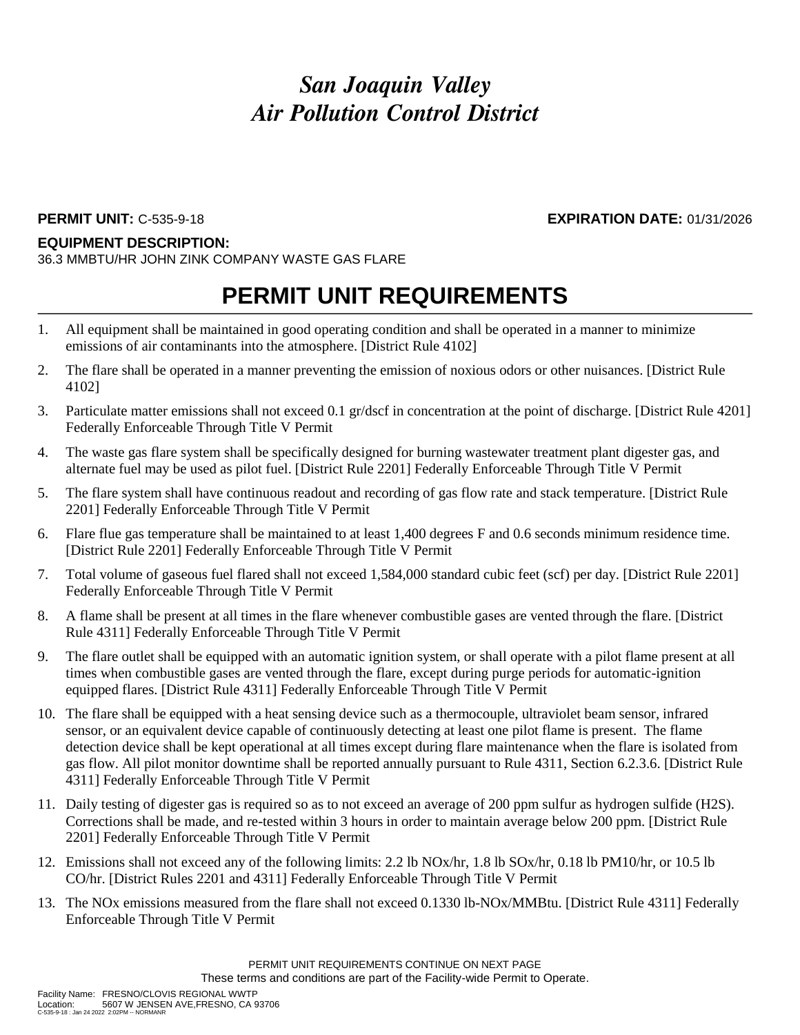### **EQUIPMENT DESCRIPTION:**

36.3 MMBTU/HR JOHN ZINK COMPANY WASTE GAS FLARE

## **PERMIT UNIT REQUIREMENTS**

- 1. All equipment shall be maintained in good operating condition and shall be operated in a manner to minimize emissions of air contaminants into the atmosphere. [District Rule 4102]
- 2. The flare shall be operated in a manner preventing the emission of noxious odors or other nuisances. [District Rule 4102]
- 3. Particulate matter emissions shall not exceed 0.1 gr/dscf in concentration at the point of discharge. [District Rule 4201] Federally Enforceable Through Title V Permit
- 4. The waste gas flare system shall be specifically designed for burning wastewater treatment plant digester gas, and alternate fuel may be used as pilot fuel. [District Rule 2201] Federally Enforceable Through Title V Permit
- 5. The flare system shall have continuous readout and recording of gas flow rate and stack temperature. [District Rule 2201] Federally Enforceable Through Title V Permit
- 6. Flare flue gas temperature shall be maintained to at least 1,400 degrees F and 0.6 seconds minimum residence time. [District Rule 2201] Federally Enforceable Through Title V Permit
- 7. Total volume of gaseous fuel flared shall not exceed 1,584,000 standard cubic feet (scf) per day. [District Rule 2201] Federally Enforceable Through Title V Permit
- 8. A flame shall be present at all times in the flare whenever combustible gases are vented through the flare. [District Rule 4311] Federally Enforceable Through Title V Permit
- 9. The flare outlet shall be equipped with an automatic ignition system, or shall operate with a pilot flame present at all times when combustible gases are vented through the flare, except during purge periods for automatic-ignition equipped flares. [District Rule 4311] Federally Enforceable Through Title V Permit
- 10. The flare shall be equipped with a heat sensing device such as a thermocouple, ultraviolet beam sensor, infrared sensor, or an equivalent device capable of continuously detecting at least one pilot flame is present. The flame detection device shall be kept operational at all times except during flare maintenance when the flare is isolated from gas flow. All pilot monitor downtime shall be reported annually pursuant to Rule 4311, Section 6.2.3.6. [District Rule 4311] Federally Enforceable Through Title V Permit
- 11. Daily testing of digester gas is required so as to not exceed an average of 200 ppm sulfur as hydrogen sulfide (H2S). Corrections shall be made, and re-tested within 3 hours in order to maintain average below 200 ppm. [District Rule 2201] Federally Enforceable Through Title V Permit
- 12. Emissions shall not exceed any of the following limits: 2.2 lb NOx/hr, 1.8 lb SOx/hr, 0.18 lb PM10/hr, or 10.5 lb CO/hr. [District Rules 2201 and 4311] Federally Enforceable Through Title V Permit
- 13. The NOx emissions measured from the flare shall not exceed 0.1330 lb-NOx/MMBtu. [District Rule 4311] Federally Enforceable Through Title V Permit

**PERMIT UNIT:** C-535-9-18 **EXPIRATION DATE:** 01/31/2026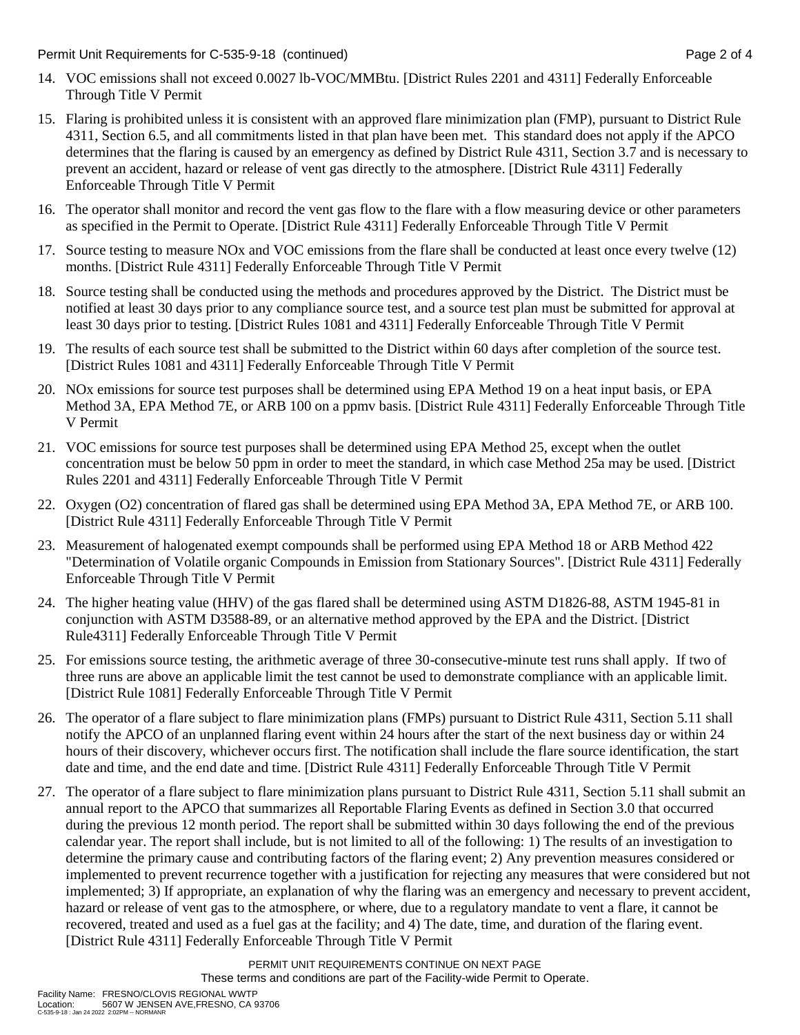- 14. VOC emissions shall not exceed 0.0027 lb-VOC/MMBtu. [District Rules 2201 and 4311] Federally Enforceable Through Title V Permit
- 15. Flaring is prohibited unless it is consistent with an approved flare minimization plan (FMP), pursuant to District Rule 4311, Section 6.5, and all commitments listed in that plan have been met. This standard does not apply if the APCO determines that the flaring is caused by an emergency as defined by District Rule 4311, Section 3.7 and is necessary to prevent an accident, hazard or release of vent gas directly to the atmosphere. [District Rule 4311] Federally Enforceable Through Title V Permit
- 16. The operator shall monitor and record the vent gas flow to the flare with a flow measuring device or other parameters as specified in the Permit to Operate. [District Rule 4311] Federally Enforceable Through Title V Permit
- 17. Source testing to measure NOx and VOC emissions from the flare shall be conducted at least once every twelve (12) months. [District Rule 4311] Federally Enforceable Through Title V Permit
- 18. Source testing shall be conducted using the methods and procedures approved by the District. The District must be notified at least 30 days prior to any compliance source test, and a source test plan must be submitted for approval at least 30 days prior to testing. [District Rules 1081 and 4311] Federally Enforceable Through Title V Permit
- 19. The results of each source test shall be submitted to the District within 60 days after completion of the source test. [District Rules 1081 and 4311] Federally Enforceable Through Title V Permit
- 20. NOx emissions for source test purposes shall be determined using EPA Method 19 on a heat input basis, or EPA Method 3A, EPA Method 7E, or ARB 100 on a ppmv basis. [District Rule 4311] Federally Enforceable Through Title V Permit
- 21. VOC emissions for source test purposes shall be determined using EPA Method 25, except when the outlet concentration must be below 50 ppm in order to meet the standard, in which case Method 25a may be used. [District Rules 2201 and 4311] Federally Enforceable Through Title V Permit
- 22. Oxygen (O2) concentration of flared gas shall be determined using EPA Method 3A, EPA Method 7E, or ARB 100. [District Rule 4311] Federally Enforceable Through Title V Permit
- 23. Measurement of halogenated exempt compounds shall be performed using EPA Method 18 or ARB Method 422 "Determination of Volatile organic Compounds in Emission from Stationary Sources". [District Rule 4311] Federally Enforceable Through Title V Permit
- 24. The higher heating value (HHV) of the gas flared shall be determined using ASTM D1826-88, ASTM 1945-81 in conjunction with ASTM D3588-89, or an alternative method approved by the EPA and the District. [District Rule4311] Federally Enforceable Through Title V Permit
- 25. For emissions source testing, the arithmetic average of three 30-consecutive-minute test runs shall apply. If two of three runs are above an applicable limit the test cannot be used to demonstrate compliance with an applicable limit. [District Rule 1081] Federally Enforceable Through Title V Permit
- 26. The operator of a flare subject to flare minimization plans (FMPs) pursuant to District Rule 4311, Section 5.11 shall notify the APCO of an unplanned flaring event within 24 hours after the start of the next business day or within 24 hours of their discovery, whichever occurs first. The notification shall include the flare source identification, the start date and time, and the end date and time. [District Rule 4311] Federally Enforceable Through Title V Permit
- 27. The operator of a flare subject to flare minimization plans pursuant to District Rule 4311, Section 5.11 shall submit an annual report to the APCO that summarizes all Reportable Flaring Events as defined in Section 3.0 that occurred during the previous 12 month period. The report shall be submitted within 30 days following the end of the previous calendar year. The report shall include, but is not limited to all of the following: 1) The results of an investigation to determine the primary cause and contributing factors of the flaring event; 2) Any prevention measures considered or implemented to prevent recurrence together with a justification for rejecting any measures that were considered but not implemented; 3) If appropriate, an explanation of why the flaring was an emergency and necessary to prevent accident, hazard or release of vent gas to the atmosphere, or where, due to a regulatory mandate to vent a flare, it cannot be recovered, treated and used as a fuel gas at the facility; and 4) The date, time, and duration of the flaring event. [District Rule 4311] Federally Enforceable Through Title V Permit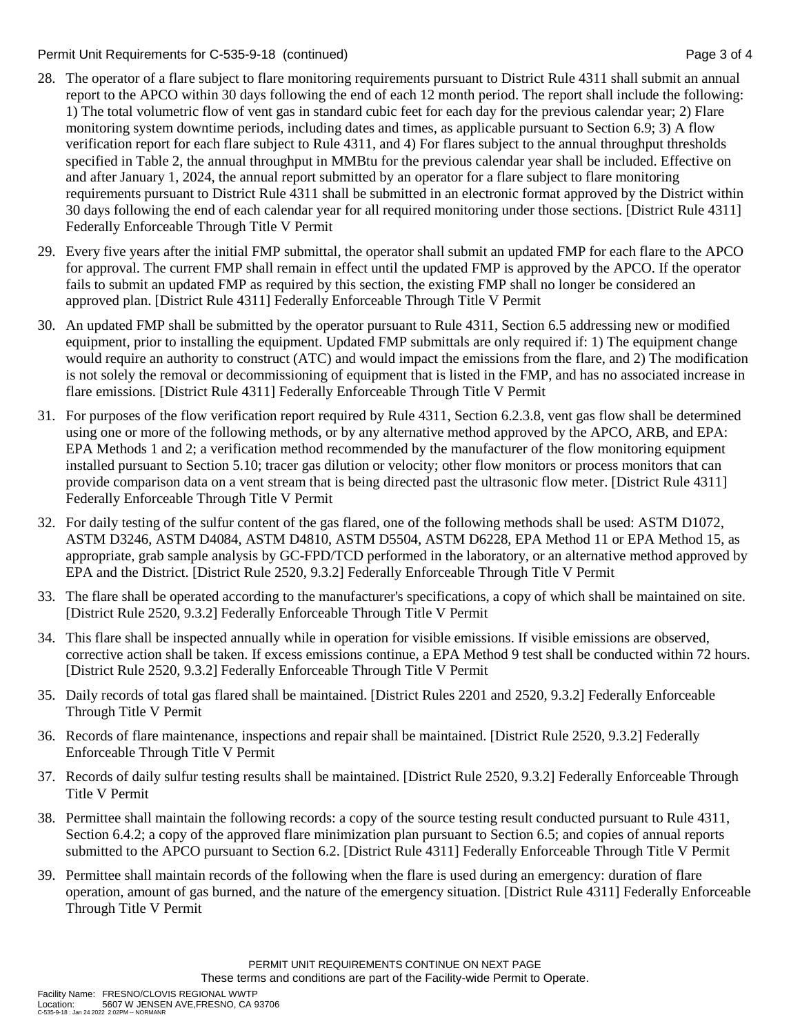Permit Unit Requirements for C-535-9-18 (continued) Page 3 of 4

- 28. The operator of a flare subject to flare monitoring requirements pursuant to District Rule 4311 shall submit an annual report to the APCO within 30 days following the end of each 12 month period. The report shall include the following: 1) The total volumetric flow of vent gas in standard cubic feet for each day for the previous calendar year; 2) Flare monitoring system downtime periods, including dates and times, as applicable pursuant to Section 6.9; 3) A flow verification report for each flare subject to Rule 4311, and 4) For flares subject to the annual throughput thresholds specified in Table 2, the annual throughput in MMBtu for the previous calendar year shall be included. Effective on and after January 1, 2024, the annual report submitted by an operator for a flare subject to flare monitoring requirements pursuant to District Rule 4311 shall be submitted in an electronic format approved by the District within 30 days following the end of each calendar year for all required monitoring under those sections. [District Rule 4311] Federally Enforceable Through Title V Permit
- 29. Every five years after the initial FMP submittal, the operator shall submit an updated FMP for each flare to the APCO for approval. The current FMP shall remain in effect until the updated FMP is approved by the APCO. If the operator fails to submit an updated FMP as required by this section, the existing FMP shall no longer be considered an approved plan. [District Rule 4311] Federally Enforceable Through Title V Permit
- 30. An updated FMP shall be submitted by the operator pursuant to Rule 4311, Section 6.5 addressing new or modified equipment, prior to installing the equipment. Updated FMP submittals are only required if: 1) The equipment change would require an authority to construct (ATC) and would impact the emissions from the flare, and 2) The modification is not solely the removal or decommissioning of equipment that is listed in the FMP, and has no associated increase in flare emissions. [District Rule 4311] Federally Enforceable Through Title V Permit
- 31. For purposes of the flow verification report required by Rule 4311, Section 6.2.3.8, vent gas flow shall be determined using one or more of the following methods, or by any alternative method approved by the APCO, ARB, and EPA: EPA Methods 1 and 2; a verification method recommended by the manufacturer of the flow monitoring equipment installed pursuant to Section 5.10; tracer gas dilution or velocity; other flow monitors or process monitors that can provide comparison data on a vent stream that is being directed past the ultrasonic flow meter. [District Rule 4311] Federally Enforceable Through Title V Permit
- 32. For daily testing of the sulfur content of the gas flared, one of the following methods shall be used: ASTM D1072, ASTM D3246, ASTM D4084, ASTM D4810, ASTM D5504, ASTM D6228, EPA Method 11 or EPA Method 15, as appropriate, grab sample analysis by GC-FPD/TCD performed in the laboratory, or an alternative method approved by EPA and the District. [District Rule 2520, 9.3.2] Federally Enforceable Through Title V Permit
- 33. The flare shall be operated according to the manufacturer's specifications, a copy of which shall be maintained on site. [District Rule 2520, 9.3.2] Federally Enforceable Through Title V Permit
- 34. This flare shall be inspected annually while in operation for visible emissions. If visible emissions are observed, corrective action shall be taken. If excess emissions continue, a EPA Method 9 test shall be conducted within 72 hours. [District Rule 2520, 9.3.2] Federally Enforceable Through Title V Permit
- 35. Daily records of total gas flared shall be maintained. [District Rules 2201 and 2520, 9.3.2] Federally Enforceable Through Title V Permit
- 36. Records of flare maintenance, inspections and repair shall be maintained. [District Rule 2520, 9.3.2] Federally Enforceable Through Title V Permit
- 37. Records of daily sulfur testing results shall be maintained. [District Rule 2520, 9.3.2] Federally Enforceable Through Title V Permit
- 38. Permittee shall maintain the following records: a copy of the source testing result conducted pursuant to Rule 4311, Section 6.4.2; a copy of the approved flare minimization plan pursuant to Section 6.5; and copies of annual reports submitted to the APCO pursuant to Section 6.2. [District Rule 4311] Federally Enforceable Through Title V Permit
- 39. Permittee shall maintain records of the following when the flare is used during an emergency: duration of flare operation, amount of gas burned, and the nature of the emergency situation. [District Rule 4311] Federally Enforceable Through Title V Permit